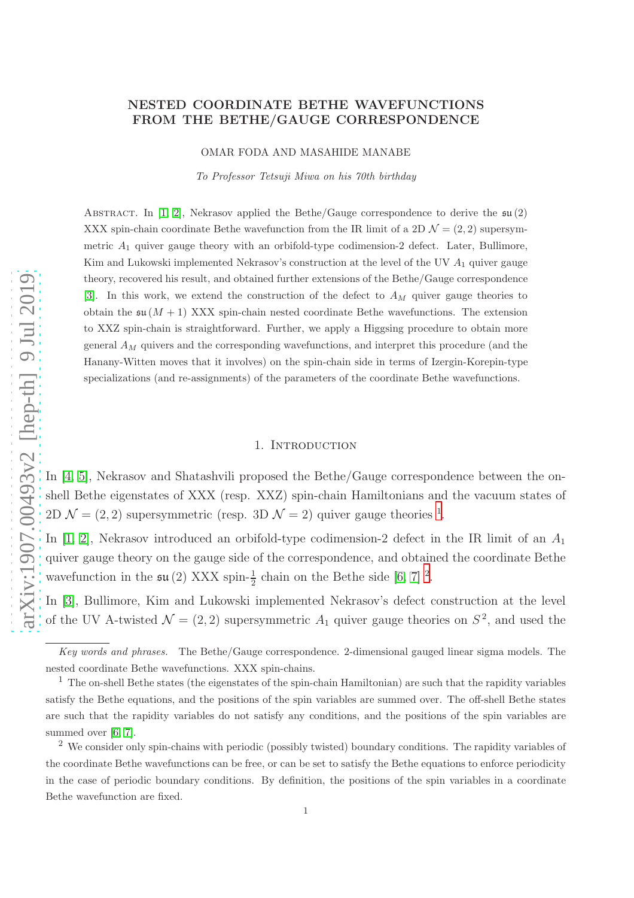## NESTED COORDINATE BETHE WAVEFUNCTIONS FROM THE BETHE/GAUGE CORRESPONDENCE

OMAR FODA AND MASAHIDE MANABE

To Professor Tetsuji Miwa on his 70th birthday

ABSTRACT. In [\[1,](#page-33-0) [2\]](#page-33-1), Nekrasov applied the Bethe/Gauge correspondence to derive the  $\mathfrak{su}(2)$ XXX spin-chain coordinate Bethe wavefunction from the IR limit of a 2D  $\mathcal{N} = (2, 2)$  supersymmetric  $A_1$  quiver gauge theory with an orbifold-type codimension-2 defect. Later, Bullimore, Kim and Lukowski implemented Nekrasov's construction at the level of the UV  $A_1$  quiver gauge theory, recovered his result, and obtained further extensions of the Bethe/Gauge correspondence [\[3\]](#page-33-2). In this work, we extend the construction of the defect to  $A_M$  quiver gauge theories to obtain the  $\mathfrak{su}(M+1)$  XXX spin-chain nested coordinate Bethe wavefunctions. The extension to XXZ spin-chain is straightforward. Further, we apply a Higgsing procedure to obtain more general  $A_M$  quivers and the corresponding wavefunctions, and interpret this procedure (and the Hanany-Witten moves that it involves) on the spin-chain side in terms of Izergin-Korepin-type specializations (and re-assignments) of the parameters of the coordinate Bethe wavefunctions.

#### 1. INTRODUCTION

In [\[4,](#page-33-3) [5\]](#page-33-4), Nekrasov and Shatashvili proposed the Bethe/Gauge correspondence between the onshell Bethe eigenstates of XXX (resp. XXZ) spin-chain Hamiltonians and the vacuum states of 2D  $\mathcal{N} = (2, 2)$  supersymmetric (resp. 3D  $\mathcal{N} = 2$ ) quiver gauge theories <sup>[1](#page-0-0)</sup>.

In [\[1,](#page-33-0) [2\]](#page-33-1), Nekrasov introduced an orbifold-type codimension-2 defect in the IR limit of an  $A_1$ quiver gauge theory on the gauge side of the correspondence, and obtained the coordinate Bethe wavefunction in the  $\mathfrak{su}(2)$  $\mathfrak{su}(2)$  $\mathfrak{su}(2)$  XXX spin- $\frac{1}{2}$  chain on the Bethe side [\[6,](#page-34-0) [7\]](#page-34-1)<sup>2</sup>.

In [\[3\]](#page-33-2), Bullimore, Kim and Lukowski implemented Nekrasov's defect construction at the level of the UV A-twisted  $\mathcal{N} = (2, 2)$  supersymmetric  $A_1$  quiver gauge theories on  $S^2$ , and used the

Key words and phrases. The Bethe/Gauge correspondence. 2-dimensional gauged linear sigma models. The nested coordinate Bethe wavefunctions. XXX spin-chains.

<span id="page-0-0"></span> $1$  The on-shell Bethe states (the eigenstates of the spin-chain Hamiltonian) are such that the rapidity variables satisfy the Bethe equations, and the positions of the spin variables are summed over. The off-shell Bethe states are such that the rapidity variables do not satisfy any conditions, and the positions of the spin variables are summed over [\[6,](#page-34-0) [7\]](#page-34-1).

<span id="page-0-1"></span><sup>&</sup>lt;sup>2</sup> We consider only spin-chains with periodic (possibly twisted) boundary conditions. The rapidity variables of the coordinate Bethe wavefunctions can be free, or can be set to satisfy the Bethe equations to enforce periodicity in the case of periodic boundary conditions. By definition, the positions of the spin variables in a coordinate Bethe wavefunction are fixed.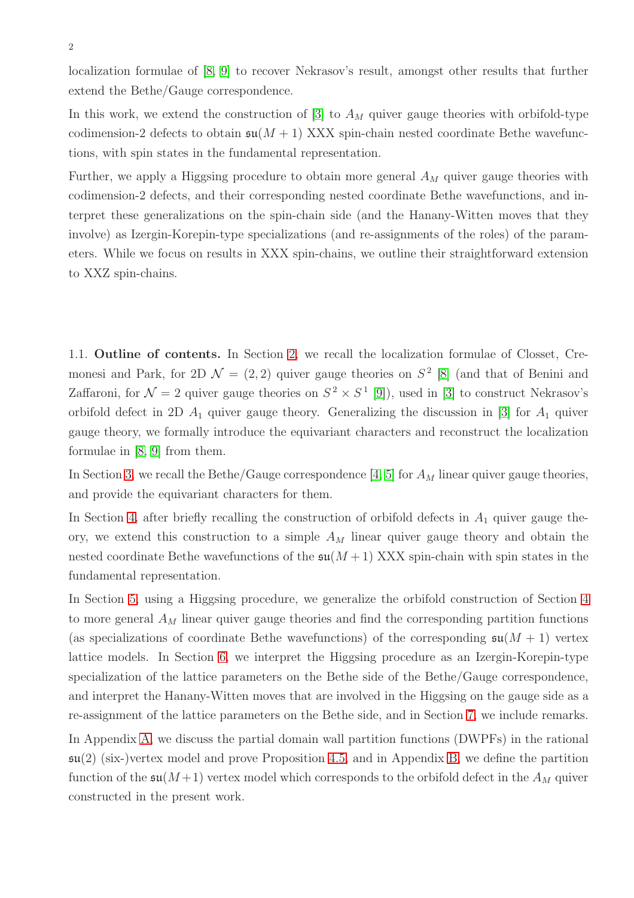localization formulae of [\[8,](#page-34-2) [9\]](#page-34-3) to recover Nekrasov's result, amongst other results that further extend the Bethe/Gauge correspondence.

In this work, we extend the construction of [\[3\]](#page-33-2) to  $A_M$  quiver gauge theories with orbifold-type codimension-2 defects to obtain  $\mathfrak{su}(M+1)$  XXX spin-chain nested coordinate Bethe wavefunctions, with spin states in the fundamental representation.

Further, we apply a Higgsing procedure to obtain more general  $A_M$  quiver gauge theories with codimension-2 defects, and their corresponding nested coordinate Bethe wavefunctions, and interpret these generalizations on the spin-chain side (and the Hanany-Witten moves that they involve) as Izergin-Korepin-type specializations (and re-assignments of the roles) of the parameters. While we focus on results in XXX spin-chains, we outline their straightforward extension to XXZ spin-chains.

1.1. Outline of contents. In Section [2,](#page-2-0) we recall the localization formulae of Closset, Cremonesi and Park, for 2D  $\mathcal{N} = (2, 2)$  quiver gauge theories on  $S<sup>2</sup>$  [\[8\]](#page-34-2) (and that of Benini and Zaffaroni, for  $\mathcal{N}=2$  quiver gauge theories on  $S^2 \times S^1$  [\[9\]](#page-34-3)), used in [\[3\]](#page-33-2) to construct Nekrasov's orbifold defect in 2D  $A_1$  quiver gauge theory. Generalizing the discussion in [\[3\]](#page-33-2) for  $A_1$  quiver gauge theory, we formally introduce the equivariant characters and reconstruct the localization formulae in [\[8,](#page-34-2) [9\]](#page-34-3) from them.

In Section [3,](#page-4-0) we recall the Bethe/Gauge correspondence [\[4,](#page-33-3) [5\]](#page-33-4) for  $A<sub>M</sub>$  linear quiver gauge theories, and provide the equivariant characters for them.

In Section [4,](#page-9-0) after briefly recalling the construction of orbifold defects in  $A_1$  quiver gauge theory, we extend this construction to a simple  $A_M$  linear quiver gauge theory and obtain the nested coordinate Bethe wavefunctions of the  $\mathfrak{su}(M+1)$  XXX spin-chain with spin states in the fundamental representation.

In Section [5,](#page-15-0) using a Higgsing procedure, we generalize the orbifold construction of Section [4](#page-9-0) to more general  $A_M$  linear quiver gauge theories and find the corresponding partition functions (as specializations of coordinate Bethe wavefunctions) of the corresponding  $\mathfrak{su}(M+1)$  vertex lattice models. In Section [6,](#page-26-0) we interpret the Higgsing procedure as an Izergin-Korepin-type specialization of the lattice parameters on the Bethe side of the Bethe/Gauge correspondence, and interpret the Hanany-Witten moves that are involved in the Higgsing on the gauge side as a re-assignment of the lattice parameters on the Bethe side, and in Section [7,](#page-27-0) we include remarks. In Appendix [A,](#page-28-0) we discuss the partial domain wall partition functions (DWPFs) in the rational  $\mathfrak{su}(2)$  (six-)vertex model and prove Proposition [4.5,](#page-12-0) and in Appendix [B,](#page-30-0) we define the partition function of the  $\mathfrak{su}(M+1)$  vertex model which corresponds to the orbifold defect in the  $A_M$  quiver constructed in the present work.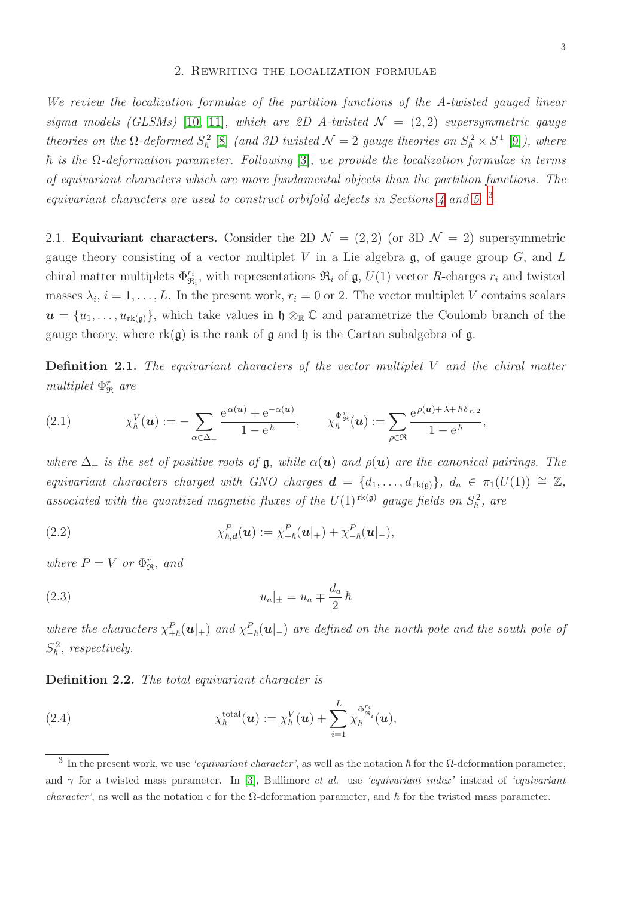#### 2. Rewriting the localization formulae

<span id="page-2-0"></span>We review the localization formulae of the partition functions of the A-twisted gauged linear sigma models (GLSMs) [\[10,](#page-34-4) [11\]](#page-34-5), which are 2D A-twisted  $\mathcal{N} = (2, 2)$  supersymmetric gauge theories on the  $\Omega$ -deformed  $S_{\hbar}^2$  [\[8\]](#page-34-2) (and 3D twisted  $\mathcal{N}=2$  gauge theories on  $S_{\hbar}^2 \times S^1$  [\[9\]](#page-34-3)), where  $\hbar$  is the  $\Omega$ -deformation parameter. Following [\[3\]](#page-33-2), we provide the localization formulae in terms of equivariant characters which are more fundamental objects than the partition functions. The equivariant characters are used to construct orbifold defects in Sections [4](#page-9-0) and [5.](#page-15-0)  $^3$  $^3$ 

2.1. Equivariant characters. Consider the 2D  $\mathcal{N} = (2, 2)$  (or 3D  $\mathcal{N} = 2$ ) supersymmetric gauge theory consisting of a vector multiplet V in a Lie algebra  $\mathfrak{g}$ , of gauge group G, and L chiral matter multiplets  $\Phi_{\mathfrak{R}_i}^{r_i}$ , with representations  $\mathfrak{R}_i$  of  $\mathfrak{g}, U(1)$  vector R-charges  $r_i$  and twisted masses  $\lambda_i$ ,  $i = 1, \ldots, L$ . In the present work,  $r_i = 0$  or 2. The vector multiplet V contains scalars  $u = \{u_1, \ldots, u_{rk(\mathfrak{g})}\}\$ , which take values in  $\mathfrak{h} \otimes_{\mathbb{R}} \mathbb{C}$  and parametrize the Coulomb branch of the gauge theory, where  $rk(\mathfrak{g})$  is the rank of  $\mathfrak{g}$  and  $\mathfrak{h}$  is the Cartan subalgebra of  $\mathfrak{g}$ .

<span id="page-2-2"></span>**Definition 2.1.** The equivariant characters of the vector multiplet  $V$  and the chiral matter multiplet  $\Phi_{\Re}^r$  are

(2.1) 
$$
\chi_{\hbar}^{V}(\boldsymbol{u}) := -\sum_{\alpha \in \Delta_{+}} \frac{e^{\alpha(\boldsymbol{u})} + e^{-\alpha(\boldsymbol{u})}}{1 - e^{\hbar}}, \qquad \chi_{\hbar}^{\Phi_{\mathfrak{R}}^{r}}(\boldsymbol{u}) := \sum_{\rho \in \mathfrak{R}} \frac{e^{\rho(\boldsymbol{u}) + \lambda + \hbar \delta_{r,2}}}{1 - e^{\hbar}},
$$

where  $\Delta_+$  is the set of positive roots of g, while  $\alpha(\mathbf{u})$  and  $\rho(\mathbf{u})$  are the canonical pairings. The equivariant characters charged with GNO charges  $\mathbf{d} = \{d_1, \ldots, d_{rk(\mathfrak{g})}\}, d_a \in \pi_1(U(1)) \cong \mathbb{Z},$ associated with the quantized magnetic fluxes of the  $U(1)^{\text{rk}(\mathfrak{g})}$  gauge fields on  $S_{\hbar}^2$ , are

(2.2) 
$$
\chi_{\hbar,\mathbf{d}}^P(\mathbf{u}) := \chi_{+\hbar}^P(\mathbf{u}|_+) + \chi_{-\hbar}^P(\mathbf{u}|_-),
$$

where  $P = V$  or  $\Phi_{\Re}^r$ , and

(2.3) 
$$
u_a|_{\pm} = u_a \mp \frac{d_a}{2} \hbar
$$

where the characters  $\chi^P_{+h}(\bm{u}|_+)$  and  $\chi^P_{-h}(\bm{u}|_-)$  are defined on the north pole and the south pole of  $S_{\hbar}^2$ , respectively.

Definition 2.2. The total equivariant character is

(2.4) 
$$
\chi_{\hbar}^{\text{total}}(\boldsymbol{u}) := \chi_{\hbar}^{V}(\boldsymbol{u}) + \sum_{i=1}^{L} \chi_{\hbar}^{\Phi_{\mathfrak{R}_{i}}^{r_i}}(\boldsymbol{u}),
$$

<span id="page-2-1"></span><sup>&</sup>lt;sup>3</sup> In the present work, we use 'equivariant character', as well as the notation  $\hbar$  for the  $\Omega$ -deformation parameter, and  $\gamma$  for a twisted mass parameter. In [\[3\]](#page-33-2), Bullimore *et al.* use 'equivariant index' instead of 'equivariant *character'*, as well as the notation  $\epsilon$  for the  $\Omega$ -deformation parameter, and  $\hbar$  for the twisted mass parameter.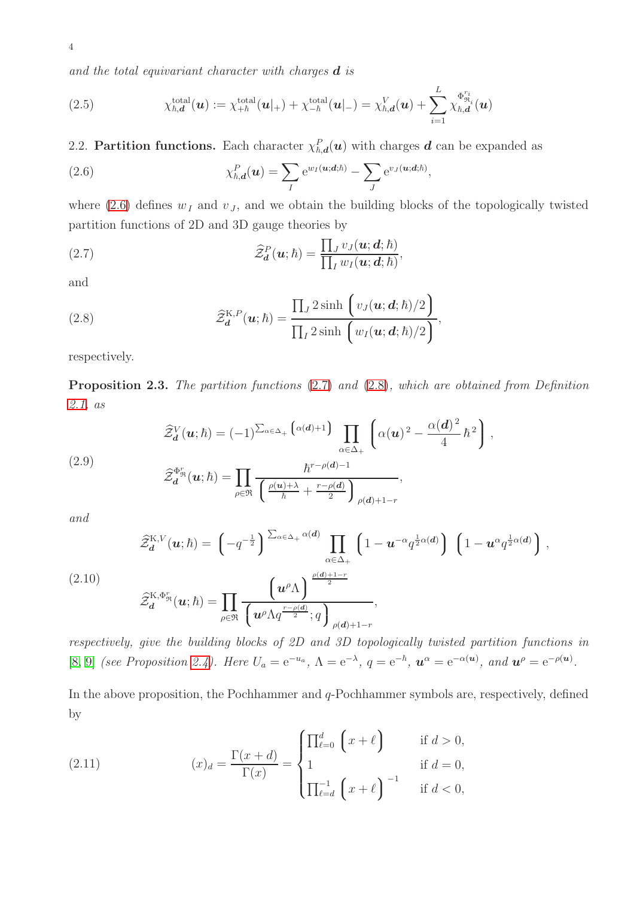<span id="page-3-4"></span>(2.5) 
$$
\chi_{\hbar,\mathbf{d}}^{\text{total}}(\mathbf{u}) := \chi_{+\hbar}^{\text{total}}(\mathbf{u}|_{+}) + \chi_{-\hbar}^{\text{total}}(\mathbf{u}|_{-}) = \chi_{\hbar,\mathbf{d}}^{V}(\mathbf{u}) + \sum_{i=1}^{L} \chi_{\hbar,\mathbf{d}}^{\Phi_{\mathfrak{R}_{i}}^{r_{i}}}(\mathbf{u})
$$

2.2. Partition functions. Each character  $\chi_{\hbar,d}^P(u)$  with charges d can be expanded as

<span id="page-3-0"></span>(2.6) 
$$
\chi_{\hbar,\mathbf{d}}^P(\mathbf{u}) = \sum_I e^{w_I(\mathbf{u};\mathbf{d};\hbar)} - \sum_J e^{v_J(\mathbf{u};\mathbf{d};\hbar)},
$$

where [\(2.6\)](#page-3-0) defines  $w_I$  and  $v_J$ , and we obtain the building blocks of the topologically twisted partition functions of 2D and 3D gauge theories by

<span id="page-3-1"></span>(2.7) 
$$
\widehat{\mathcal{Z}}_d^P(\boldsymbol{u};\hbar)=\frac{\prod_J v_J(\boldsymbol{u};\boldsymbol{d};\hbar)}{\prod_I w_I(\boldsymbol{u};\boldsymbol{d};\hbar)},
$$

and

4

<span id="page-3-2"></span>(2.8) 
$$
\widehat{\mathcal{Z}}_{\boldsymbol{d}}^{\text{K},P}(\boldsymbol{u};\hbar)=\frac{\prod_{J}2\sinh\left(v_{J}(\boldsymbol{u};\boldsymbol{d};\hbar)/2\right)}{\prod_{I}2\sinh\left(w_{I}(\boldsymbol{u};\boldsymbol{d};\hbar)/2\right)},
$$

respectively.

<span id="page-3-3"></span>Proposition 2.3. The partition functions [\(2.7\)](#page-3-1) and [\(2.8\)](#page-3-2), which are obtained from Definition [2.1,](#page-2-2) as

(2.9)  

$$
\widehat{Z}_{d}^{V}(\boldsymbol{u};\hbar) = (-1)^{\sum_{\alpha \in \Delta_{+}} \left(\alpha(d)+1\right)} \prod_{\alpha \in \Delta_{+}} \left(\alpha(\boldsymbol{u})^{2} - \frac{\alpha(d)^{2}}{4}\hbar^{2}\right),
$$

$$
\widehat{Z}_{d}^{\Phi_{\mathfrak{R}}^{r}}(\boldsymbol{u};\hbar) = \prod_{\rho \in \mathfrak{R}} \frac{\hbar^{r-\rho(d)-1}}{\left(\frac{\rho(\boldsymbol{u})+\lambda}{\hbar} + \frac{r-\rho(d)}{2}\right)_{\rho(d)+1-r}},
$$

and

$$
\widehat{\mathcal{Z}}_{\boldsymbol{d}}^{\mathrm{K},V}(\boldsymbol{u};\hbar) = \left(-q^{-\frac{1}{2}}\right)^{\sum_{\alpha\in\Delta_{+}}\alpha(\boldsymbol{d})} \prod_{\alpha\in\Delta_{+}} \left(1-\boldsymbol{u}^{-\alpha}q^{\frac{1}{2}\alpha(\boldsymbol{d})}\right) \left(1-\boldsymbol{u}^{\alpha}q^{\frac{1}{2}\alpha(\boldsymbol{d})}\right),
$$
\n
$$
\widehat{\mathcal{Z}}_{\boldsymbol{d}}^{\mathrm{K},\Phi_{\mathfrak{R}}^{r}}(\boldsymbol{u};\hbar) = \prod_{\rho\in\mathfrak{R}} \frac{\left(u^{\rho}\Lambda\right)^{\frac{\rho(\boldsymbol{d})+1-r}{2}}}{\left(u^{\rho}\Lambda q^{\frac{r-\rho(\boldsymbol{d})}{2}};q\right)_{\rho(\boldsymbol{d})+1-r}},
$$

respectively, give the building blocks of 2D and 3D topologically twisted partition functions in [\[8,](#page-34-2) [9\]](#page-34-3) (see Proposition [2.4\)](#page-4-1). Here  $U_a = e^{-u_a}$ ,  $\Lambda = e^{-\lambda}$ ,  $q = e^{-\hbar}$ ,  $u^{\alpha} = e^{-\alpha(u)}$ , and  $u^{\rho} = e^{-\rho(u)}$ .

In the above proposition, the Pochhammer and  $q$ -Pochhammer symbols are, respectively, defined by

(2.11) 
$$
(x)_{d} = \frac{\Gamma(x+d)}{\Gamma(x)} = \begin{cases} \prod_{\ell=0}^{d} (x+\ell) & \text{if } d > 0, \\ 1 & \text{if } d = 0, \\ \prod_{\ell=d}^{-1} (x+\ell) & \text{if } d < 0, \end{cases}
$$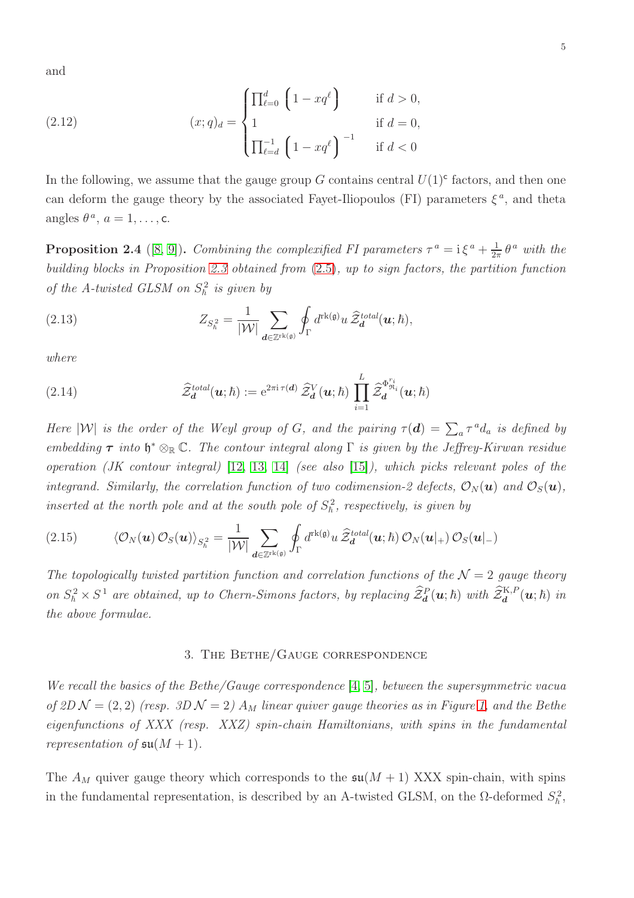(2.12) 
$$
(x;q)_d = \begin{cases} \prod_{\ell=0}^d \left(1 - xq^{\ell}\right) & \text{if } d > 0, \\ 1 & \text{if } d = 0, \\ \prod_{\ell=d}^{-1} \left(1 - xq^{\ell}\right)^{-1} & \text{if } d < 0 \end{cases}
$$

In the following, we assume that the gauge group G contains central  $U(1)$ <sup>c</sup> factors, and then one can deform the gauge theory by the associated Fayet-Iliopoulos (FI) parameters  $\xi^a$ , and theta angles  $\theta^a$ ,  $a = 1, \ldots, c$ .

<span id="page-4-1"></span>**Proposition 2.4** ([\[8,](#page-34-2) [9\]](#page-34-3)). Combining the complexified FI parameters  $\tau^a = i \xi^a + \frac{1}{2i}$  $rac{1}{2\pi}$   $\theta^a$  with the building blocks in Proposition [2.3](#page-3-3) obtained from [\(2.5\)](#page-3-4), up to sign factors, the partition function of the A-twisted GLSM on  $S_h^2$  is given by

<span id="page-4-3"></span>(2.13) 
$$
Z_{S_{\hbar}^2} = \frac{1}{|\mathcal{W}|} \sum_{\mathbf{d} \in \mathbb{Z}^{\mathrm{rk}(\mathfrak{g})}} \oint_{\Gamma} d^{\mathrm{rk}(\mathfrak{g})} u \, \widehat{\mathcal{Z}}_{\mathbf{d}}^{\mathrm{total}}(\mathbf{u};\hbar),
$$

where

<span id="page-4-2"></span>(2.14) 
$$
\widehat{\mathcal{Z}}_{\boldsymbol{d}}^{total}(\boldsymbol{u};\hbar) := e^{2\pi i \tau(\boldsymbol{d})} \widehat{\mathcal{Z}}_{\boldsymbol{d}}^{V}(\boldsymbol{u};\hbar) \prod_{i=1}^{L} \widehat{\mathcal{Z}}_{\boldsymbol{d}}^{\Phi_{\mathfrak{R}_{i}}^{r_i}}(\boldsymbol{u};\hbar)
$$

Here  $|W|$  is the order of the Weyl group of G, and the pairing  $\tau(d) = \sum_a \tau^a d_a$  is defined by embedding  $\tau$  into  $\mathfrak{h}^* \otimes_{\mathbb{R}} \mathbb{C}$ . The contour integral along  $\Gamma$  is given by the Jeffrey-Kirwan residue operation (JK contour integral) [\[12,](#page-34-6) [13,](#page-34-7) [14\]](#page-34-8) (see also [\[15\]](#page-34-9)), which picks relevant poles of the integrand. Similarly, the correlation function of two codimension-2 defects,  $\mathcal{O}_N(\boldsymbol{u})$  and  $\mathcal{O}_S(\boldsymbol{u})$ , inserted at the north pole and at the south pole of  $S_h^2$ , respectively, is given by

(2.15) 
$$
\langle \mathcal{O}_N(\boldsymbol{u}) \mathcal{O}_S(\boldsymbol{u}) \rangle_{S^2_{h}} = \frac{1}{|\mathcal{W}|} \sum_{\boldsymbol{d} \in \mathbb{Z}^{\mathrm{rk}(\mathfrak{g})}} \oint_{\Gamma} d^{\mathrm{rk}(\mathfrak{g})} u \, \widehat{\mathcal{Z}}_{\boldsymbol{d}}^{total}(\boldsymbol{u};\hbar) \, \mathcal{O}_N(\boldsymbol{u}|_{+}) \, \mathcal{O}_S(\boldsymbol{u}|_{-})
$$

<span id="page-4-0"></span>The topologically twisted partition function and correlation functions of the  $\mathcal{N}=2$  gauge theory on  $S_h^2 \times S^1$  are obtained, up to Chern-Simons factors, by replacing  $\hat{\mathcal{Z}}_d^P(\mathbf{u};\hbar)$  with  $\hat{\mathcal{Z}}_d^{K,P}(\mathbf{u};\hbar)$  in the above formulae.

## 3. The Bethe/Gauge correspondence

We recall the basics of the Bethe/Gauge correspondence [\[4,](#page-33-3) [5\]](#page-33-4), between the supersymmetric vacua of 2D  $\mathcal{N} = (2, 2)$  (resp. 3D  $\mathcal{N} = 2$ )  $A_M$  linear quiver gauge theories as in Figure [1,](#page-5-0) and the Bethe eigenfunctions of XXX (resp. XXZ) spin-chain Hamiltonians, with spins in the fundamental representation of  $\mathfrak{su}(M+1)$ .

The  $A_M$  quiver gauge theory which corresponds to the  $\mathfrak{su}(M+1)$  XXX spin-chain, with spins in the fundamental representation, is described by an A-twisted GLSM, on the  $\Omega$ -deformed  $S_{\hbar}^2$ ,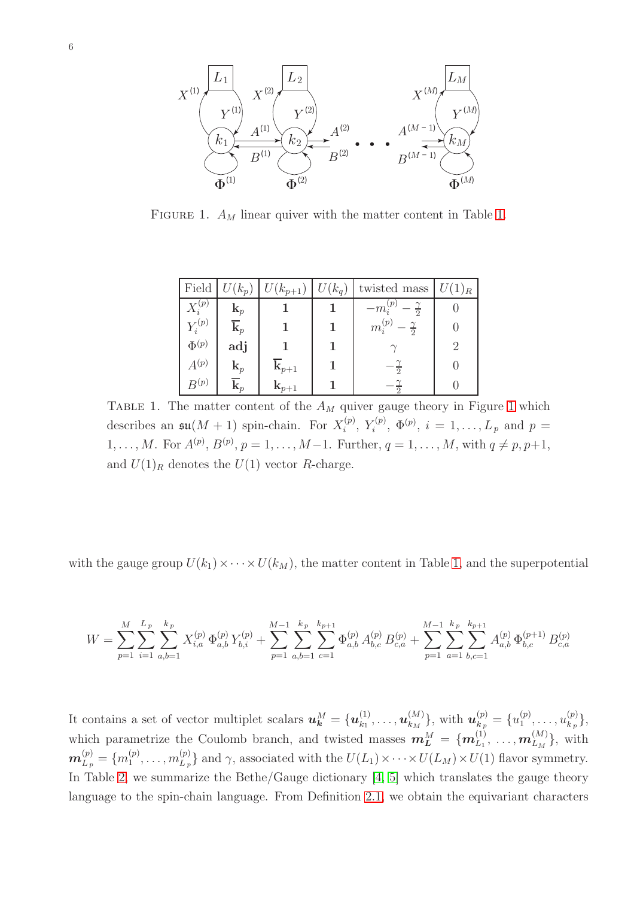<span id="page-5-0"></span>

<span id="page-5-1"></span>FIGURE [1.](#page-5-1)  $A_M$  linear quiver with the matter content in Table 1.

| Field        | $U(k_p)$       | $U(k_{p+1})$       | $U(k_q)$ | twisted mass                        | $U(1)_R$ |
|--------------|----------------|--------------------|----------|-------------------------------------|----------|
| $X_i^{(p)}$  | $\mathbf{k}_p$ |                    |          | (p)<br>$-m_i^{\vee}$                |          |
| $Y_i^{(p)}$  | $\mathbf{k}_p$ |                    |          | (p)<br>$-\frac{\gamma}{2}$<br>$m_i$ |          |
| $\Phi^{(p)}$ | adj            |                    |          |                                     |          |
| $A^{(p)}$    | $\mathbf{k}_p$ | $\mathbf{k}_{p+1}$ |          | $\Omega$                            | $\Box$   |
| $B^{(p)}$    | $\mathbf{k}_p$ | $\mathbf{k}_{p+1}$ |          |                                     |          |

TABLE [1](#page-5-0). The matter content of the  $A_M$  quiver gauge theory in Figure 1 which describes an  $\mathfrak{su}(M+1)$  spin-chain. For  $X_i^{(p)}$  $\chi_i^{(p)}, Y_i^{(p)}$  $i^{(p)}$ ,  $\Phi^{(p)}$ ,  $i = 1, ..., L_p$  and  $p =$  $1, \ldots, M$ . For  $A^{(p)}, B^{(p)}, p = 1, \ldots, M-1$ . Further,  $q = 1, \ldots, M$ , with  $q \neq p, p+1$ , and  $U(1)_R$  denotes the  $U(1)$  vector R-charge.

with the gauge group  $U(k_1)\times \cdots \times U(k_M)$ , the matter content in Table [1,](#page-5-1) and the superpotential

$$
W = \sum_{p=1}^{M} \sum_{i=1}^{L_p} \sum_{a,b=1}^{k_p} X_{i,a}^{(p)} \Phi_{a,b}^{(p)} Y_{b,i}^{(p)} + \sum_{p=1}^{M-1} \sum_{a,b=1}^{k_p} \sum_{c=1}^{k_{p+1}} \Phi_{a,b}^{(p)} A_{b,c}^{(p)} B_{c,a}^{(p)} + \sum_{p=1}^{M-1} \sum_{a=1}^{k_p} \sum_{b,c=1}^{k_{p+1}} A_{a,b}^{(p)} \Phi_{b,c}^{(p+1)} B_{c,a}^{(p)}
$$

It contains a set of vector multiplet scalars  $u_k^M = \{u_{k_1}^{(1)}\}$  $\bm{u}_{k_1}^{(1)},\ldots,\bm{u}_{k_M}^{(M)}$  ${M\choose k_M}\text{, with } \boldsymbol{u}_{k_p}^{(p)}=\{u_1^{(p)}\}$  $\binom{p}{1}, \ldots, \binom{p}{k_{p}}$  $\{p_j\}\,$ which parametrize the Coulomb branch, and twisted masses  $\mathbf{m}_L^M = \{m_{L_1}^{(1)}, \ldots, m_{L_M}^{(M)}\}$ , with  $\boldsymbol{m}_{L_{\mid p}}^{(p)}=\{m_1^{(p)}\}$  $\binom{p}{1},\ldots,m_{L_p}^{(p)}$  $\{L_p(\mathcal{L}_p)\}\$ and  $\gamma$ , associated with the  $U(L_1)\times\cdots\times U(L_M)\times U(1)$  flavor symmetry. In Table [2,](#page-6-0) we summarize the Bethe/Gauge dictionary [\[4,](#page-33-3) [5\]](#page-33-4) which translates the gauge theory language to the spin-chain language. From Definition [2.1,](#page-2-2) we obtain the equivariant characters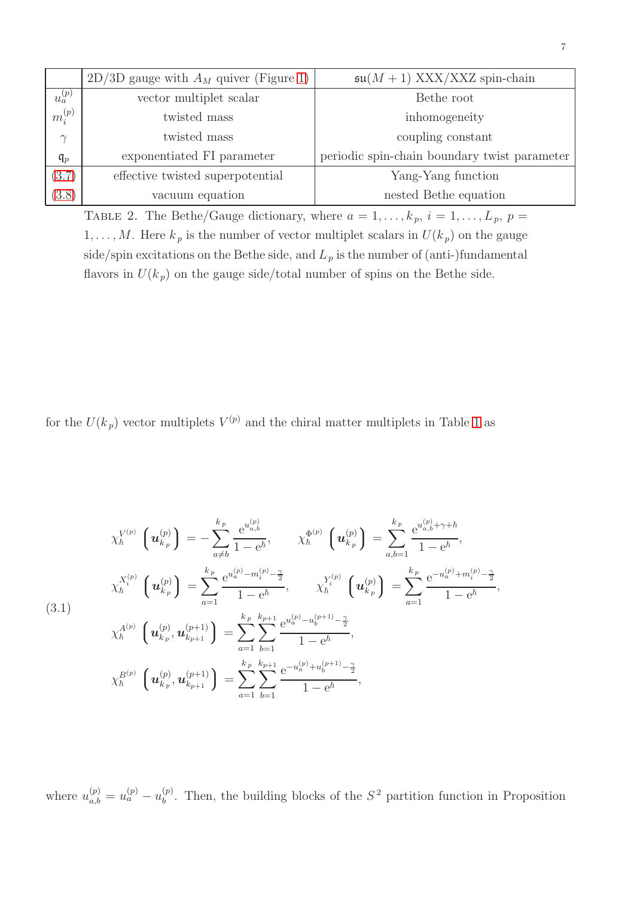<span id="page-6-0"></span>

|                       | $2D/3D$ gauge with $A_M$ quiver (Figure 1) | $\mathfrak{su}(M+1)$ XXX/XXZ spin-chain |
|-----------------------|--------------------------------------------|-----------------------------------------|
| (p)<br>$\overline{a}$ | vector multiplet scalar                    | Bethe root                              |
| $\iota_i^{(p)}$       | twisted mass                               | inhomogeneity                           |
| $\gamma$              | twisted mass                               | coupling constant                       |

| $\mathfrak{q}_p$ | exponentiated FI parameter                                                               | periodic spin-chain boundary twist parameter |  |  |  |  |  |  |  |  |  |  |
|------------------|------------------------------------------------------------------------------------------|----------------------------------------------|--|--|--|--|--|--|--|--|--|--|
| (3.7)            | effective twisted superpotential                                                         | Yang-Yang function                           |  |  |  |  |  |  |  |  |  |  |
| (3.8)            | vacuum equation                                                                          | nested Bethe equation                        |  |  |  |  |  |  |  |  |  |  |
|                  | TABLE 2. The Bethe/Gauge dictionary, where $a = 1, \ldots, k_p, i = 1, \ldots, L_p, p =$ |                                              |  |  |  |  |  |  |  |  |  |  |
|                  | M Here k is the number of vector multiplet scalars in $U(k)$ on the gauge                |                                              |  |  |  |  |  |  |  |  |  |  |

 $u_a^{(p)}$ 

 $m^{(p)}_i$ i

 $1, \ldots, M$ . Here  $k_p$  is the number of vector multiplet scalars in  $U(k_p)$  on the gauge side/spin excitations on the Bethe side, and  $L_p$  is the number of (anti-)fundamental flavors in  $U(k_p)$  on the gauge side/total number of spins on the Bethe side.

for the  $U(k_p)$  vector multiplets  $V^{(p)}$  and the chiral matter multiplets in Table [1](#page-5-1) as

<span id="page-6-1"></span>
$$
\chi_{\hbar}^{V^{(p)}}\left(\mathbf{u}_{k_{p}}^{(p)}\right) = -\sum_{a\neq b}^{k_{p}} \frac{e^{u_{a,b}^{(p)}}}{1 - e^{\hbar}}, \qquad \chi_{\hbar}^{\Phi^{(p)}}\left(\mathbf{u}_{k_{p}}^{(p)}\right) = \sum_{a,b=1}^{k_{p}} \frac{e^{u_{a,b}^{(p)} + \gamma + \hbar}}{1 - e^{\hbar}},
$$
\n
$$
\chi_{\hbar}^{X_{i}^{(p)}}\left(\mathbf{u}_{k_{p}}^{(p)}\right) = \sum_{a=1}^{k_{p}} \frac{e^{u_{a}^{(p)} - m_{i}^{(p)} - \frac{\gamma}{2}}}{1 - e^{\hbar}}, \qquad \chi_{\hbar}^{Y_{i}^{(p)}}\left(\mathbf{u}_{k_{p}}^{(p)}\right) = \sum_{a=1}^{k_{p}} \frac{e^{-u_{a}^{(p)} + m_{i}^{(p)} - \frac{\gamma}{2}}}{1 - e^{\hbar}},
$$
\n(3.1)\n
$$
\chi_{\hbar}^{A^{(p)}}\left(\mathbf{u}_{k_{p}}^{(p)}, \mathbf{u}_{k_{p+1}}^{(p+1)}\right) = \sum_{a=1}^{k_{p}} \sum_{b=1}^{k_{p+1}} \frac{e^{u_{a}^{(p)} - u_{b}^{(p+1)} - \frac{\gamma}{2}}}{1 - e^{\hbar}},
$$
\n
$$
\chi_{\hbar}^{B^{(p)}}\left(\mathbf{u}_{k_{p}}^{(p)}, \mathbf{u}_{k_{p+1}}^{(p+1)}\right) = \sum_{a=1}^{k_{p}} \sum_{b=1}^{k_{p+1}} \frac{e^{-u_{a}^{(p)} + u_{b}^{(p+1)} - \frac{\gamma}{2}}}{1 - e^{\hbar}},
$$

where  $u_{a,b}^{(p)} = u_a^{(p)} - u_b^{(p)}$  $b<sub>b</sub>$ . Then, the building blocks of the  $S<sup>2</sup>$  partition function in Proposition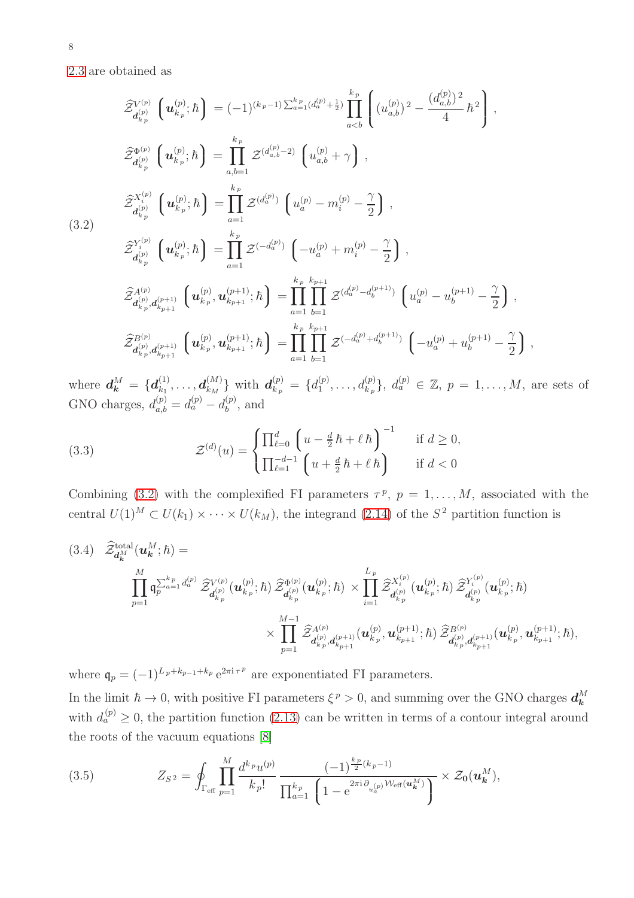[2.3](#page-3-3) are obtained as

<span id="page-7-0"></span>
$$
\hat{\mathcal{Z}}_{d_{k_p}^{(p)}}^{V^{(p)}} \left( \mathbf{u}_{k_p}^{(p)}; \hbar \right) = (-1)^{(k_p - 1) \sum_{a=1}^{k_p} (d_a^{(p)} + \frac{1}{2})} \prod_{a < b}^{k_p} \left( (u_{a,b}^{(p)})^2 - \frac{(d_{a,b}^{(p)})^2}{4} \hbar^2 \right),
$$
\n
$$
\hat{\mathcal{Z}}_{d_{k_p}^{(p)}}^{ \Phi^{(p)}} \left( \mathbf{u}_{k_p}^{(p)}; \hbar \right) = \prod_{a,b=1}^{k_p} \mathcal{Z}^{(d_a^{(p)} - 2)} \left( u_{a,b}^{(p)} + \gamma \right),
$$
\n(3.2)\n
$$
\hat{\mathcal{Z}}_{d_{k_p}^{(p)}}^{X_i^{(p)}} \left( \mathbf{u}_{k_p}^{(p)}; \hbar \right) = \prod_{a=1}^{k_p} \mathcal{Z}^{(d_a^{(p)})} \left( u_a^{(p)} - m_i^{(p)} - \frac{\gamma}{2} \right),
$$
\n(3.2)\n
$$
\hat{\mathcal{Z}}_{d_{k_p}^{(p)}}^{X_i^{(p)}} \left( \mathbf{u}_{k_p}^{(p)}; \hbar \right) = \prod_{a=1}^{k_p} \mathcal{Z}^{(-d_a^{(p)})} \left( -u_a^{(p)} + m_i^{(p)} - \frac{\gamma}{2} \right),
$$
\n
$$
\hat{\mathcal{Z}}_{d_{k_p}^{(p)}, d_{k_{p+1}}^{(p+1)}}^{ \Phi^{(p)}, \Phi^{(p+1)}_{k_{p+1}}; \hbar \right) = \prod_{a=1}^{k_p} \prod_{b=1}^{k_{p+1}} \mathcal{Z}^{(d_a^{(p)} - d_b^{(p+1)})} \left( u_a^{(p)} - u_b^{(p+1)} - \frac{\gamma}{2} \right),
$$
\n
$$
\hat{\mathcal{Z}}_{d_{k_p}^{(p)}, d_{k_{p+1}}^{(p+1)}}^{ \Phi^{(p)}, \Phi^{(p+1)}_{k_{p+1}}; \hbar \right) = \prod_{a=1}^{k_p} \prod_{b=1}^{k_{p+1}} \mathcal{Z}^{(-d_a^{(p)} + d_b^{(p+1)})} \left( -u_a^{(p)} + u_b
$$

where  $d_k^M = \{d_{k_1}^{(1)}$  $\bm{d}^{(1)}_{k_1},\ldots,\bm{d}^{(M)}_{k_M}$  $\left\{ \begin{matrix} (M) \ k_M \end{matrix} \right\}$  with  $\boldsymbol{d}_{k_{\mid p}}^{(p)} = \{d_1^{(p)}\}$  $\binom{(p)}{1}, \ldots, d_{k_p}^{(p)}$ ,  $d_a^{(p)} \in \mathbb{Z}, p = 1, \ldots, M$ , are sets of GNO charges,  $d_{a,b}^{(p)} = d_a^{(p)} - d_b^{(p)}$  $b^{(p)}$ , and

(3.3) 
$$
\mathcal{Z}^{(d)}(u) = \begin{cases} \prod_{\ell=0}^{d} \left( u - \frac{d}{2} \hbar + \ell \hbar \right)^{-1} & \text{if } d \ge 0, \\ \prod_{\ell=1}^{-d-1} \left( u + \frac{d}{2} \hbar + \ell \hbar \right) & \text{if } d < 0 \end{cases}
$$

Combining [\(3.2\)](#page-7-0) with the complexified FI parameters  $\tau^p$ ,  $p = 1, \ldots, M$ , associated with the central  $U(1)^M \subset U(k_1) \times \cdots \times U(k_M)$ , the integrand [\(2.14\)](#page-4-2) of the  $S^2$  partition function is

$$
(3.4) \quad \widehat{\mathcal{Z}}_{\mathbf{d}_{k}^{M}}^{\text{total}}(\mathbf{u}_{k}^{M};\hbar) = \n\prod_{p=1}^{M} \mathfrak{q}_{p}^{\sum_{a=1}^{k_{p}} d_{a}^{(p)}} \widehat{\mathcal{Z}}_{\mathbf{d}_{k_{p}}^{(p)}}^{\text{V(p)}}(\mathbf{u}_{k_{p}}^{(p)};\hbar) \widehat{\mathcal{Z}}_{\mathbf{d}_{k_{p}}^{(p)}}^{\Phi^{(p)}}(\mathbf{u}_{k_{p}}^{(p)};\hbar) \times \prod_{i=1}^{L_{p}} \widehat{\mathcal{Z}}_{\mathbf{d}_{k_{p}}^{(p)}}^{\chi^{(p)}}(\mathbf{u}_{k_{p}}^{(p)};\hbar) \widehat{\mathcal{Z}}_{\mathbf{d}_{k_{p}}^{(p)}}^{\chi^{(p)}}(\mathbf{u}_{k_{p}}^{(p)};\hbar) \widehat{\mathcal{Z}}_{\mathbf{d}_{k_{p}}^{(p)}}^{\chi^{(p)}}(\mathbf{u}_{k_{p}}^{(p)};\hbar) \widehat{\mathcal{Z}}_{\mathbf{d}_{k_{p}}^{(p)}}^{\chi^{(p)}}(\mathbf{u}_{k_{p}}^{(p)};\hbar) \n\times \prod_{p=1}^{M-1} \widehat{\mathcal{Z}}_{\mathbf{d}_{k_{p}}^{(p)},\mathbf{d}_{k_{p+1}}^{(p+1)}}^{\chi^{(p)}}(\mathbf{u}_{k_{p}}^{(p)},\mathbf{u}_{k_{p+1}}^{(p)})^{\chi^{(p)}}(\mathbf{u}_{k_{p}}^{(p)},\mathbf{u}_{k_{p+1}}^{(p)})^{\chi^{(p+1)}}(\mathbf{u}_{k_{p}}^{(p)},\mathbf{u}_{k_{p+1}}^{(p+1)};\hbar),
$$

where  $\mathfrak{q}_p = (-1)^{L_p + k_{p-1} + k_p} e^{2\pi i \tau^p}$  are exponentiated FI parameters.

In the limit  $\hbar \to 0$ , with positive FI parameters  $\xi^p > 0$ , and summing over the GNO charges  $d_k^M$ with  $d_a^{(p)} \geq 0$ , the partition function [\(2.13\)](#page-4-3) can be written in terms of a contour integral around the roots of the vacuum equations [\[8\]](#page-34-2)

(3.5) 
$$
Z_{S^2} = \oint_{\Gamma_{\text{eff}}} \prod_{p=1}^M \frac{d^{k_p} u^{(p)}}{k_p!} \frac{(-1)^{\frac{k_p}{2}(k_p-1)}}{\prod_{a=1}^{k_p} \left(1 - e^{2\pi i \partial_{u_a^{(p)}} \mathcal{W}_{\text{eff}}(u_a^M)}\right)} \times \mathcal{Z}_0(u_k^M),
$$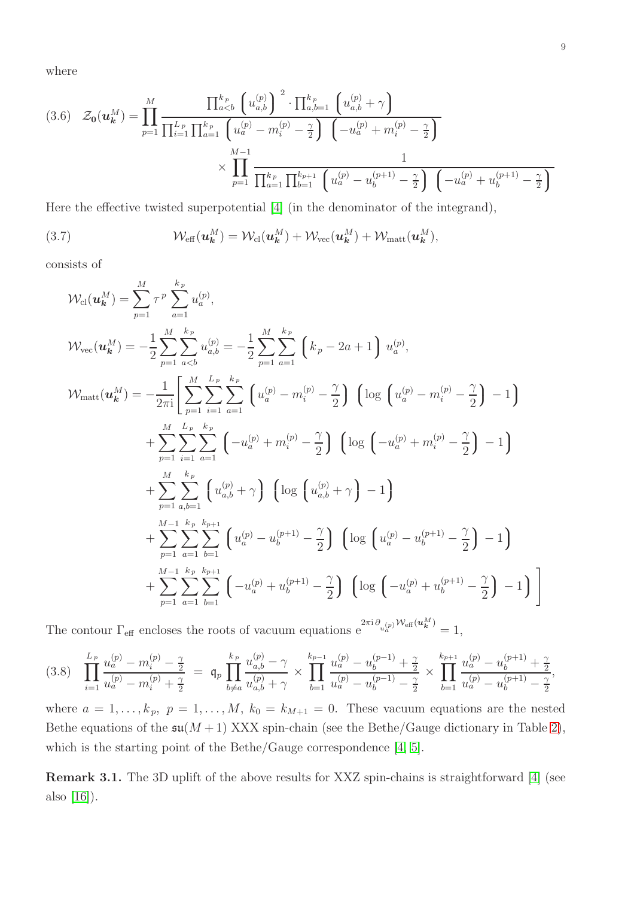where

$$
(3.6) \quad \mathcal{Z}_{0}(u_{k}^{M}) = \prod_{p=1}^{M} \frac{\prod_{a\n
$$
\times \prod_{p=1}^{M-1} \frac{1}{\prod_{a=1}^{k_{p}} \prod_{b=1}^{k_{p+1}} \left(u_{a}^{(p)} - u_{b}^{(p+1)} - \frac{\gamma}{2}\right) \left(-u_{a}^{(p)} + u_{b}^{(p+1)} - \frac{\gamma}{2}\right)}
$$
$$

Here the effective twisted superpotential [\[4\]](#page-33-3) (in the denominator of the integrand),

<span id="page-8-0"></span>(3.7) 
$$
\mathcal{W}_{\text{eff}}(\boldsymbol{u_k^M}) = \mathcal{W}_{\text{cl}}(\boldsymbol{u_k^M}) + \mathcal{W}_{\text{vec}}(\boldsymbol{u_k^M}) + \mathcal{W}_{\text{matt}}(\boldsymbol{u_k^M}),
$$

consists of

$$
\mathcal{W}_{\text{cl}}(\boldsymbol{u}_{k}^{M}) = \sum_{p=1}^{M} \tau^{p} \sum_{a=1}^{k_{p}} u_{a}^{(p)},
$$
\n
$$
\mathcal{W}_{\text{vec}}(\boldsymbol{u}_{k}^{M}) = -\frac{1}{2} \sum_{p=1}^{M} \sum_{a=b}^{k_{p}} u_{a,b}^{(p)} = -\frac{1}{2} \sum_{p=1}^{M} \sum_{a=1}^{k_{p}} \left( k_{p} - 2a + 1 \right) u_{a}^{(p)},
$$
\n
$$
\mathcal{W}_{\text{matt}}(\boldsymbol{u}_{k}^{M}) = -\frac{1}{2\pi i} \left[ \sum_{p=1}^{M} \sum_{i=1}^{L_{p}} \sum_{a=1}^{k_{p}} \left( u_{a}^{(p)} - m_{i}^{(p)} - \frac{\gamma}{2} \right) \left( \log \left( u_{a}^{(p)} - m_{i}^{(p)} - \frac{\gamma}{2} \right) - 1 \right) \right.
$$
\n
$$
+ \sum_{p=1}^{M} \sum_{i=1}^{L_{p}} \sum_{a=1}^{k_{p}} \left( -u_{a}^{(p)} + m_{i}^{(p)} - \frac{\gamma}{2} \right) \left( \log \left( -u_{a}^{(p)} + m_{i}^{(p)} - \frac{\gamma}{2} \right) - 1 \right)
$$
\n
$$
+ \sum_{p=1}^{M} \sum_{a,b=1}^{k_{p}} \left( u_{a,b}^{(p)} + \gamma \right) \left( \log \left( u_{a,b}^{(p)} + \gamma \right) - 1 \right)
$$
\n
$$
+ \sum_{p=1}^{M-1} \sum_{a=1}^{k_{p}} \sum_{b=1}^{k_{p+1}} \left( u_{a}^{(p)} - u_{b}^{(p+1)} - \frac{\gamma}{2} \right) \left( \log \left( u_{a}^{(p)} - u_{b}^{(p+1)} - \frac{\gamma}{2} \right) - 1 \right)
$$
\n
$$
+ \sum_{p=1}^{M-1} \sum_{a=1}^{k_{p}} \sum_{b=1}^{k_{p+1}} \left( -u_{a}^{(p)} + u_{b}^{(p+1)} - \frac{\gamma}{2} \right) \left( \log \left( -u_{a}
$$

The contour  $\Gamma_{\text{eff}}$  encloses the roots of vacuum equations  $e^{2\pi i \partial_{u_{a}^{(p)}} \mathcal{W}_{\text{eff}}(u_{k}^{M})} = 1$ ,

<span id="page-8-1"></span>
$$
(3.8) \quad \prod_{i=1}^{L_p} \frac{u_a^{(p)} - m_i^{(p)} - \frac{\gamma}{2}}{u_a^{(p)} - m_i^{(p)} + \frac{\gamma}{2}} = q_p \prod_{b \neq a}^{k_p} \frac{u_{a,b}^{(p)} - \gamma}{u_{a,b}^{(p)} + \gamma} \times \prod_{b=1}^{k_{p-1}} \frac{u_a^{(p)} - u_b^{(p-1)} + \frac{\gamma}{2}}{u_a^{(p)} - u_b^{(p-1)} - \frac{\gamma}{2}} \times \prod_{b=1}^{k_{p+1}} \frac{u_a^{(p)} - u_b^{(p+1)} + \frac{\gamma}{2}}{u_a^{(p)} - u_b^{(p+1)} - \frac{\gamma}{2}},
$$

where  $a = 1, \ldots, k_p, p = 1, \ldots, M, k_0 = k_{M+1} = 0$ . These vacuum equations are the nested Bethe equations of the  $\mathfrak{su}(M+1)$  XXX spin-chain (see the Bethe/Gauge dictionary in Table [2\)](#page-6-0), which is the starting point of the Bethe/Gauge correspondence [\[4,](#page-33-3) [5\]](#page-33-4).

Remark 3.1. The 3D uplift of the above results for XXZ spin-chains is straightforward [\[4\]](#page-33-3) (see also [\[16\]](#page-34-10)).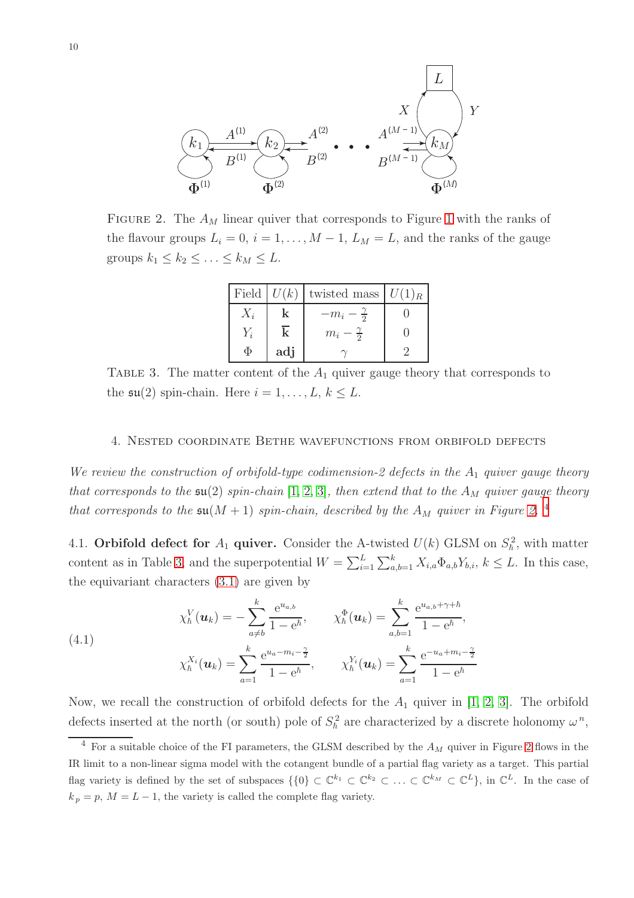<span id="page-9-1"></span>

<span id="page-9-3"></span>FIGURE 2. The  $A_M$  linear quiver that corresponds to Figure [1](#page-5-0) with the ranks of the flavour groups  $L_i = 0$ ,  $i = 1, ..., M - 1$ ,  $L_M = L$ , and the ranks of the gauge groups  $k_1 \leq k_2 \leq \ldots \leq k_M \leq L$ .

| Field $U(k)$ |     | twisted mass $ U(1)_R$ |  |
|--------------|-----|------------------------|--|
| $X_i$        | k   | $-m_i-\frac{1}{2}$     |  |
| $Y_i$        |     | $m_i-\frac{1}{2}$      |  |
|              | adj |                        |  |

TABLE 3. The matter content of the  $A_1$  quiver gauge theory that corresponds to the  $\mathfrak{su}(2)$  spin-chain. Here  $i = 1, \ldots, L, k \leq L$ .

### <span id="page-9-0"></span>4. Nested coordinate Bethe wavefunctions from orbifold defects

We review the construction of orbifold-type codimension-2 defects in the  $A_1$  quiver gauge theory that corresponds to the  $\mathfrak{su}(2)$  spin-chain  $[1, 2, 3]$  $[1, 2, 3]$  $[1, 2, 3]$ , then extend that to the  $A_M$  quiver gauge theory that corresponds to the  $\mathfrak{su}(M+1)$  spin-chain, described by the  $A_M$  quiver in Figure [2.](#page-9-1)<sup>[4](#page-9-2)</sup>

4.1. Orbifold defect for  $A_1$  quiver. Consider the A-twisted  $U(k)$  GLSM on  $S_h^2$ , with matter content as in Table [3,](#page-9-3) and the superpotential  $W = \sum_{i=1}^{L} \sum_{a,b=1}^{k} X_{i,a} \Phi_{a,b} Y_{b,i}, k \leq L$ . In this case, the equivariant characters [\(3.1\)](#page-6-1) are given by

<span id="page-9-4"></span>(4.1)  

$$
\chi_{\hbar}^{V}(\boldsymbol{u}_{k}) = -\sum_{a \neq b}^{k} \frac{e^{u_{a,b}}}{1 - e^{\hbar}}, \qquad \chi_{\hbar}^{\Phi}(\boldsymbol{u}_{k}) = \sum_{a,b=1}^{k} \frac{e^{u_{a,b} + \gamma + \hbar}}{1 - e^{\hbar}},
$$

$$
\chi_{\hbar}^{X_{i}}(\boldsymbol{u}_{k}) = \sum_{a=1}^{k} \frac{e^{u_{a} - m_{i} - \frac{\gamma}{2}}}{1 - e^{\hbar}}, \qquad \chi_{\hbar}^{Y_{i}}(\boldsymbol{u}_{k}) = \sum_{a=1}^{k} \frac{e^{-u_{a} + m_{i} - \frac{\gamma}{2}}}{1 - e^{\hbar}}
$$

Now, we recall the construction of orbifold defects for the  $A_1$  quiver in [\[1,](#page-33-0) [2,](#page-33-1) [3\]](#page-33-2). The orbifold defects inserted at the north (or south) pole of  $S_h^2$  are characterized by a discrete holonomy  $\omega^n$ ,

<span id="page-9-2"></span> $4$  For a suitable choice of the FI parameters, the GLSM described by the  $A_M$  quiver in Figure [2](#page-9-1) flows in the IR limit to a non-linear sigma model with the cotangent bundle of a partial flag variety as a target. This partial flag variety is defined by the set of subspaces  $\{\{0\} \subset \mathbb{C}^{k_1} \subset \mathbb{C}^{k_2} \subset \ldots \subset \mathbb{C}^{k_M} \subset \mathbb{C}^L\}$ , in  $\mathbb{C}^L$ . In the case of  $k_p = p$ ,  $M = L - 1$ , the variety is called the complete flag variety.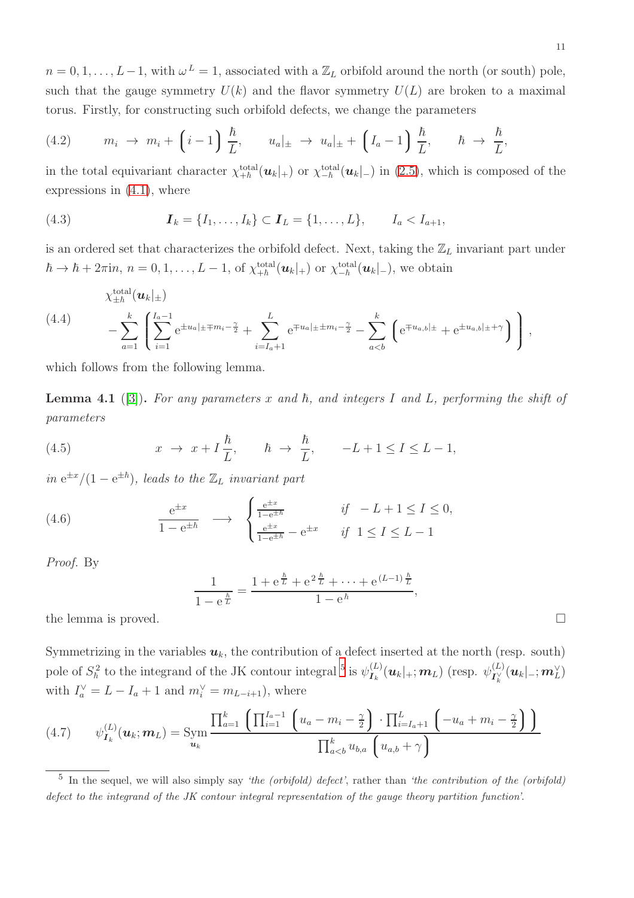$n = 0, 1, \ldots, L-1$ , with  $\omega^L = 1$ , associated with a  $\mathbb{Z}_L$  orbifold around the north (or south) pole, such that the gauge symmetry  $U(k)$  and the flavor symmetry  $U(L)$  are broken to a maximal torus. Firstly, for constructing such orbifold defects, we change the parameters

<span id="page-10-2"></span>(4.2) 
$$
m_i \rightarrow m_i + \left(i-1\right) \frac{\hbar}{L}, \qquad u_a|_{\pm} \rightarrow u_a|_{\pm} + \left(I_a - 1\right) \frac{\hbar}{L}, \qquad \hbar \rightarrow \frac{\hbar}{L},
$$

in the total equivariant character  $\chi_{+\hbar}^{\text{total}}(\mathbf{u}_k|_+)$  or  $\chi_{-\hbar}^{\text{total}}(\mathbf{u}_k|_-)$  in [\(2.5\)](#page-3-4), which is composed of the expressions in [\(4.1\)](#page-9-4), where

(4.3) 
$$
I_k = \{I_1, ..., I_k\} \subset I_L = \{1, ..., L\}, \qquad I_a < I_{a+1},
$$

is an ordered set that characterizes the orbifold defect. Next, taking the  $\mathbb{Z}_L$  invariant part under  $\hbar \to \hbar + 2\pi \mathrm{i} n$ ,  $n = 0, 1, \ldots, L - 1$ , of  $\chi_{+\hbar}^{\text{total}}(\boldsymbol{u}_k|_+)$  or  $\chi_{-\hbar}^{\text{total}}(\boldsymbol{u}_k|_-)$ , we obtain

<span id="page-10-1"></span>
$$
\chi_{\pm\hbar}^{\text{total}}(\boldsymbol{u}_{k}|_{\pm})
$$
\n
$$
-\sum_{a=1}^{k}\left[\sum_{i=1}^{I_{a}-1}e^{\pm u_{a}|_{\pm}+m_{i}-\frac{\gamma}{2}}+\sum_{i=I_{a}+1}^{L}e^{\mp u_{a}|_{\pm}+m_{i}-\frac{\gamma}{2}}-\sum_{a
$$

which follows from the following lemma.

<span id="page-10-3"></span>**Lemma 4.1** ([\[3\]](#page-33-2)). For any parameters x and  $\hbar$ , and integers I and L, performing the shift of parameters

(4.5) 
$$
x \to x + I\frac{\hbar}{L}, \quad \hbar \to \frac{\hbar}{L}, \quad -L+1 \leq I \leq L-1,
$$

in  $e^{\pm x}/(1-e^{\pm \hbar})$ , leads to the  $\mathbb{Z}_L$  invariant part

(4.6) 
$$
\frac{e^{\pm x}}{1 - e^{\pm \hbar}} \longrightarrow \begin{cases} \frac{e^{\pm x}}{1 - e^{\pm \hbar}} & \text{if } -L + 1 \leq I \leq 0, \\ \frac{e^{\pm x}}{1 - e^{\pm \hbar}} - e^{\pm x} & \text{if } 1 \leq I \leq L - 1 \end{cases}
$$

Proof. By

$$
\frac{1}{1 - e^{\frac{\hbar}{L}}} = \frac{1 + e^{\frac{\hbar}{L}} + e^{2\frac{\hbar}{L}} + \dots + e^{(L-1)\frac{\hbar}{L}}}{1 - e^{\hbar}},
$$

the lemma is proved.

Symmetrizing in the variables  $u_k$ , the contribution of a defect inserted at the north (resp. south) pole of  $S_\hbar^2$  to the integrand of the JK contour integral <sup>[5](#page-10-0)</sup> is  $\psi_{I_k}^{(L)}(\mathbf{u}_k|_+;\mathbf{m}_L)$  (resp.  $\psi_{I_k'}^{(L)}$  $\frac{d(L)}{d(k)}(\boldsymbol{u}_k|\_{,\cdot};\boldsymbol{m}_L^{\vee})$ with  $I_a^{\vee} = L - I_a + 1$  and  $m_i^{\vee} = m_{L-i+1}$ , where

<span id="page-10-4"></span>
$$
(4.7) \qquad \psi_{\mathbf{I}_{k}}^{(L)}(\mathbf{u}_{k};\mathbf{m}_{L}) = \text{Sym} \frac{\prod_{a=1}^{k} \left( \prod_{i=1}^{I_{a}-1} \left( u_{a}-m_{i}-\frac{\gamma}{2} \right) \cdot \prod_{i=I_{a}+1}^{L} \left( -u_{a}+m_{i}-\frac{\gamma}{2} \right) \right)}{\prod_{a
$$

<span id="page-10-0"></span><sup>&</sup>lt;sup>5</sup> In the sequel, we will also simply say 'the (orbifold) defect', rather than 'the contribution of the (orbifold) defect to the integrand of the JK contour integral representation of the gauge theory partition function'.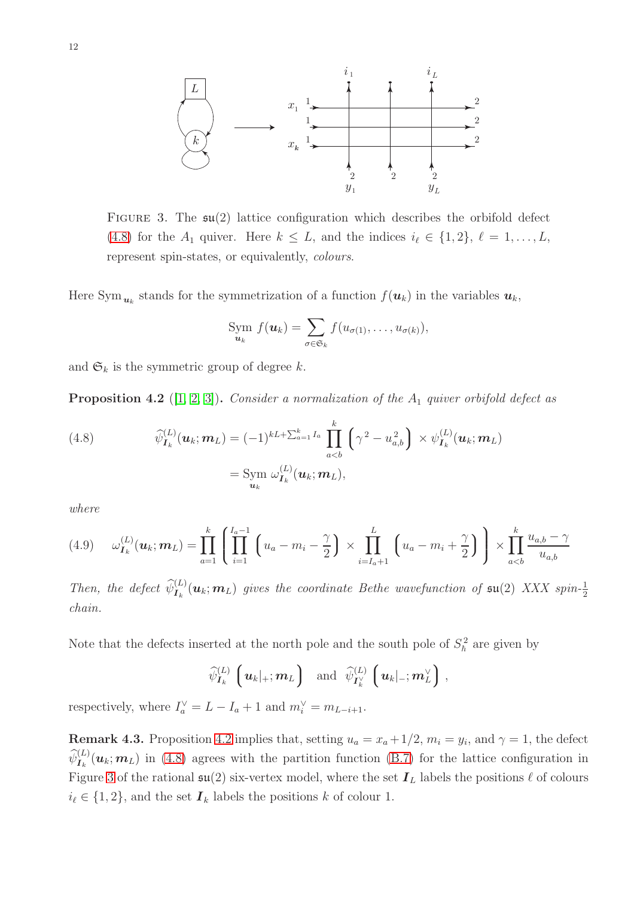<span id="page-11-2"></span>

FIGURE 3. The  $\mathfrak{su}(2)$  lattice configuration which describes the orbifold defect [\(4.8\)](#page-11-0) for the  $A_1$  quiver. Here  $k \leq L$ , and the indices  $i_{\ell} \in \{1,2\}, \ell = 1,\ldots,L$ , represent spin-states, or equivalently, colours.

Here Sym $_{u_k}$  stands for the symmetrization of a function  $f(u_k)$  in the variables  $u_k$ ,

$$
\lim_{u_k} f(\boldsymbol{u}_k) = \sum_{\sigma \in \mathfrak{S}_k} f(u_{\sigma(1)}, \ldots, u_{\sigma(k)}),
$$

and  $\mathfrak{S}_k$  is the symmetric group of degree k.

<span id="page-11-1"></span>**Proposition 4.2** ([\[1,](#page-33-0) [2,](#page-33-1) [3\]](#page-33-2)). Consider a normalization of the  $A_1$  quiver orbifold defect as

<span id="page-11-0"></span>(4.8) 
$$
\widehat{\psi}_{\mathbf{I}_k}^{(L)}(\mathbf{u}_k; \mathbf{m}_L) = (-1)^{kL + \sum_{a=1}^k I_a} \prod_{a < b}^k \left( \gamma^2 - u_{a,b}^2 \right) \times \psi_{\mathbf{I}_k}^{(L)}(\mathbf{u}_k; \mathbf{m}_L)
$$

$$
= \text{Sym } \omega_{\mathbf{I}_k}^{(L)}(\mathbf{u}_k; \mathbf{m}_L),
$$

where

<span id="page-11-3"></span>
$$
(4.9) \t\omega_{\mathbf{I}_k}^{(L)}(\mathbf{u}_k; \mathbf{m}_L) = \prod_{a=1}^k \left( \prod_{i=1}^{I_a - 1} \left( u_a - m_i - \frac{\gamma}{2} \right) \times \prod_{i=I_a + 1}^L \left( u_a - m_i + \frac{\gamma}{2} \right) \right) \times \prod_{a < b}^k \frac{u_{a,b} - \gamma}{u_{a,b}}
$$

Then, the defect  $\widehat{\psi}_{I_k}^{(L)}(\mathbf{u}_k; \mathbf{m}_L)$  gives the coordinate Bethe wavefunction of  $\mathfrak{su}(2)$  XXX spin- $\frac{1}{2}$ chain.

Note that the defects inserted at the north pole and the south pole of  $S_h^2$  are given by

$$
\widehat{\psi}_{I_k}^{(L)}\left(u_k|+;m_L\right)
$$
 and  $\widehat{\psi}_{I_k^{\vee}}^{(L)}\left(u_k|_-;m_L^{\vee}\right)$ ,

respectively, where  $I_a^{\vee} = L - I_a + 1$  and  $m_i^{\vee} = m_{L-i+1}$ .

**Remark 4.3.** Proposition [4.2](#page-11-1) implies that, setting  $u_a = x_a + 1/2$ ,  $m_i = y_i$ , and  $\gamma = 1$ , the defect  $\widehat{\psi}_{I_k}^{(L)}(u_k; m_L)$  in [\(4.8\)](#page-11-0) agrees with the partition function [\(B.7\)](#page-33-5) for the lattice configuration in Figure [3](#page-11-2) of the rational  $\mathfrak{su}(2)$  six-vertex model, where the set  $\mathbf{I}_L$  labels the positions  $\ell$  of colours  $i_{\ell} \in \{1, 2\}$ , and the set  $\mathbf{I}_k$  labels the positions k of colour 1.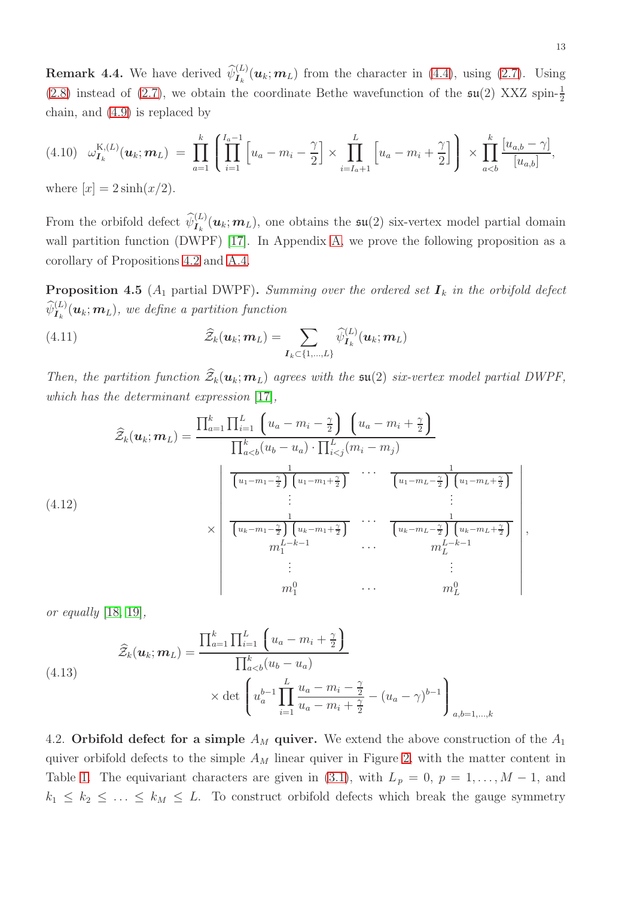<span id="page-12-1"></span>**Remark 4.4.** We have derived  $\widehat{\psi}_{I_k}^{(L)}(\mathbf{u}_k; \mathbf{m}_L)$  from the character in [\(4.4\)](#page-10-1), using [\(2.7\)](#page-3-1). Using [\(2.8\)](#page-3-2) instead of [\(2.7\)](#page-3-1), we obtain the coordinate Bethe wavefunction of the  $\mathfrak{su}(2)$  XXZ spin- $\frac{1}{2}$ chain, and [\(4.9\)](#page-11-3) is replaced by

$$
(4.10) \quad \omega_{I_k}^{K,(L)}(\boldsymbol{u}_k; \boldsymbol{m}_L) \; = \; \prod_{a=1}^k \left[ \prod_{i=1}^{I_a-1} \left[ u_a - m_i - \frac{\gamma}{2} \right] \times \prod_{i=I_a+1}^L \left[ u_a - m_i + \frac{\gamma}{2} \right] \right) \; \times \; \prod_{a
$$

where  $|x| = 2 \sinh(x/2)$ .

From the orbifold defect  $\widehat{\psi}_{I_k}^{(L)}(\mu_k; m_L)$ , one obtains the  $\mathfrak{su}(2)$  six-vertex model partial domain wall partition function (DWPF) [\[17\]](#page-34-11). In Appendix [A,](#page-28-0) we prove the following proposition as a corollary of Propositions [4.2](#page-11-1) and [A.4.](#page-30-1)

<span id="page-12-0"></span>**Proposition 4.5** ( $A_1$  partial DWPF). Summing over the ordered set  $I_k$  in the orbifold defect  $\widehat{\psi}^{(L)}_{\boldsymbol{I}_{k}}(\boldsymbol{u}_k;\boldsymbol{m}_L),$  we define a partition function

<span id="page-12-2"></span>(4.11) 
$$
\widehat{\mathcal{Z}}_k(\boldsymbol{u}_k;\boldsymbol{m}_L) = \sum_{\boldsymbol{I}_k \subset \{1,\ldots,L\}} \widehat{\psi}_{\boldsymbol{I}_k}^{(L)}(\boldsymbol{u}_k;\boldsymbol{m}_L)
$$

Then, the partition function  $\widehat{Z}_k(\mathbf{u}_k;\mathbf{m}_L)$  agrees with the  $\mathfrak{su}(2)$  six-vertex model partial DWPF, which has the determinant expression [\[17\]](#page-34-11),

$$
\hat{Z}_k(\boldsymbol{u}_k; \boldsymbol{m}_L) = \frac{\prod_{a=1}^k \prod_{i=1}^L \left( u_a - m_i - \frac{\gamma}{2} \right) \left( u_a - m_i + \frac{\gamma}{2} \right)}{\prod_{a
$$

or equally [\[18,](#page-34-12) [19\]](#page-34-13),

(4.13) 
$$
\widehat{Z}_k(\boldsymbol{u}_k; \boldsymbol{m}_L) = \frac{\prod_{a=1}^k \prod_{i=1}^L \left(u_a - m_i + \frac{\gamma}{2}\right)}{\prod_{a
$$

<span id="page-12-3"></span>4.2. Orbifold defect for a simple  $A_M$  quiver. We extend the above construction of the  $A_1$ quiver orbifold defects to the simple  $A_M$  linear quiver in Figure [2,](#page-9-1) with the matter content in Table [1.](#page-5-1) The equivariant characters are given in [\(3.1\)](#page-6-1), with  $L_p = 0$ ,  $p = 1, ..., M - 1$ , and  $k_1 \leq k_2 \leq \ldots \leq k_M \leq L$ . To construct orbifold defects which break the gauge symmetry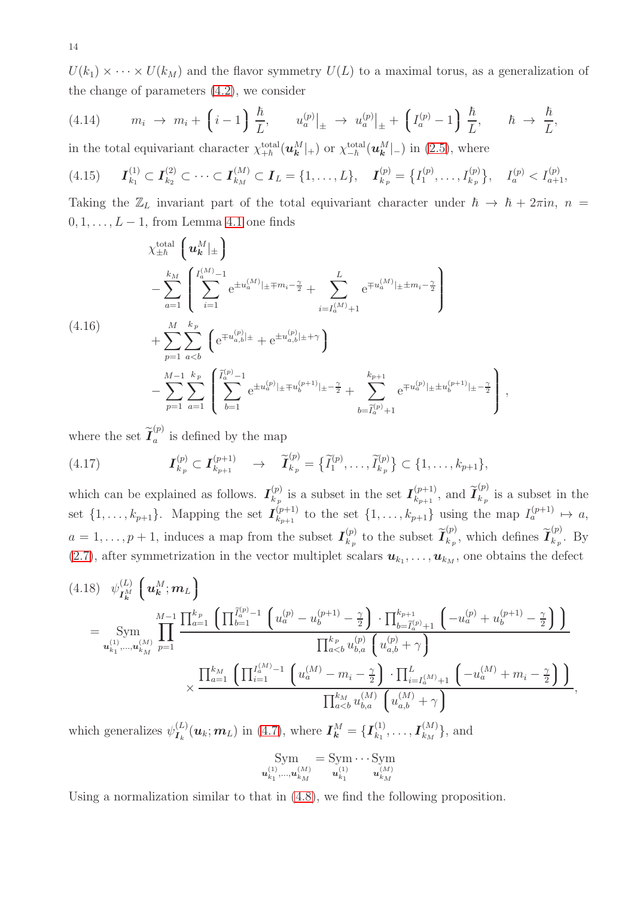$U(k_1) \times \cdots \times U(k_M)$  and the flavor symmetry  $U(L)$  to a maximal torus, as a generalization of the change of parameters [\(4.2\)](#page-10-2), we consider

<span id="page-13-0"></span>(4.14) 
$$
m_i \rightarrow m_i + \left(i-1\right) \frac{\hbar}{L}, \qquad u_a^{(p)}|_{\pm} \rightarrow u_a^{(p)}|_{\pm} + \left(I_a^{(p)}-1\right) \frac{\hbar}{L}, \qquad \hbar \rightarrow \frac{\hbar}{L},
$$
  
in the total environment chosen step, total  $(\omega M)^{-1}$  or  $\omega$  total  $(\omega M)^{-1}$  is (2.5) where

in the total equivariant character  $\chi_{+\hbar}^{\text{total}}(\boldsymbol{u}_{\boldsymbol{k}}^M|_{+})$  or  $\chi_{-\hbar}^{\text{total}}(\boldsymbol{u}_{\boldsymbol{k}}^M|_{-})$  in [\(2.5\)](#page-3-4), where

<span id="page-13-2"></span>
$$
(4.15) \qquad \boldsymbol{I}_{k_1}^{(1)} \subset \boldsymbol{I}_{k_2}^{(2)} \subset \cdots \subset \boldsymbol{I}_{k_M}^{(M)} \subset \boldsymbol{I}_L = \{1,\ldots,L\}, \qquad \boldsymbol{I}_{k_p}^{(p)} = \left\{I_1^{(p)},\ldots,I_{k_p}^{(p)}\right\}, \qquad I_a^{(p)} < I_{a+1}^{(p)},
$$

Taking the  $\mathbb{Z}_L$  invariant part of the total equivariant character under  $\hbar \to \hbar + 2\pi i n$ ,  $n =$  $0, 1, \ldots, L-1$ , from Lemma [4.1](#page-10-3) one finds

$$
\chi_{\pm\hbar}^{\text{total}}\left(u_{\mathbf{k}}^{M}|_{\pm}\right)
$$
\n
$$
-\sum_{a=1}^{k_{M}}\left(\sum_{i=1}^{I_{a}^{(M)}-1}e^{\pm u_{a}^{(M)}|_{\pm}+m_{i}-\frac{\gamma}{2}}+\sum_{i=I_{a}^{(M)}+1}^{L}e^{\mp u_{a}^{(M)}|_{\pm}+m_{i}-\frac{\gamma}{2}}\right)
$$
\n
$$
+\sum_{p=1}^{M}\sum_{a\n
$$
-\sum_{p=1}^{M-1}\sum_{a=1}^{k_{p}}\left(\sum_{b=1}^{\tilde{I}_{a}^{(p)}-1}e^{\pm u_{a}^{(p)}|_{\pm}+u_{b}^{(p+1)}|_{\pm}-\frac{\gamma}{2}}+\sum_{b=\tilde{I}_{a}^{(p)}+1}^{k_{p+1}}e^{\mp u_{a}^{(p)}|_{\pm}+u_{b}^{(p+1)}|_{\pm}-\frac{\gamma}{2}}\right),
$$
$$

where the set  $\widetilde{I}_a^{(p)}$  $a^{\prime\prime}$  is defined by the map

<span id="page-13-1"></span>
$$
(4.17) \t\t I_{k_p}^{(p)} \subset I_{k_{p+1}}^{(p+1)} \to \tilde{I}_{k_p}^{(p)} = {\tilde{I}_1^{(p)}, \ldots, \tilde{I}_{k_p}^{(p)}} \subset {1, \ldots, k_{p+1}},
$$

which can be explained as follows.  $I_{k_n}^{(p)}$  $\binom{p}{k_p}$  is a subset in the set  $\mathcal{I}_{k_{p+1}}^{(p+1)}$  $_{k_{p+1}}^{(p+1)}$ , and  $\widetilde{\mathcal{I}}_{k_{p}}^{(p)}$  $\binom{r}{k_p}$  is a subset in the set  $\{1, \ldots, k_{p+1}\}.$  Mapping the set  $I_{k_{p+1}}^{(p+1)}$  $\begin{array}{l} (p+1) \ (p+1) \text{ to the set } \{1,\ldots,k_{p+1}\} \text{ using the map } I_a^{(p+1)} \mapsto a, \end{array}$  $a = 1, \ldots, p + 1$ , induces a map from the subset  $I_{k_n}^{(p)}$  $\widetilde{\boldsymbol{I}}^{(p)}_{k_{p}}$  to the subset  $\widetilde{\boldsymbol{I}}^{(p)}_{k_{p}}$  $\widetilde{\mathcal{I}}^{(p)}_{k_p}$ , which defines  $\widetilde{\mathcal{I}}^{(p)}_{k_p}$  $\frac{d}{k_p}$ . By [\(2.7\)](#page-3-1), after symmetrization in the vector multiplet scalars  $u_{k_1}, \ldots, u_{k_M}$ , one obtains the defect

$$
(4.18) \psi_{I_{k}^{M}}^{(L)} \left( \boldsymbol{u}_{k}^{M}; \boldsymbol{m}_{L} \right)
$$
\n
$$
= \text{Sym} \prod_{u_{k_{1},...,u_{k_{M}}}^{(M)}}^{M-1} \prod_{p=1}^{L_{e_{p}}} \frac{\prod_{a=1}^{k_{p}} \left( \prod_{b=1}^{\tilde{I}_{a}^{(p)}-1} \left( u_{a}^{(p)} - u_{b}^{(p+1)} - \frac{\gamma}{2} \right) \cdot \prod_{b=\tilde{I}_{a}^{(p)}+1}^{k_{p+1}} \left( -u_{a}^{(p)} + u_{b}^{(p+1)} - \frac{\gamma}{2} \right) \right)}{\prod_{a\n
$$
\times \frac{\prod_{a=1}^{k_{M}} \left( \prod_{i=1}^{I_{a}^{(M)}-1} \left( u_{a}^{(M)} - m_{i} - \frac{\gamma}{2} \right) \cdot \prod_{i=I_{a}^{(M)}+1}^{L} \left( -u_{a}^{(M)} + m_{i} - \frac{\gamma}{2} \right) \right)}{\prod_{a
$$
$$

which generalizes  $\psi_{I_k}^{(L)}(\boldsymbol{u}_k; \boldsymbol{m}_L)$  in [\(4.7\)](#page-10-4), where  $I_k^M = \{I_{k_1}^{(1)}\}$  $\bm{l}_{k_1}^{(1)},\ldots,\bm{I}_{k_M}^{(M)}$  $\{k_M^{(M)}\}\$ , and

$$
\mathop{\mathrm{Sym}}_{\pmb{u}_{k_1}^{(1)},\ldots,\pmb{u}_{k_M}^{(M)}}=\mathop{\mathrm{Sym}}_{\pmb{u}_{k_1}^{(1)}}\cdots \mathop{\mathrm{Sym}}_{\pmb{u}_{k_M}^{(M)}}
$$

Using a normalization similar to that in [\(4.8\)](#page-11-0), we find the following proposition.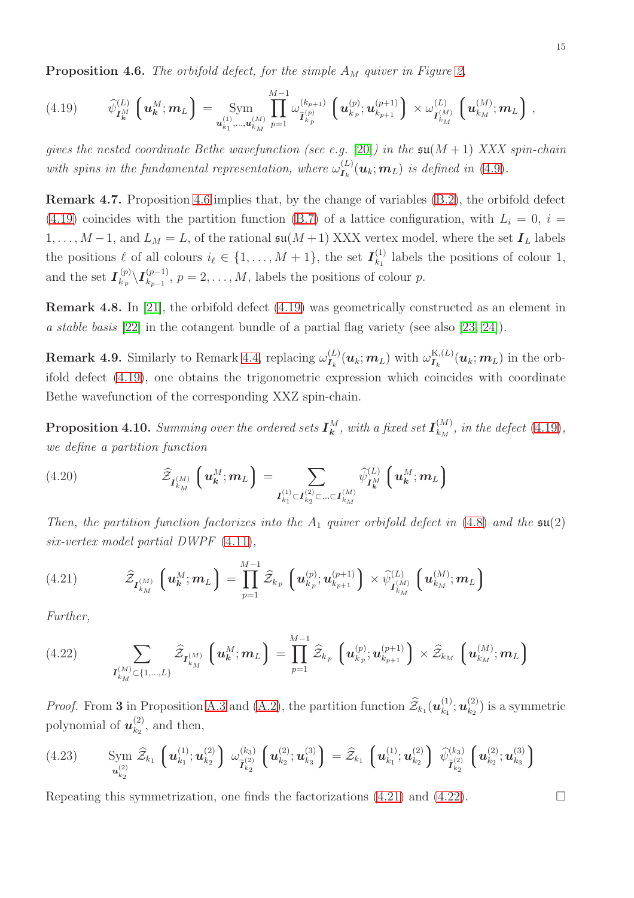<span id="page-14-0"></span>**Proposition 4.6.** The orbifold defect, for the simple  $A_M$  quiver in Figure [2,](#page-9-1)

<span id="page-14-1"></span>
$$
(4.19) \qquad \widehat{\psi}_{\mathbf{I}_{\mathbf{k}}^{M}}^{(L)}\left(\mathbf{u}_{\mathbf{k}}^{M};\mathbf{m}_{L}\right)=\underset{\mathbf{u}_{k_{1}}^{(1)},...,\mathbf{u}_{k_{M}}^{(M)}}{u_{k_{1}}^{(1)},...,u_{k_{M}}^{(M)}}\prod_{p=1}^{M-1}\omega_{\widetilde{\mathbf{I}}_{k_{p}}^{(p)}}^{(k_{p+1})}\left(\mathbf{u}_{k_{p}}^{(p)};\mathbf{u}_{k_{p+1}}^{(p+1)}\right)\times\omega_{\mathbf{I}_{k_{M}}^{(M)}}^{(L)}\left(\mathbf{u}_{k_{M}}^{(M)};\mathbf{m}_{L}\right),
$$

gives the nested coordinate Bethe wavefunction (see e.g. [\[20\]](#page-34-14)) in the  $\mathfrak{su}(M+1)$  XXX spin-chain with spins in the fundamental representation, where  $\omega_{I_k}^{(L)}(\mathbf{u}_k; \mathbf{m}_L)$  is defined in [\(4.9\)](#page-11-3).

<span id="page-14-4"></span>Remark 4.7. Proposition [4.6](#page-14-0) implies that, by the change of variables [\(B.2\)](#page-31-0), the orbifold defect [\(4.19\)](#page-14-1) coincides with the partition function [\(B.7\)](#page-33-5) of a lattice configuration, with  $L<sub>i</sub> = 0$ ,  $i =$  $1, \ldots, M-1$ , and  $L_M = L$ , of the rational  $\mathfrak{su}(M+1)$  XXX vertex model, where the set  $\mathbf{I}_L$  labels the positions  $\ell$  of all colours  $i_{\ell} \in \{1, \ldots, M+1\}$ , the set  $\mathbf{I}_{k_1}^{(1)}$  $\begin{bmatrix} 1 \\ k_1 \end{bmatrix}$  labels the positions of colour 1, and the set  $I_{k_n}^{(p)}$  $\langle p\atop k_p\setminus I^{(p-1)}_{k_{p-1}}$  $\binom{p-1}{k_{p-1}}$ ,  $p=2,\ldots,M$ , labels the positions of colour p.

Remark 4.8. In [\[21\]](#page-34-15), the orbifold defect [\(4.19\)](#page-14-1) was geometrically constructed as an element in a stable basis [\[22\]](#page-34-16) in the cotangent bundle of a partial flag variety (see also [\[23,](#page-34-17) [24\]](#page-34-18)).

**Remark 4.9.** Similarly to Remark [4.4,](#page-12-1) replacing  $\omega_{I_k}^{(L)}(\boldsymbol{u}_k; \boldsymbol{m}_L)$  with  $\omega_{I_k}^{K,(L)}(\boldsymbol{u}_k; \boldsymbol{m}_L)$  in the orbifold defect [\(4.19\)](#page-14-1), one obtains the trigonometric expression which coincides with coordinate Bethe wavefunction of the corresponding XXZ spin-chain.

**Proposition 4.10.** Summing over the ordered sets  $I^M_k$ , with a fixed set  $I^{(M)}_{k_M}$  $\binom{M}{k_M}$ , in the defect [\(4.19\)](#page-14-1), we define a partition function

(4.20) 
$$
\widehat{\mathcal{Z}}_{I_{k_M}^{(M)}}\left(\boldsymbol{u_k^M};\boldsymbol{m_L}\right) = \sum_{\boldsymbol{I_{k_1}^{(1)}} \subset I_{k_2}^{(2)} \subset \ldots \subset I_{k_M}^{(M)}} \widehat{\psi}_{I_k^M}^{(L)}\left(\boldsymbol{u_k^M};\boldsymbol{m_L}\right)
$$

Then, the partition function factorizes into the  $A_1$  quiver orbifold defect in [\(4.8\)](#page-11-0) and the  $\mathfrak{su}(2)$ six-vertex model partial DWPF [\(4.11\)](#page-12-2),

<span id="page-14-2"></span>
$$
(4.21) \qquad \qquad \widehat{\mathcal{Z}}_{\boldsymbol{I}_{k_M}^{(M)}}\left(\boldsymbol{u}_{k}^M;\boldsymbol{m}_L\right) = \prod_{p=1}^{M-1} \widehat{\mathcal{Z}}_{k_p}\left(\boldsymbol{u}_{k_p}^{(p)};\boldsymbol{u}_{k_{p+1}}^{(p+1)}\right) \times \widehat{\psi}_{\boldsymbol{I}_{k_M}^{(M)}}^{(L)}\left(\boldsymbol{u}_{k_M}^{(M)};\boldsymbol{m}_L\right)
$$

Further,

<span id="page-14-3"></span>
$$
(4.22) \qquad \sum_{\mathbf{I}_{k_M}^{(M)} \subset \{1,\ldots,L\}} \widehat{\mathcal{Z}}_{\mathbf{I}_{k_M}^{(M)}} \left( \mathbf{u}_{\mathbf{k}}^M; \mathbf{m}_L \right) = \prod_{p=1}^{M-1} \widehat{\mathcal{Z}}_{k_p} \left( \mathbf{u}_{k_p}^{(p)}; \mathbf{u}_{k_{p+1}}^{(p+1)} \right) \times \widehat{\mathcal{Z}}_{k_M} \left( \mathbf{u}_{k_M}^{(M)}; \mathbf{m}_L \right)
$$

*Proof.* From 3 in Proposition [A.3](#page-28-1) and [\(A.2\)](#page-28-2), the partition function  $\widehat{Z}_{k_1}(\boldsymbol{u}_{k_1}^{(1)})$  $\begin{smallmatrix} (1)\ k_1\end{smallmatrix}; {\bm u}^{(2)}_{k_2}$  $\binom{2}{k_2}$  is a symmetric polynomial of  $u_{k_2}^{(2)}$  $\binom{2}{k_2}$ , and then,

$$
(4.23) \qquad \operatorname{Sym}_{\mathbf{u}_{k_2}^{(2)}} \widehat{\mathcal{Z}}_{k_1} \left( \mathbf{u}_{k_1}^{(1)}; \mathbf{u}_{k_2}^{(2)} \right) \omega_{\widetilde{\mathbf{I}}_{k_2}^{(2)}}^{(k_3)} \left( \mathbf{u}_{k_2}^{(2)}; \mathbf{u}_{k_3}^{(3)} \right) = \widehat{\mathcal{Z}}_{k_1} \left( \mathbf{u}_{k_1}^{(1)}; \mathbf{u}_{k_2}^{(2)} \right) \widehat{\psi}_{\widetilde{\mathbf{I}}_{k_2}^{(2)}}^{(k_3)} \left( \mathbf{u}_{k_2}^{(2)}; \mathbf{u}_{k_3}^{(3)} \right)
$$

Repeating this symmetrization, one finds the factorizations  $(4.21)$  and  $(4.22)$ .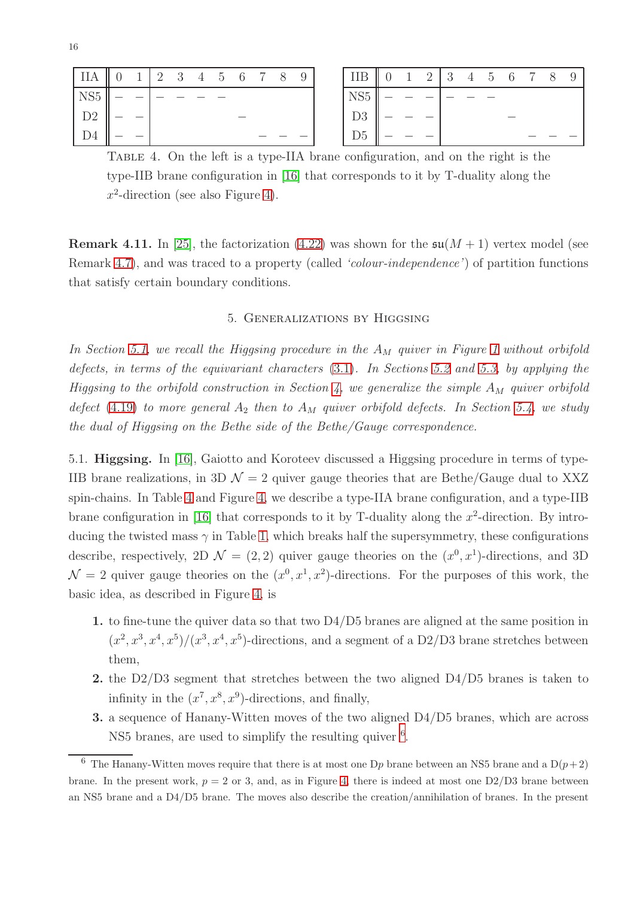<span id="page-15-2"></span>

| $\parallel$ IIA $\parallel$ 0 |  |  |  | $1 \ 2 \ 3 \ 4 \ 5 \ 6 \ 7 \ 8$ |  | 9 <sup>1</sup> | IIB             | $\parallel 0$ |  |  | $1 \t2 \t3 \t4 \t5 \t6 \t7 \t8$ |  | - 9 |
|-------------------------------|--|--|--|---------------------------------|--|----------------|-----------------|---------------|--|--|---------------------------------|--|-----|
| $\mathrm{NS}5$                |  |  |  |                                 |  |                | NS <sub>5</sub> |               |  |  |                                 |  |     |
| D2                            |  |  |  |                                 |  |                | n۵              |               |  |  |                                 |  |     |
| D <sub>4</sub>                |  |  |  |                                 |  |                | D <sub>D</sub>  |               |  |  |                                 |  |     |

Table 4. On the left is a type-IIA brane configuration, and on the right is the type-IIB brane configuration in [\[16\]](#page-34-10) that corresponds to it by T-duality along the  $x^2$ -direction (see also Figure [4\)](#page-16-0).

<span id="page-15-0"></span>**Remark 4.11.** In [\[25\]](#page-34-19), the factorization [\(4.22\)](#page-14-3) was shown for the  $\mathfrak{su}(M+1)$  vertex model (see Remark [4.7\)](#page-14-4), and was traced to a property (called *'colour-independence'*) of partition functions that satisfy certain boundary conditions.

## 5. Generalizations by Higgsing

In Section [5.1,](#page-15-1) we recall the Higgsing procedure in the  $A_M$  quiver in Figure [1](#page-5-0) without orbifold defects, in terms of the equivariant characters [\(3.1\)](#page-6-1). In Sections [5.2](#page-18-0) and [5.3,](#page-21-0) by applying the Higgsing to the orbifold construction in Section [4,](#page-9-0) we generalize the simple  $A_M$  quiver orbifold defect [\(4.19\)](#page-14-1) to more general  $A_2$  then to  $A_M$  quiver orbifold defects. In Section [5.4,](#page-23-0) we study the dual of Higgsing on the Bethe side of the Bethe/Gauge correspondence.

<span id="page-15-1"></span>5.1. Higgsing. In [\[16\]](#page-34-10), Gaiotto and Koroteev discussed a Higgsing procedure in terms of type-IIB brane realizations, in 3D  $\mathcal{N} = 2$  quiver gauge theories that are Bethe/Gauge dual to XXZ spin-chains. In Table [4](#page-15-2) and Figure [4,](#page-16-0) we describe a type-IIA brane configuration, and a type-IIB brane configuration in [\[16\]](#page-34-10) that corresponds to it by T-duality along the  $x^2$ -direction. By introducing the twisted mass  $\gamma$  in Table [1,](#page-5-1) which breaks half the supersymmetry, these configurations describe, respectively, 2D  $\mathcal{N} = (2, 2)$  quiver gauge theories on the  $(x^0, x^1)$ -directions, and 3D  $\mathcal{N}=2$  quiver gauge theories on the  $(x^0, x^1, x^2)$ -directions. For the purposes of this work, the basic idea, as described in Figure [4,](#page-16-0) is

- 1. to fine-tune the quiver data so that two D4/D5 branes are aligned at the same position in  $(x^2, x^3, x^4, x^5)/(x^3, x^4, x^5)$ -directions, and a segment of a D2/D3 brane stretches between them,
- 2. the D2/D3 segment that stretches between the two aligned D4/D5 branes is taken to infinity in the  $(x^7, x^8, x^9)$ -directions, and finally,
- 3. a sequence of Hanany-Witten moves of the two aligned D4/D5 branes, which are across NS5 branes, are used to simplify the resulting quiver <sup>[6](#page-15-3)</sup>.

<span id="page-15-3"></span><sup>&</sup>lt;sup>6</sup> The Hanany-Witten moves require that there is at most one D<sub>p</sub> brane between an NS5 brane and a D $(p+2)$ brane. In the present work,  $p = 2$  or 3, and, as in Figure [4,](#page-16-0) there is indeed at most one  $D2/D3$  brane between an NS5 brane and a D4/D5 brane. The moves also describe the creation/annihilation of branes. In the present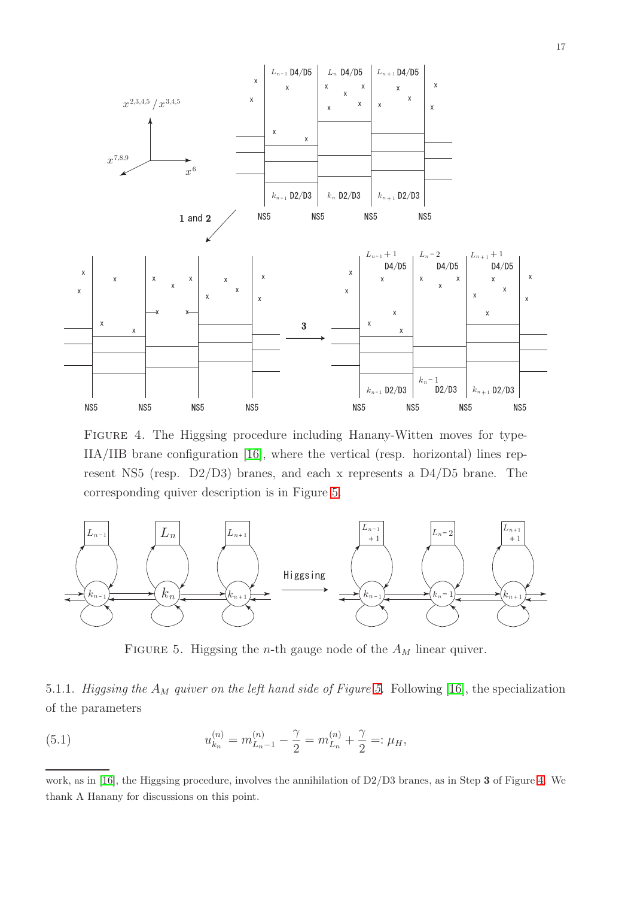<span id="page-16-0"></span>

Figure 4. The Higgsing procedure including Hanany-Witten moves for type-IIA/IIB brane configuration [\[16\]](#page-34-10), where the vertical (resp. horizontal) lines represent NS5 (resp. D2/D3) branes, and each x represents a D4/D5 brane. The corresponding quiver description is in Figure [5.](#page-16-1)

<span id="page-16-1"></span>

FIGURE 5. Higgsing the *n*-th gauge node of the  $A_M$  linear quiver.

## 5.1.1. Higgsing the  $A_M$  quiver on the left hand side of Figure [5.](#page-16-1) Following [\[16\]](#page-34-10), the specialization of the parameters

<span id="page-16-2"></span>(5.1) 
$$
u_{k_n}^{(n)} = m_{L_n-1}^{(n)} - \frac{\gamma}{2} = m_{L_n}^{(n)} + \frac{\gamma}{2} =: \mu_H,
$$

work, as in [\[16\]](#page-34-10), the Higgsing procedure, involves the annihilation of D2/D3 branes, as in Step 3 of Figure [4.](#page-16-0) We thank A Hanany for discussions on this point.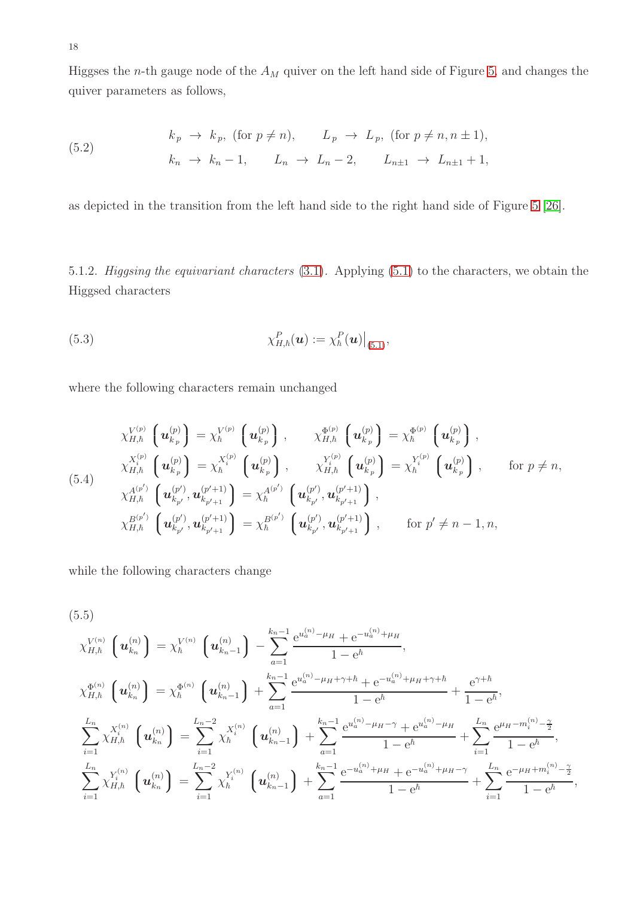Higgses the *n*-th gauge node of the  $A_M$  quiver on the left hand side of Figure [5,](#page-16-1) and changes the quiver parameters as follows,

<span id="page-17-1"></span>(5.2) 
$$
k_p \rightarrow k_p, \text{ (for } p \neq n), \qquad L_p \rightarrow L_p, \text{ (for } p \neq n, n \pm 1),
$$

$$
k_n \rightarrow k_n - 1, \qquad L_n \rightarrow L_n - 2, \qquad L_{n \pm 1} \rightarrow L_{n \pm 1} + 1,
$$

as depicted in the transition from the left hand side to the right hand side of Figure [5](#page-16-1) [\[26\]](#page-34-20).

5.1.2. Higgsing the equivariant characters [\(3.1\)](#page-6-1). Applying [\(5.1\)](#page-16-2) to the characters, we obtain the Higgsed characters

(5.3) 
$$
\chi^P_{H,\hbar}(\boldsymbol{u}) := \chi^P_{\hbar}(\boldsymbol{u})\big|_{(5.1)},
$$

where the following characters remain unchanged

$$
\chi_{H,\hbar}^{V^{(p)}}\left(\mathbf{u}_{k_p}^{(p)}\right) = \chi_{\hbar}^{V^{(p)}}\left(\mathbf{u}_{k_p}^{(p)}\right), \qquad \chi_{H,\hbar}^{\Phi^{(p)}}\left(\mathbf{u}_{k_p}^{(p)}\right) = \chi_{\hbar}^{\Phi^{(p)}}\left(\mathbf{u}_{k_p}^{(p)}\right),
$$
\n
$$
\chi_{H,\hbar}^{X_i^{(p)}}\left(\mathbf{u}_{k_p}^{(p)}\right) = \chi_{\hbar}^{X_i^{(p)}}\left(\mathbf{u}_{k_p}^{(p)}\right), \qquad \chi_{H,\hbar}^{Y_i^{(p)}}\left(\mathbf{u}_{k_p}^{(p)}\right) = \chi_{\hbar}^{Y_i^{(p)}}\left(\mathbf{u}_{k_p}^{(p)}\right), \qquad \text{for } p \neq n,
$$
\n(5.4)\n
$$
\chi_{H,\hbar}^{A^{(p')}}\left(\mathbf{u}_{k_{p'}}^{(p')},\mathbf{u}_{k_{p'+1}}^{(p'+1)}\right) = \chi_{\hbar}^{A^{(p')}}\left(\mathbf{u}_{k_{p'}}^{(p')},\mathbf{u}_{k_{p'+1}}^{(p'+1)}\right),
$$
\n
$$
\chi_{H,\hbar}^{B^{(p')}}\left(\mathbf{u}_{k_{p'}}^{(p')},\mathbf{u}_{k_{p'+1}}^{(p'+1)}\right) = \chi_{\hbar}^{B^{(p')}}\left(\mathbf{u}_{k_{p'}}^{(p')},\mathbf{u}_{k_{p'+1}}^{(p'+1)}\right), \qquad \text{for } p' \neq n-1, n,
$$

while the following characters change

<span id="page-17-0"></span>
$$
(5.5)
$$
\n
$$
\chi_{H,\hbar}^{V^{(n)}}\left(\boldsymbol{u}_{k_{n}}^{(n)}\right) = \chi_{\hbar}^{V^{(n)}}\left(\boldsymbol{u}_{k_{n-1}}^{(n)}\right) - \sum_{a=1}^{k_{n-1}} \frac{e^{u_{a}^{(n)} - \mu_{H}} + e^{-u_{a}^{(n)} + \mu_{H}}}{1 - e^{\hbar}},
$$
\n
$$
\chi_{H,\hbar}^{\Phi^{(n)}}\left(\boldsymbol{u}_{k_{n}}^{(n)}\right) = \chi_{\hbar}^{\Phi^{(n)}}\left(\boldsymbol{u}_{k_{n-1}}^{(n)}\right) + \sum_{a=1}^{k_{n-1}} \frac{e^{u_{a}^{(n)} - \mu_{H} + \gamma + \hbar} + e^{-u_{a}^{(n)} + \mu_{H} + \gamma + \hbar}}{1 - e^{\hbar}} + \frac{e^{\gamma + \hbar}}{1 - e^{\hbar}},
$$
\n
$$
\sum_{i=1}^{L_{n}} \chi_{H,\hbar}^{X^{(n)}}\left(\boldsymbol{u}_{k_{n}}^{(n)}\right) = \sum_{i=1}^{L_{n-2}} \chi_{\hbar}^{X^{(n)}}\left(\boldsymbol{u}_{k_{n-1}}^{(n)}\right) + \sum_{a=1}^{k_{n-1}} \frac{e^{u_{a}^{(n)} - \mu_{H} - \gamma} + e^{u_{a}^{(n)} - \mu_{H}}}{1 - e^{\hbar}} + \sum_{i=1}^{L_{n}} \frac{e^{\mu_{H} - m_{i}^{(n)} - \frac{\gamma}{2}}}{1 - e^{\hbar}},
$$
\n
$$
\sum_{i=1}^{L_{n}} \chi_{H,\hbar}^{Y^{(n)}}\left(\boldsymbol{u}_{k_{n}}^{(n)}\right) = \sum_{i=1}^{L_{n-2}} \chi_{\hbar}^{Y^{(n)}}\left(\boldsymbol{u}_{k_{n-1}}^{(n)}\right) + \sum_{a=1}^{k_{n-1}} \frac{e^{-u_{a}^{(n)} + \mu_{H}} + e^{-u_{a}^{(n)} + \mu_{H} - \gamma}}{1 - e^{\hbar}} + \sum_{i=1}^{L_{n}} \frac{e^{-\mu_{H} + m_{i}^{(n)} - \frac{\gamma}{2}}}{1 - e^{\hbar}},
$$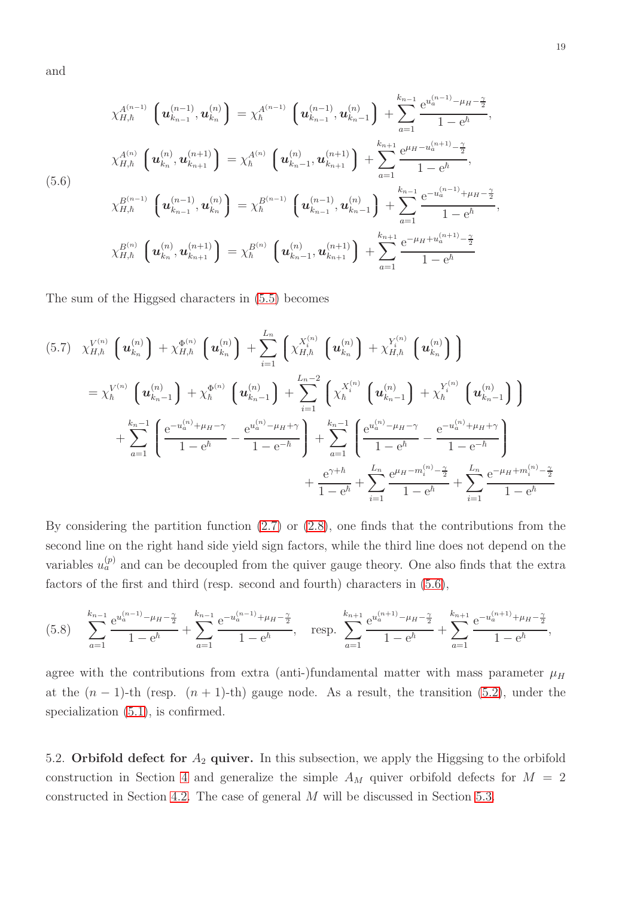and

<span id="page-18-1"></span>
$$
\chi_{H,\hbar}^{A^{(n-1)}}\left(\mathbf{u}_{k_{n-1}}^{(n-1)},\mathbf{u}_{k_n}^{(n)}\right) = \chi_{\hbar}^{A^{(n-1)}}\left(\mathbf{u}_{k_{n-1}}^{(n-1)},\mathbf{u}_{k_n-1}^{(n)}\right) + \sum_{a=1}^{k_{n-1}} \frac{e^{u_a^{(n-1)} - \mu_H - \frac{\gamma}{2}}}{1 - e^{\hbar}},
$$
\n
$$
\chi_{H,\hbar}^{A^{(n)}}\left(\mathbf{u}_{k_n}^{(n)},\mathbf{u}_{k_{n+1}}^{(n+1)}\right) = \chi_{\hbar}^{A^{(n)}}\left(\mathbf{u}_{k_n-1}^{(n)},\mathbf{u}_{k_{n+1}}^{(n+1)}\right) + \sum_{a=1}^{k_{n+1}} \frac{e^{\mu_H - u_a^{(n+1)} - \frac{\gamma}{2}}}{1 - e^{\hbar}},
$$
\n(5.6)\n
$$
\chi_{H,\hbar}^{B^{(n-1)}}\left(\mathbf{u}_{k_{n-1}}^{(n-1)},\mathbf{u}_{k_n}^{(n)}\right) = \chi_{\hbar}^{B^{(n-1)}}\left(\mathbf{u}_{k_{n-1}}^{(n-1)},\mathbf{u}_{k_n-1}^{(n)}\right) + \sum_{a=1}^{k_{n-1}} \frac{e^{-u_a^{(n-1)} + \mu_H - \frac{\gamma}{2}}}{1 - e^{\hbar}},
$$
\n
$$
\chi_{H,\hbar}^{B^{(n)}}\left(\mathbf{u}_{k_n}^{(n)},\mathbf{u}_{k_{n+1}}^{(n+1)}\right) = \chi_{\hbar}^{B^{(n)}}\left(\mathbf{u}_{k_n-1}^{(n)},\mathbf{u}_{k_{n+1}}^{(n+1)}\right) + \sum_{a=1}^{k_{n+1}} \frac{e^{-\mu_H + u_a^{(n+1)} - \frac{\gamma}{2}}}{1 - e^{\hbar}}.
$$

The sum of the Higgsed characters in [\(5.5\)](#page-17-0) becomes

$$
(5.7) \chi_{H,h}^{V^{(n)}} \left( \mathbf{u}_{k_n}^{(n)} \right) + \chi_{H,h}^{\Phi^{(n)}} \left( \mathbf{u}_{k_n}^{(n)} \right) + \sum_{i=1}^{L_n} \left( \chi_{H,h}^{X_i^{(n)}} \left( \mathbf{u}_{k_n}^{(n)} \right) + \chi_{H,h}^{Y_i^{(n)}} \left( \mathbf{u}_{k_n}^{(n)} \right) \right)
$$
  

$$
= \chi_h^{V^{(n)}} \left( \mathbf{u}_{k_n-1}^{(n)} \right) + \chi_h^{\Phi^{(n)}} \left( \mathbf{u}_{k_n-1}^{(n)} \right) + \sum_{i=1}^{L_n-2} \left( \chi_h^{X_i^{(n)}} \left( \mathbf{u}_{k_n-1}^{(n)} \right) + \chi_h^{Y_i^{(n)}} \left( \mathbf{u}_{k_n-1}^{(n)} \right) \right)
$$
  

$$
+ \sum_{a=1}^{k_n-1} \left( \frac{e^{-u_a^{(n)} + \mu_H - \gamma}}{1 - e^h} - \frac{e^{u_a^{(n)} - \mu_H + \gamma}}{1 - e^{-h}} \right) + \sum_{a=1}^{k_n-1} \left( \frac{e^{u_a^{(n)} - \mu_H - \gamma}}{1 - e^h} - \frac{e^{-u_a^{(n)} + \mu_H + \gamma}}{1 - e^{-h}} \right)
$$
  

$$
+ \frac{e^{\gamma + h}}{1 - e^h} + \sum_{i=1}^{L_n} \frac{e^{\mu_H - m_i^{(n)} - \frac{\gamma}{2}}}{1 - e^h} + \sum_{i=1}^{L_n} \frac{e^{-\mu_H + m_i^{(n)} - \frac{\gamma}{2}}}{1 - e^h}
$$

By considering the partition function [\(2.7\)](#page-3-1) or [\(2.8\)](#page-3-2), one finds that the contributions from the second line on the right hand side yield sign factors, while the third line does not depend on the variables  $u_a^{(p)}$  and can be decoupled from the quiver gauge theory. One also finds that the extra factors of the first and third (resp. second and fourth) characters in [\(5.6\)](#page-18-1),

$$
(5.8) \sum_{a=1}^{k_{n-1}} \frac{e^{u_a^{(n-1)} - \mu_H - \frac{\gamma}{2}}}{1 - e^{\hbar}} + \sum_{a=1}^{k_{n-1}} \frac{e^{-u_a^{(n-1)} + \mu_H - \frac{\gamma}{2}}}{1 - e^{\hbar}}, \quad \text{resp. } \sum_{a=1}^{k_{n+1}} \frac{e^{u_a^{(n+1)} - \mu_H - \frac{\gamma}{2}}}{1 - e^{\hbar}} + \sum_{a=1}^{k_{n+1}} \frac{e^{-u_a^{(n+1)} + \mu_H - \frac{\gamma}{2}}}{1 - e^{\hbar}},
$$

agree with the contributions from extra (anti-)fundamental matter with mass parameter  $\mu_H$ at the  $(n-1)$ -th (resp.  $(n+1)$ -th) gauge node. As a result, the transition [\(5.2\)](#page-17-1), under the specialization  $(5.1)$ , is confirmed.

<span id="page-18-0"></span>5.2. Orbifold defect for  $A_2$  quiver. In this subsection, we apply the Higgsing to the orbifold construction in Section [4](#page-9-0) and generalize the simple  $A_M$  quiver orbifold defects for  $M = 2$ constructed in Section [4.2.](#page-12-3) The case of general M will be discussed in Section [5.3.](#page-21-0)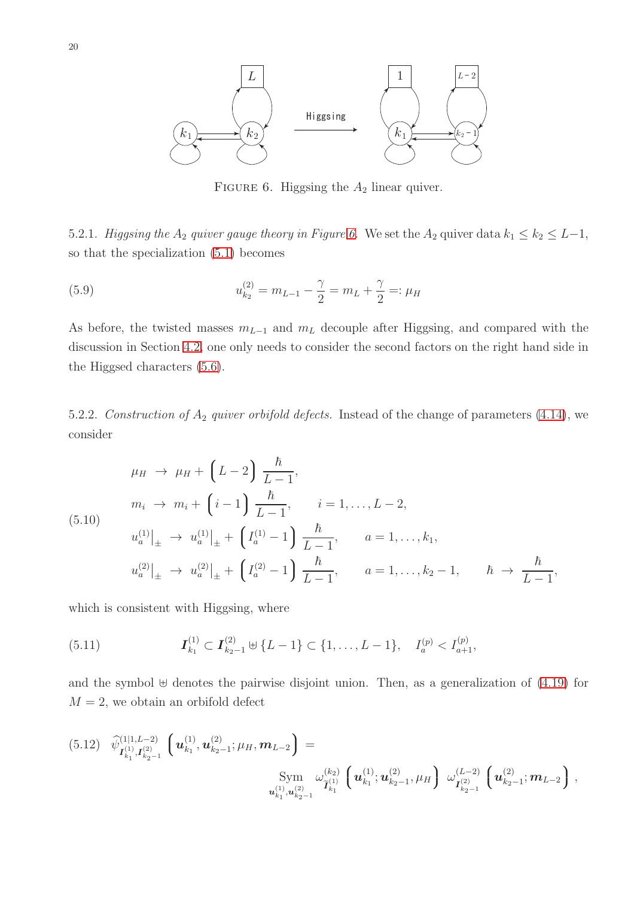<span id="page-19-0"></span>

FIGURE 6. Higgsing the  $A_2$  linear quiver.

5.2.1. Higgsing the  $A_2$  quiver gauge theory in Figure [6.](#page-19-0) We set the  $A_2$  quiver data  $k_1 \leq k_2 \leq L-1$ , so that the specialization [\(5.1\)](#page-16-2) becomes

(5.9) 
$$
u_{k_2}^{(2)} = m_{L-1} - \frac{\gamma}{2} = m_L + \frac{\gamma}{2} =: \mu_H
$$

As before, the twisted masses  $m_{L-1}$  and  $m_L$  decouple after Higgsing, and compared with the discussion in Section [4.2,](#page-12-3) one only needs to consider the second factors on the right hand side in the Higgsed characters [\(5.6\)](#page-18-1).

5.2.2. Construction of  $A_2$  quiver orbifold defects. Instead of the change of parameters [\(4.14\)](#page-13-0), we consider

<span id="page-19-1"></span>
$$
\mu_H \to \mu_H + \left( L - 2 \right) \frac{\hbar}{L - 1},
$$
\n
$$
m_i \to m_i + \left( i - 1 \right) \frac{\hbar}{L - 1}, \quad i = 1, ..., L - 2,
$$
\n
$$
u_a^{(1)}|_{\pm} \to u_a^{(1)}|_{\pm} + \left( I_a^{(1)} - 1 \right) \frac{\hbar}{L - 1}, \quad a = 1, ..., k_1,
$$
\n
$$
u_a^{(2)}|_{\pm} \to u_a^{(2)}|_{\pm} + \left( I_a^{(2)} - 1 \right) \frac{\hbar}{L - 1}, \quad a = 1, ..., k_2 - 1, \quad \hbar \to \frac{\hbar}{L - 1},
$$

which is consistent with Higgsing, where

(5.11) 
$$
\boldsymbol{I}_{k_1}^{(1)} \subset \boldsymbol{I}_{k_2-1}^{(2)} \oplus \{L-1\} \subset \{1,\ldots,L-1\}, \quad I_a^{(p)} < I_{a+1}^{(p)},
$$

and the symbol ⊎ denotes the pairwise disjoint union. Then, as a generalization of [\(4.19\)](#page-14-1) for  $M = 2$ , we obtain an orbifold defect

<span id="page-19-2"></span>
$$
(5.12) \quad \widehat{\psi}_{\mathbf{I}_{k_1}^{(1)},\mathbf{I}_{k_2-1}^{(2)}}^{(1|1,L-2)} \left( \mathbf{u}_{k_1}^{(1)}, \mathbf{u}_{k_2-1}^{(2)}; \mu_H, \mathbf{m}_{L-2} \right) = \n\operatorname{Sym}_{\mathbf{u}_{k_1}^{(1)},\mathbf{u}_{k_2-1}^{(2)}} \left( \mathbf{u}_{k_1}^{(1)}; \mathbf{u}_{k_2-1}^{(2)}, \mu_H \right) \; \omega_{\mathbf{I}_{k_2-1}^{(2)}}^{(L-2)} \left( \mathbf{u}_{k_2-1}^{(2)}; \mathbf{m}_{L-2} \right),
$$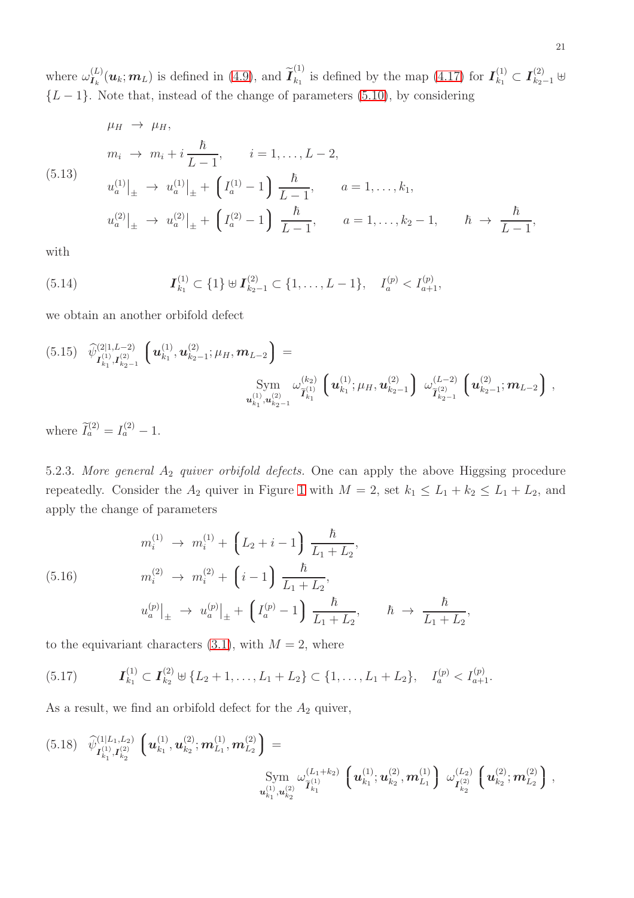where  $\omega_{I_k}^{(L)}(\boldsymbol{u}_k; \boldsymbol{m}_L)$  is defined in [\(4.9\)](#page-11-3), and  $\widetilde{\boldsymbol{I}}_{k_1}^{(1)}$  $\mathbf{L}_{k_1}^{(1)}$  is defined by the map  $(4.17)$  for  $\mathbf{I}_{k_1}^{(1)} \subset \mathbf{I}_{k_2-1}^{(2)}$  ⊎  ${L-1}$ . Note that, instead of the change of parameters [\(5.10\)](#page-19-1), by considering

$$
\mu_H \to \mu_H,
$$
  
\n
$$
m_i \to m_i + i \frac{\hbar}{L - 1}, \qquad i = 1, ..., L - 2,
$$
  
\n(5.13)  
\n
$$
u_a^{(1)}|_{\pm} \to u_a^{(1)}|_{\pm} + \left(I_a^{(1)} - 1\right) \frac{\hbar}{L - 1}, \qquad a = 1, ..., k_1,
$$
  
\n
$$
u_a^{(2)}|_{\pm} \to u_a^{(2)}|_{\pm} + \left(I_a^{(2)} - 1\right) \frac{\hbar}{L - 1}, \qquad a = 1, ..., k_2 - 1, \qquad \hbar \to \frac{\hbar}{L - 1},
$$

with

(5.14) 
$$
\boldsymbol{I}_{k_1}^{(1)} \subset \{1\} \uplus \boldsymbol{I}_{k_2-1}^{(2)} \subset \{1,\ldots,L-1\}, \quad I_a^{(p)} < I_{a+1}^{(p)},
$$

we obtain an another orbifold defect

<span id="page-20-1"></span>
$$
(5.15) \quad \widehat{\psi}_{\mathbf{I}_{k_1}^{(1)},\mathbf{I}_{k_2-1}^{(2)}}^{(2|1,L-2)} \left( \mathbf{u}_{k_1}^{(1)},\mathbf{u}_{k_2-1}^{(2)}; \mu_H, \mathbf{m}_{L-2} \right) = \n\operatorname{Sym}_{\mathbf{u}_{k_1}^{(1)},\mathbf{u}_{k_2-1}^{(2)}} \left( \mathbf{u}_{k_1}^{(1)}; \mu_H, \mathbf{u}_{k_2-1}^{(2)} \right) \omega_{\widetilde{\mathbf{I}}_{k_2-1}^{(2)}}^{(L-2)} \left( \mathbf{u}_{k_2-1}^{(2)}; \mathbf{m}_{L-2} \right),
$$

where  $\widetilde{I}_a^{(2)} = I_a^{(2)} - 1$ .

5.2.3. More general  $A_2$  quiver orbifold defects. One can apply the above Higgsing procedure repeatedly. Consider the  $A_2$  quiver in Figure [1](#page-5-0) with  $M = 2$ , set  $k_1 \le L_1 + k_2 \le L_1 + L_2$ , and apply the change of parameters

<span id="page-20-0"></span>(5.16) 
$$
m_i^{(1)} \to m_i^{(1)} + \left(L_2 + i - 1\right) \frac{\hbar}{L_1 + L_2},
$$

$$
m_i^{(2)} \to m_i^{(2)} + \left(i - 1\right) \frac{\hbar}{L_1 + L_2},
$$

$$
u_a^{(p)}|_{\pm} \to u_a^{(p)}|_{\pm} + \left(I_a^{(p)} - 1\right) \frac{\hbar}{L_1 + L_2}, \qquad \hbar \to \frac{\hbar}{L_1 + L_2},
$$

to the equivariant characters  $(3.1)$ , with  $M = 2$ , where

$$
(5.17) \t\t \mathbf{I}_{k_1}^{(1)} \subset \mathbf{I}_{k_2}^{(2)} \oplus \{L_2+1,\ldots,L_1+L_2\} \subset \{1,\ldots,L_1+L_2\}, \quad I_a^{(p)} < I_{a+1}^{(p)}.
$$

As a result, we find an orbifold defect for the  $A_2$  quiver,

<span id="page-20-2"></span>
$$
(5.18) \quad \widehat{\psi}_{\mathbf{I}_{k_1}^{(1)},\mathbf{I}_{k_2}^{(2)}}^{(1|L_1,L_2)} \left( \mathbf{u}_{k_1}^{(1)},\mathbf{u}_{k_2}^{(2)}; \mathbf{m}_{L_1}^{(1)},\mathbf{m}_{L_2}^{(2)} \right) = \\ \text{Sym} \limits_{\mathbf{u}_{k_1}^{(1)},\mathbf{u}_{k_2}^{(2)}} \omega_{\mathbf{I}_{k_1}^{(1)}}^{(L_1+k_2)} \left( \mathbf{u}_{k_1}^{(1)};\mathbf{u}_{k_2}^{(2)},\mathbf{m}_{L_1}^{(1)} \right) \omega_{\mathbf{I}_{k_2}^{(2)}}^{(L_2)} \left( \mathbf{u}_{k_2}^{(2)}; \mathbf{m}_{L_2}^{(2)} \right),
$$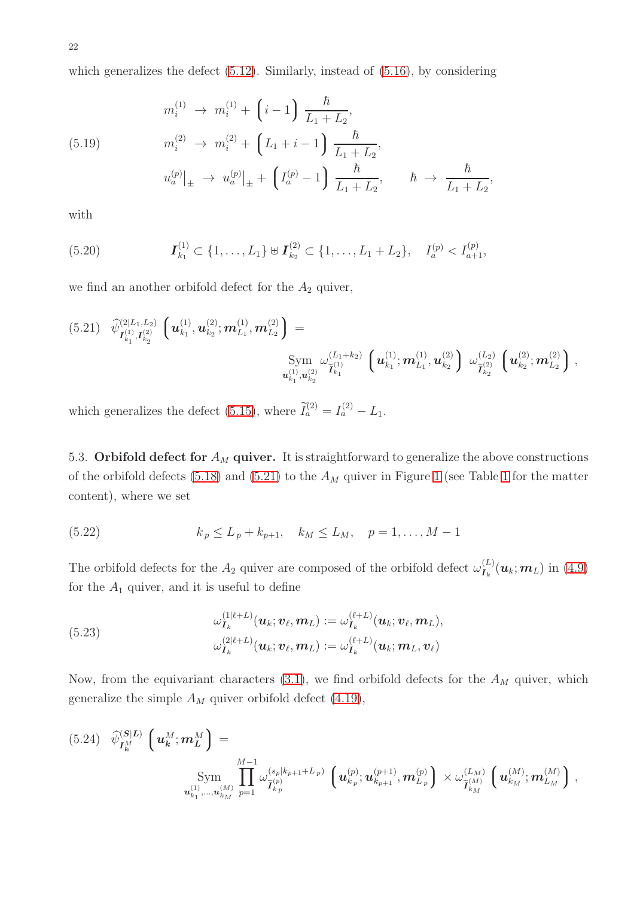which generalizes the defect  $(5.12)$ . Similarly, instead of  $(5.16)$ , by considering

(5.19) 
$$
m_i^{(1)} \to m_i^{(1)} + \left(i - 1\right) \frac{\hbar}{L_1 + L_2},
$$

$$
m_i^{(2)} \to m_i^{(2)} + \left(L_1 + i - 1\right) \frac{\hbar}{L_1 + L_2},
$$

$$
u_a^{(p)}|_{\pm} \to u_a^{(p)}|_{\pm} + \left(I_a^{(p)} - 1\right) \frac{\hbar}{L_1 + L_2}, \qquad \hbar \to \frac{\hbar}{L_1 + L_2},
$$

with

$$
(5.20) \t\t I_{k_1}^{(1)} \subset \{1,\ldots,L_1\} \cup I_{k_2}^{(2)} \subset \{1,\ldots,L_1+L_2\}, \quad I_a^{(p)} < I_{a+1}^{(p)},
$$

we find an another orbifold defect for the  $A_2$  quiver,

<span id="page-21-1"></span>
$$
(5.21) \quad \widehat{\psi}_{\mathbf{I}_{k_1}^{(1)},\mathbf{I}_{k_2}^{(2)}}^{(2|L_1,L_2)} \left( \mathbf{u}_{k_1}^{(1)}, \mathbf{u}_{k_2}^{(2)}; \mathbf{m}_{L_1}^{(1)}, \mathbf{m}_{L_2}^{(2)} \right) = \\ \text{Sym} \limits_{\mathbf{u}_{k_1}^{(1)},\mathbf{u}_{k_2}^{(2)}} \left( \mathbf{u}_{k_1}^{(1)}; \mathbf{m}_{L_1}^{(1)}, \mathbf{m}_{L_1}^{(1)}, \mathbf{u}_{k_2}^{(2)} \right) \left. \omega_{\widetilde{\mathbf{I}}_{k_2}^{(2)}}^{(L_2)} \left( \mathbf{u}_{k_2}^{(2)}; \mathbf{m}_{L_2}^{(2)} \right) \right. \, ,
$$

<span id="page-21-0"></span>which generalizes the defect [\(5.15\)](#page-20-1), where  $\tilde{I}_a^{(2)} = I_a^{(2)} - L_1$ .

5.3. Orbifold defect for  $A_M$  quiver. It is straightforward to generalize the above constructions of the orbifold defects [\(5.18\)](#page-20-2) and [\(5.21\)](#page-21-1) to the  $A_M$  quiver in Figure [1](#page-5-1) (see Table 1 for the matter content), where we set

(5.22) 
$$
k_p \le L_p + k_{p+1}, \quad k_M \le L_M, \quad p = 1, ..., M-1
$$

The orbifold defects for the  $A_2$  quiver are composed of the orbifold defect  $\omega_{I_k}^{(L)}(\mathbf{u}_k;\mathbf{m}_L)$  in [\(4.9\)](#page-11-3) for the  $A_1$  quiver, and it is useful to define

<span id="page-21-3"></span>(5.23)  

$$
\omega_{\mathbf{I}_k}^{(1|\ell+L)}(\mathbf{u}_k; \mathbf{v}_{\ell}, \mathbf{m}_L) := \omega_{\mathbf{I}_k}^{(\ell+L)}(\mathbf{u}_k; \mathbf{v}_{\ell}, \mathbf{m}_L),
$$

$$
\omega_{\mathbf{I}_k}^{(2|\ell+L)}(\mathbf{u}_k; \mathbf{v}_{\ell}, \mathbf{m}_L) := \omega_{\mathbf{I}_k}^{(\ell+L)}(\mathbf{u}_k; \mathbf{m}_L, \mathbf{v}_{\ell})
$$

Now, from the equivariant characters  $(3.1)$ , we find orbifold defects for the  $A_M$  quiver, which generalize the simple  $A_M$  quiver orbifold defect [\(4.19\)](#page-14-1),

<span id="page-21-2"></span>
$$
(5.24) \quad \widehat{\psi}_{I_{k}^{M}}^{(S|L)} \left(u_{k}^{M}; m_{L}^{M}\right) = \sum_{\substack{M-1 \\ u_{k_{1}},...,u_{k_{M}}^{(M)} \ p=1}} \frac{1}{\prod_{p=1}^{M-1} \omega_{\widetilde{I}_{k_{p}}^{(p)}}^{(s_{p}|k_{p+1}+L_{p})} \left(u_{k_{p}}^{(p)}; u_{k_{p+1}}^{(p+1)}, m_{L_{p}}^{(p)}\right) \times \omega_{\widetilde{I}_{k_{M}}^{(M)}}^{(L_{M})} \left(u_{k_{M}}^{(M)}; m_{L_{M}}^{(M)}\right),
$$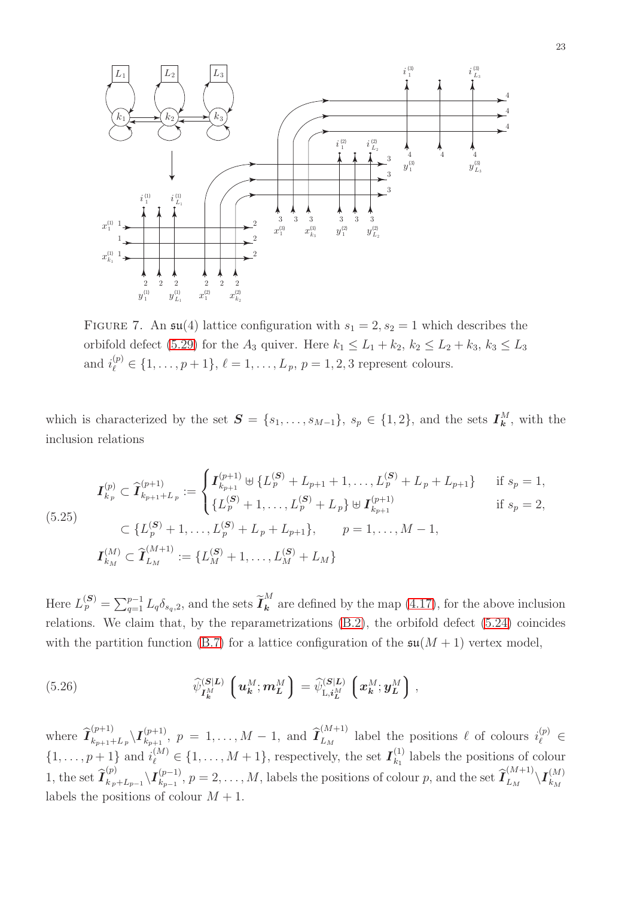<span id="page-22-0"></span>

FIGURE 7. An  $\mathfrak{su}(4)$  lattice configuration with  $s_1 = 2, s_2 = 1$  which describes the orbifold defect [\(5.29\)](#page-23-1) for the  $A_3$  quiver. Here  $k_1 \leq L_1 + k_2$ ,  $k_2 \leq L_2 + k_3$ ,  $k_3 \leq L_3$ and  $i_{\ell}^{(p)} \in \{1, ..., p+1\}, \ell = 1, ..., L_p, p = 1, 2, 3$  represent colours.

which is characterized by the set  $S = \{s_1, \ldots, s_{M-1}\}, s_p \in \{1, 2\},\$ and the sets  $I^M_k$ , with the inclusion relations

$$
I_{k_p}^{(p)} \subset \hat{\mathbf{I}}_{k_{p+1}+L_p}^{(p+1)} := \begin{cases} I_{k_{p+1}}^{(p+1)} \oplus \{L_p^{(S)} + L_{p+1} + 1, \dots, L_p^{(S)} + L_p + L_{p+1}\} & \text{if } s_p = 1, \\ \{L_p^{(S)} + 1, \dots, L_p^{(S)} + L_p\} \oplus \mathbf{I}_{k_{p+1}}^{(p+1)} & \text{if } s_p = 2, \\ \subset \{L_p^{(S)} + 1, \dots, L_p^{(S)} + L_p + L_{p+1}\}, & p = 1, \dots, M - 1, \end{cases} \quad \text{if } s_p = 2, \dots, M - 1, \quad \mathbf{I}_{k_M}^{(M)} \subset \hat{\mathbf{I}}_{L_M}^{(M+1)} := \{L_M^{(S)} + 1, \dots, L_M^{(S)} + L_M\}
$$

Here  $L_p^{(\mathcal{S})} = \sum_{q=1}^{p-1} L_q \delta_{s_q,2}$ , and the sets  $\widetilde{\boldsymbol{I}}_{\boldsymbol{k}}^M$  $\frac{1}{k}$  are defined by the map [\(4.17\)](#page-13-1), for the above inclusion relations. We claim that, by the reparametrizations [\(B.2\)](#page-31-0), the orbifold defect [\(5.24\)](#page-21-2) coincides with the partition function [\(B.7\)](#page-33-5) for a lattice configuration of the  $\mathfrak{su}(M+1)$  vertex model,

<span id="page-22-1"></span>(5.26) 
$$
\widehat{\psi}_{I_k^M}^{(S|L)}\left(\mathbf{u}_k^M;\mathbf{m}_L^M\right) = \widehat{\psi}_{L,i_L^M}^{(S|L)}\left(\mathbf{x}_k^M;\mathbf{y}_L^M\right),
$$

where  $\widehat{\mathcal{I}}_{k_{p+1}+k}^{(p+1)}$  $\frac{(p+1)}{k_{p+1}+L_p}\backslash \bm{I}_{k_{p+1}}^{(p+1)}$  $\widehat{k}_{p+1}^{(p+1)}, p = 1, \ldots, M-1, \text{ and } \widehat{\mathcal{I}}_{L_M}^{(M+1)}$  $\begin{bmatrix} (M+1) \\ L_M \end{bmatrix}$  label the positions  $\ell$  of colours  $i_{\ell}^{(p)} \in$  $\{1, \ldots, p+1\}$  and  $i_{\ell}^{(M)} \in \{1, \ldots, M+1\}$ , respectively, the set  $I_{k_1}^{(1)}$  $\binom{1}{k_1}$  labels the positions of colour 1, the set  $\widehat{\mathcal{I}}_{k_{p}}^{(p)}$  $\langle k_p \rangle \over k_p + L_{p-1}} \backslash \bm{I}_{k_{p-1}}^{(p-1)}$  ${}_{k_{p-1}}^{(p-1)}, p=2,\ldots,M$ , labels the positions of colour p, and the set  $\widehat{\mathcal{I}}_{L_M}^{(M+1)}$  $\frac{L(M+1)}{L_M}\backslash \bm{I}_{k_M}^{(M)}$  $k_M$ labels the positions of colour  $M + 1$ .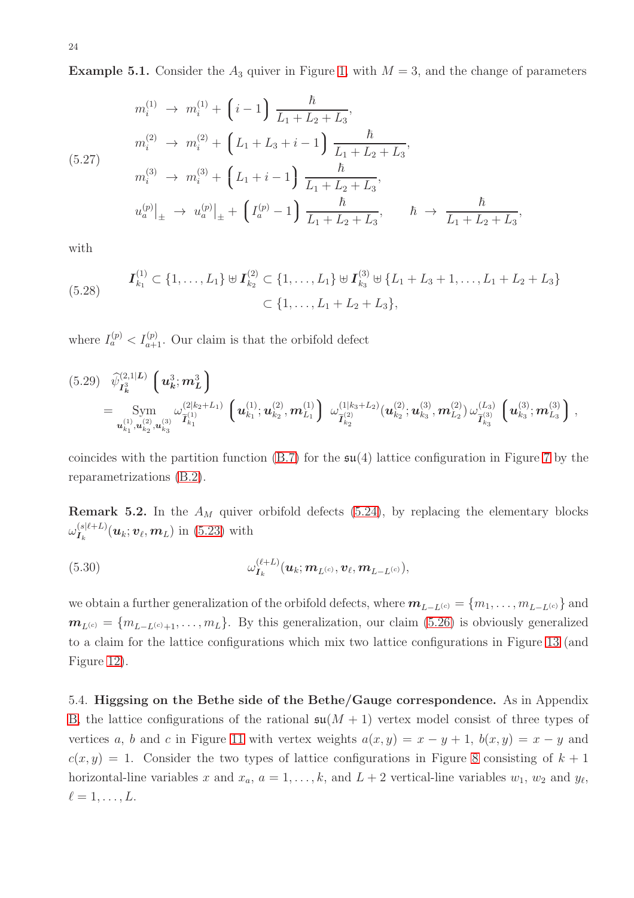**Example 5.1.** Consider the  $A_3$  quiver in Figure [1,](#page-5-0) with  $M = 3$ , and the change of parameters

$$
m_i^{(1)} \rightarrow m_i^{(1)} + \left(i - 1\right) \frac{\hbar}{L_1 + L_2 + L_3},
$$
  
\n
$$
m_i^{(2)} \rightarrow m_i^{(2)} + \left(L_1 + L_3 + i - 1\right) \frac{\hbar}{L_1 + L_2 + L_3},
$$
  
\n(5.27)  
\n
$$
m_i^{(3)} \rightarrow m_i^{(3)} + \left(L_1 + i - 1\right) \frac{\hbar}{L_1 + L_2 + L_3},
$$
  
\n
$$
u_a^{(p)}|_{\pm} \rightarrow u_a^{(p)}|_{\pm} + \left(I_a^{(p)} - 1\right) \frac{\hbar}{L_1 + L_2 + L_3}, \qquad \hbar \rightarrow \frac{\hbar}{L_1 + L_2 + L_3},
$$

with

(5.28) 
$$
\mathbf{I}_{k_1}^{(1)} \subset \{1, ..., L_1\} \oplus \mathbf{I}_{k_2}^{(2)} \subset \{1, ..., L_1\} \oplus \mathbf{I}_{k_3}^{(3)} \oplus \{L_1 + L_3 + 1, ..., L_1 + L_2 + L_3\} \subset \{1, ..., L_1 + L_2 + L_3\},\
$$

where  $I_a^{(p)} < I_{a+1}^{(p)}$ . Our claim is that the orbifold defect

<span id="page-23-1"></span>
$$
(5.29) \quad \widehat{\psi}_{I_{k}^{3}}^{(2,1|L)} \left(u_{k}^{3}; m_{L}^{3}\right) \n= \text{Sym} \underset{u_{k_{1}}^{(1)}, u_{k_{2}}^{(2)}, u_{k_{3}}^{(3)}}{\text{Sym}} \left(u_{k_{1}}^{(1)}; u_{k_{2}}^{(2)}, m_{L_{1}}^{(1)}\right) \left(\omega_{\tilde{\mathcal{I}}_{k_{2}}^{(2)}}^{(1|k_{3}+L_{2})} (u_{k_{2}}^{(2)}; u_{k_{3}}^{(3)}, m_{L_{2}}^{(2)}) \omega_{\tilde{\mathcal{I}}_{k_{3}}^{(3)}}^{(L_{3})} \left(u_{k_{3}}^{(3)}; m_{L_{3}}^{(3)}\right),
$$

coincides with the partition function  $(B.7)$  for the  $\mathfrak{su}(4)$  lattice configuration in Figure [7](#page-22-0) by the reparametrizations [\(B.2\)](#page-31-0).

**Remark 5.2.** In the  $A_M$  quiver orbifold defects [\(5.24\)](#page-21-2), by replacing the elementary blocks  $\omega_{\boldsymbol{I}_k}^{(s|\ell+L)}(\boldsymbol{u}_k;\boldsymbol{v}_{\ell},\boldsymbol{m}_L)$  in [\(5.23\)](#page-21-3) with

(5.30) 
$$
\omega_{\boldsymbol{I}_k}^{(\ell+L)}(\boldsymbol{u}_k; \boldsymbol{m}_{L^{(c)}}, \boldsymbol{v}_\ell, \boldsymbol{m}_{L-L^{(c)}}),
$$

we obtain a further generalization of the orbifold defects, where  $m_{L-L^{(c)}} = \{m_1, \ldots, m_{L-L^{(c)}}\}$  and  $m_{L^{(c)}} = \{m_{L-L^{(c)}+1}, \ldots, m_{L}\}\$ . By this generalization, our claim [\(5.26\)](#page-22-1) is obviously generalized to a claim for the lattice configurations which mix two lattice configurations in Figure [13](#page-32-0) (and Figure [12\)](#page-32-1).

<span id="page-23-0"></span>5.4. Higgsing on the Bethe side of the Bethe/Gauge correspondence. As in Appendix [B,](#page-30-0) the lattice configurations of the rational  $\mathfrak{su}(M + 1)$  vertex model consist of three types of vertices a, b and c in Figure [11](#page-30-2) with vertex weights  $a(x, y) = x - y + 1$ ,  $b(x, y) = x - y$  and  $c(x, y) = 1$ . Consider the two types of lattice configurations in Figure [8](#page-24-0) consisting of  $k + 1$ horizontal-line variables x and  $x_a$ ,  $a = 1, \ldots, k$ , and  $L + 2$  vertical-line variables  $w_1$ ,  $w_2$  and  $y_\ell$ ,  $\ell=1,\ldots,L$ .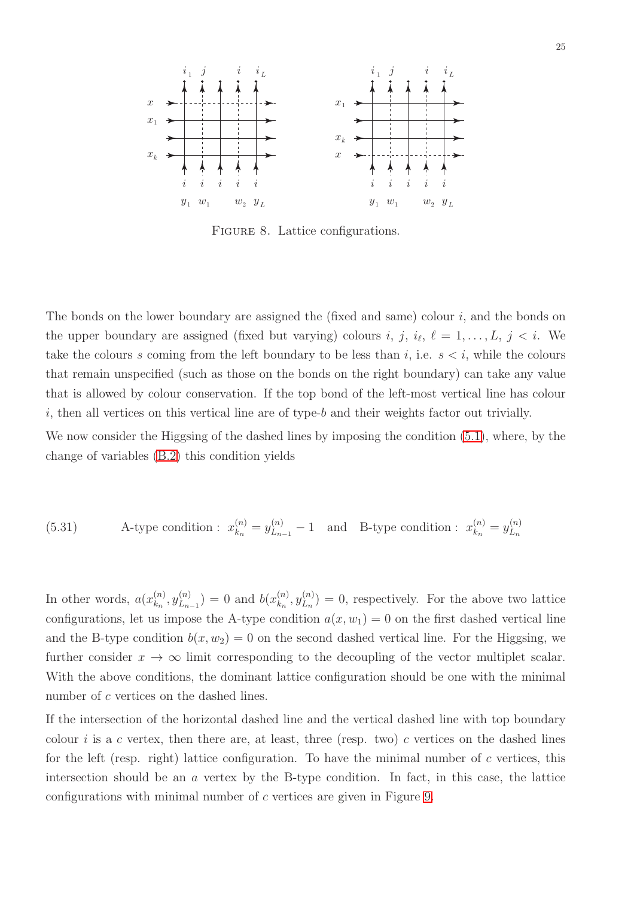<span id="page-24-0"></span>

FIGURE 8. Lattice configurations.

The bonds on the lower boundary are assigned the (fixed and same) colour  $i$ , and the bonds on the upper boundary are assigned (fixed but varying) colours i, j,  $i_{\ell}$ ,  $\ell = 1, \ldots, L$ , j  $\lt i$ . We take the colours s coming from the left boundary to be less than i, i.e.  $s < i$ , while the colours that remain unspecified (such as those on the bonds on the right boundary) can take any value that is allowed by colour conservation. If the top bond of the left-most vertical line has colour  $i$ , then all vertices on this vertical line are of type- $b$  and their weights factor out trivially.

We now consider the Higgsing of the dashed lines by imposing the condition [\(5.1\)](#page-16-2), where, by the change of variables [\(B.2\)](#page-31-0) this condition yields

<span id="page-24-1"></span>(5.31) A-type condition: 
$$
x_{k_n}^{(n)} = y_{L_{n-1}}^{(n)} - 1
$$
 and B-type condition:  $x_{k_n}^{(n)} = y_{L_n}^{(n)}$ 

In other words,  $a(x_k^{(n)})$  $x_{n}^{(n)}, y_{L_{n}}^{(n)}$  $\binom{n}{L_{n-1}} = 0$  and  $b(x_{k_n}^{(n)})$  $\binom{n}{k_n}, y_{L_n}^{(n)}$  $\binom{n}{L_n} = 0$ , respectively. For the above two lattice configurations, let us impose the A-type condition  $a(x, w_1) = 0$  on the first dashed vertical line and the B-type condition  $b(x, w_2) = 0$  on the second dashed vertical line. For the Higgsing, we further consider  $x \to \infty$  limit corresponding to the decoupling of the vector multiplet scalar. With the above conditions, the dominant lattice configuration should be one with the minimal number of c vertices on the dashed lines.

If the intersection of the horizontal dashed line and the vertical dashed line with top boundary colour i is a c vertex, then there are, at least, three (resp. two) c vertices on the dashed lines for the left (resp. right) lattice configuration. To have the minimal number of  $c$  vertices, this intersection should be an  $\alpha$  vertex by the B-type condition. In fact, in this case, the lattice configurations with minimal number of c vertices are given in Figure [9.](#page-25-0)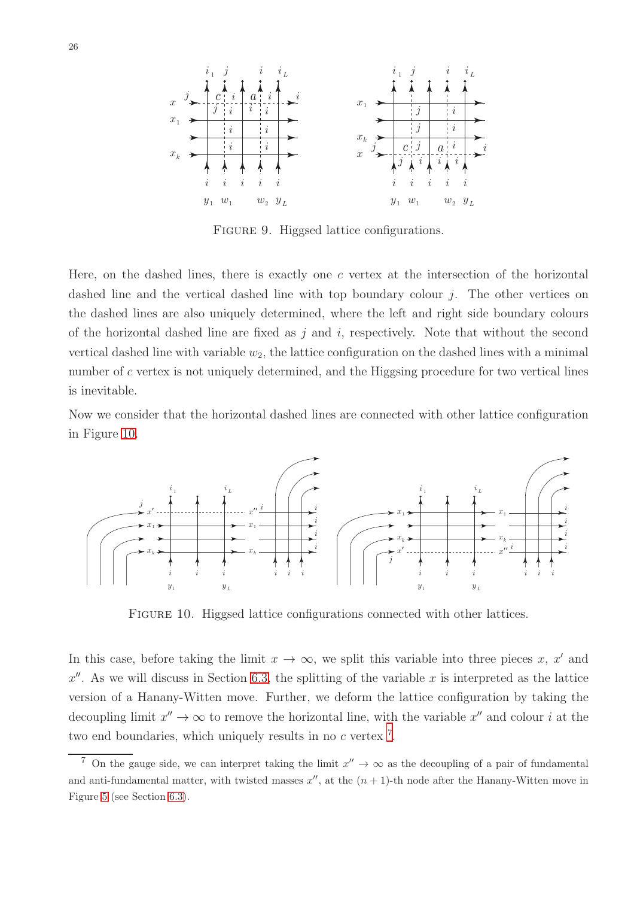<span id="page-25-0"></span>

FIGURE 9. Higgsed lattice configurations.

Here, on the dashed lines, there is exactly one  $c$  vertex at the intersection of the horizontal dashed line and the vertical dashed line with top boundary colour  $i$ . The other vertices on the dashed lines are also uniquely determined, where the left and right side boundary colours of the horizontal dashed line are fixed as  $i$  and  $i$ , respectively. Note that without the second vertical dashed line with variable  $w_2$ , the lattice configuration on the dashed lines with a minimal number of c vertex is not uniquely determined, and the Higgsing procedure for two vertical lines is inevitable.

Now we consider that the horizontal dashed lines are connected with other lattice configuration in Figure [10.](#page-25-1)

<span id="page-25-1"></span>

FIGURE 10. Higgsed lattice configurations connected with other lattices.

In this case, before taking the limit  $x \to \infty$ , we split this variable into three pieces x, x' and  $x''$ . As we will discuss in Section [6.3,](#page-27-1) the splitting of the variable x is interpreted as the lattice version of a Hanany-Witten move. Further, we deform the lattice configuration by taking the decoupling limit  $x'' \to \infty$  to remove the horizontal line, with the variable  $x''$  and colour i at the two end boundaries, which uniquely results in no  $c$  vertex  $^7$  $^7$ .

<span id="page-25-2"></span><sup>&</sup>lt;sup>7</sup> On the gauge side, we can interpret taking the limit  $x'' \to \infty$  as the decoupling of a pair of fundamental and anti-fundamental matter, with twisted masses  $x''$ , at the  $(n + 1)$ -th node after the Hanany-Witten move in Figure [5](#page-16-1) (see Section [6.3\)](#page-27-1).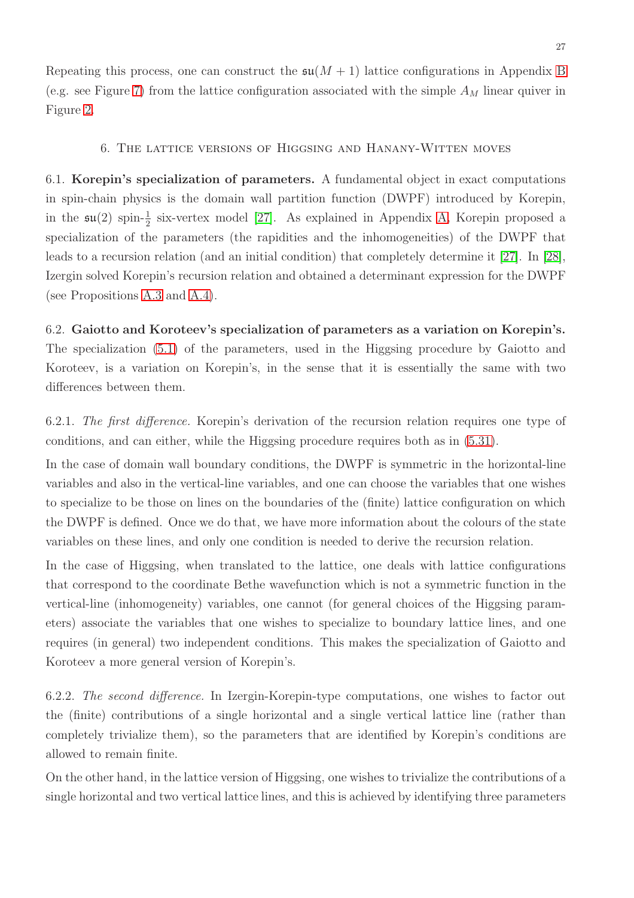<span id="page-26-0"></span>Repeating this process, one can construct the  $\mathfrak{su}(M + 1)$  lattice configurations in Appendix [B](#page-30-0) (e.g. see Figure [7\)](#page-22-0) from the lattice configuration associated with the simple  $A_M$  linear quiver in Figure [2.](#page-9-1)

## 6. The lattice versions of Higgsing and Hanany-Witten moves

6.1. Korepin's specialization of parameters. A fundamental object in exact computations in spin-chain physics is the domain wall partition function (DWPF) introduced by Korepin, in the  $\mathfrak{su}(2)$  spin- $\frac{1}{2}$  six-vertex model [\[27\]](#page-34-21). As explained in Appendix [A,](#page-28-0) Korepin proposed a specialization of the parameters (the rapidities and the inhomogeneities) of the DWPF that leads to a recursion relation (and an initial condition) that completely determine it [\[27\]](#page-34-21). In [\[28\]](#page-34-22), Izergin solved Korepin's recursion relation and obtained a determinant expression for the DWPF (see Propositions [A.3](#page-28-1) and [A.4\)](#page-30-1).

# 6.2. Gaiotto and Koroteev's specialization of parameters as a variation on Korepin's.

The specialization [\(5.1\)](#page-16-2) of the parameters, used in the Higgsing procedure by Gaiotto and Koroteev, is a variation on Korepin's, in the sense that it is essentially the same with two differences between them.

6.2.1. The first difference. Korepin's derivation of the recursion relation requires one type of conditions, and can either, while the Higgsing procedure requires both as in [\(5.31\)](#page-24-1).

In the case of domain wall boundary conditions, the DWPF is symmetric in the horizontal-line variables and also in the vertical-line variables, and one can choose the variables that one wishes to specialize to be those on lines on the boundaries of the (finite) lattice configuration on which the DWPF is defined. Once we do that, we have more information about the colours of the state variables on these lines, and only one condition is needed to derive the recursion relation.

In the case of Higgsing, when translated to the lattice, one deals with lattice configurations that correspond to the coordinate Bethe wavefunction which is not a symmetric function in the vertical-line (inhomogeneity) variables, one cannot (for general choices of the Higgsing parameters) associate the variables that one wishes to specialize to boundary lattice lines, and one requires (in general) two independent conditions. This makes the specialization of Gaiotto and Koroteev a more general version of Korepin's.

6.2.2. The second difference. In Izergin-Korepin-type computations, one wishes to factor out the (finite) contributions of a single horizontal and a single vertical lattice line (rather than completely trivialize them), so the parameters that are identified by Korepin's conditions are allowed to remain finite.

On the other hand, in the lattice version of Higgsing, one wishes to trivialize the contributions of a single horizontal and two vertical lattice lines, and this is achieved by identifying three parameters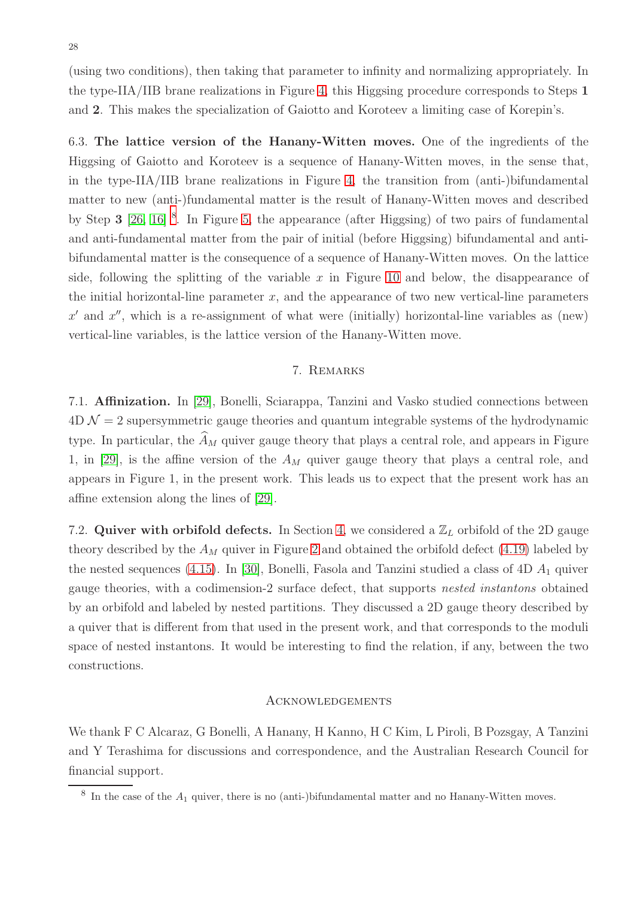(using two conditions), then taking that parameter to infinity and normalizing appropriately. In the type-IIA/IIB brane realizations in Figure [4,](#page-16-0) this Higgsing procedure corresponds to Steps 1 and 2. This makes the specialization of Gaiotto and Koroteev a limiting case of Korepin's.

<span id="page-27-1"></span>6.3. The lattice version of the Hanany-Witten moves. One of the ingredients of the Higgsing of Gaiotto and Koroteev is a sequence of Hanany-Witten moves, in the sense that, in the type-IIA/IIB brane realizations in Figure [4,](#page-16-0) the transition from (anti-)bifundamental matter to new (anti-)fundamental matter is the result of Hanany-Witten moves and described by Step 3 [\[26,](#page-34-20) [16\]](#page-34-10) <sup>[8](#page-27-2)</sup>. In Figure [5,](#page-16-1) the appearance (after Higgsing) of two pairs of fundamental and anti-fundamental matter from the pair of initial (before Higgsing) bifundamental and antibifundamental matter is the consequence of a sequence of Hanany-Witten moves. On the lattice side, following the splitting of the variable x in Figure [10](#page-25-1) and below, the disappearance of the initial horizontal-line parameter  $x$ , and the appearance of two new vertical-line parameters  $x'$  and  $x''$ , which is a re-assignment of what were (initially) horizontal-line variables as (new) vertical-line variables, is the lattice version of the Hanany-Witten move.

## 7. Remarks

<span id="page-27-0"></span>7.1. Affinization. In [\[29\]](#page-34-23), Bonelli, Sciarappa, Tanzini and Vasko studied connections between  $4D \mathcal{N} = 2$  supersymmetric gauge theories and quantum integrable systems of the hydrodynamic type. In particular, the  $\widehat{A}_M$  quiver gauge theory that plays a central role, and appears in Figure 1, in [\[29\]](#page-34-23), is the affine version of the  $A_M$  quiver gauge theory that plays a central role, and appears in Figure 1, in the present work. This leads us to expect that the present work has an affine extension along the lines of [\[29\]](#page-34-23).

7.2. Quiver with orbifold defects. In Section [4,](#page-9-0) we considered a  $\mathbb{Z}_L$  orbifold of the 2D gauge theory described by the  $A_M$  quiver in Figure [2](#page-9-1) and obtained the orbifold defect [\(4.19\)](#page-14-1) labeled by the nested sequences [\(4.15\)](#page-13-2). In [\[30\]](#page-35-0), Bonelli, Fasola and Tanzini studied a class of  $4D A_1$  quiver gauge theories, with a codimension-2 surface defect, that supports nested instantons obtained by an orbifold and labeled by nested partitions. They discussed a 2D gauge theory described by a quiver that is different from that used in the present work, and that corresponds to the moduli space of nested instantons. It would be interesting to find the relation, if any, between the two constructions.

## Acknowledgements

We thank F C Alcaraz, G Bonelli, A Hanany, H Kanno, H C Kim, L Piroli, B Pozsgay, A Tanzini and Y Terashima for discussions and correspondence, and the Australian Research Council for financial support.

<span id="page-27-2"></span> $8\,$  In the case of the  $A_1$  quiver, there is no (anti-)bifundamental matter and no Hanany-Witten moves.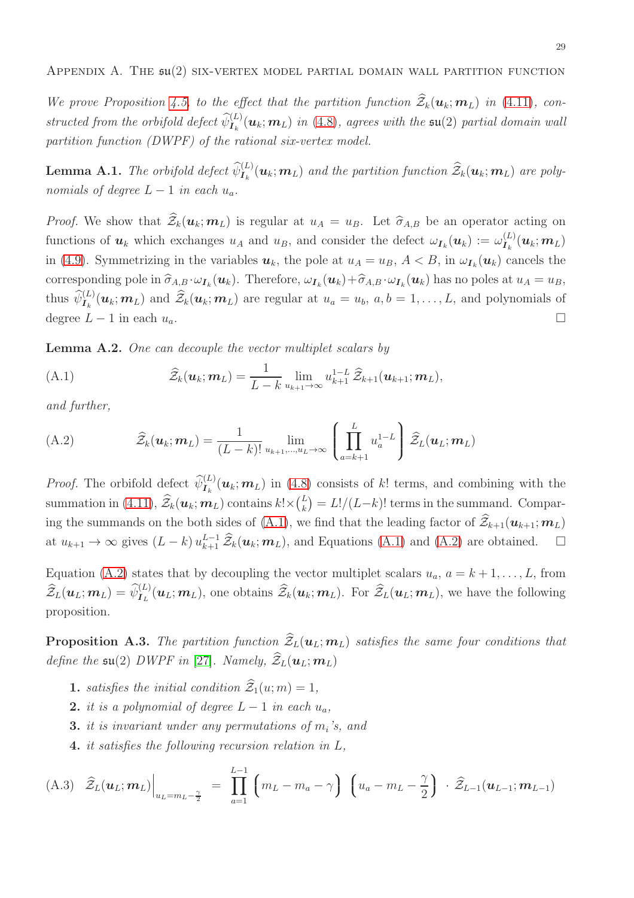<span id="page-28-0"></span>We prove Proposition [4.5,](#page-12-0) to the effect that the partition function  $\widehat{Z}_k(\mathbf{u}_k;\mathbf{m}_L)$  in [\(4.11\)](#page-12-2), constructed from the orbifold defect  $\widehat{\psi}_{I_k}^{(L)}(\bm{u}_k; \bm{m}_L)$  in [\(4.8\)](#page-11-0), agrees with the  $\mathfrak{su}(2)$  partial domain wall partition function (DWPF) of the rational six-vertex model.

<span id="page-28-4"></span>**Lemma A.1.** The orbifold defect  $\widehat{\psi}_{I_k}^{(L)}(\mathbf{u}_k; \mathbf{m}_L)$  and the partition function  $\widehat{\mathcal{Z}}_k(\mathbf{u}_k; \mathbf{m}_L)$  are polynomials of degree  $L-1$  in each  $u_a$ .

*Proof.* We show that  $\widehat{Z}_k(u_k;m_L)$  is regular at  $u_A = u_B$ . Let  $\widehat{\sigma}_{A,B}$  be an operator acting on functions of  $u_k$  which exchanges  $u_A$  and  $u_B$ , and consider the defect  $\omega_{I_k}(u_k) := \omega_{I_k}^{(L)}(u_k; m_L)$ in [\(4.9\)](#page-11-3). Symmetrizing in the variables  $u_k$ , the pole at  $u_A = u_B$ ,  $A < B$ , in  $\omega_{I_k}(u_k)$  cancels the corresponding pole in  $\hat{\sigma}_{A,B} \cdot \omega_{I_k}(\boldsymbol{u}_k)$ . Therefore,  $\omega_{I_k}(\boldsymbol{u}_k) + \hat{\sigma}_{A,B} \cdot \omega_{I_k}(\boldsymbol{u}_k)$  has no poles at  $u_A = u_B$ , thus  $\widehat{\psi}_{I_k}^{(L)}(\boldsymbol{u}_k;\boldsymbol{m}_L)$  and  $\widehat{\mathcal{Z}}_k(\boldsymbol{u}_k;\boldsymbol{m}_L)$  are regular at  $u_a = u_b$ ,  $a,b = 1,\ldots,L$ , and polynomials of degree  $L - 1$  in each  $u_a$ .

Lemma A.2. One can decouple the vector multiplet scalars by

<span id="page-28-3"></span>(A.1) 
$$
\widehat{\mathcal{Z}}_k(\boldsymbol{u}_k; \boldsymbol{m}_L) = \frac{1}{L - k} \lim_{u_{k+1} \to \infty} u_{k+1}^{1-L} \widehat{\mathcal{Z}}_{k+1}(\boldsymbol{u}_{k+1}; \boldsymbol{m}_L),
$$

and further,

<span id="page-28-2"></span>(A.2) 
$$
\widehat{\mathcal{Z}}_k(\boldsymbol{u}_k; \boldsymbol{m}_L) = \frac{1}{(L-k)!} \lim_{u_{k+1}, \dots, u_L \to \infty} \left( \prod_{a=k+1}^L u_a^{1-L} \right) \widehat{\mathcal{Z}}_L(\boldsymbol{u}_L; \boldsymbol{m}_L)
$$

*Proof.* The orbifold defect  $\widehat{\psi}^{(L)}_{I_k}(\mathbf{u}_k; \mathbf{m}_L)$  in [\(4.8\)](#page-11-0) consists of k! terms, and combining with the summation in [\(4.11\)](#page-12-2),  $\widehat{\mathcal{Z}}_k(\boldsymbol{u}_k;\boldsymbol{m}_L)$  contains  $k! \times (\frac{L}{k})$  $_{k}^{L}$ ) =  $L!/(L-k)!$  terms in the summand. Compar-ing the summands on the both sides of [\(A.1\)](#page-28-3), we find that the leading factor of  $\hat{Z}_{k+1}(\boldsymbol{u}_{k+1};\boldsymbol{m}_L)$ at  $u_{k+1} \to \infty$  gives  $(L-k) u_{k+1}^{L-1} \widehat{\mathcal{Z}}_k(\boldsymbol{u}_k; \boldsymbol{m}_L)$ , and Equations [\(A.1\)](#page-28-3) and [\(A.2\)](#page-28-2) are obtained.  $\square$ 

Equation [\(A.2\)](#page-28-2) states that by decoupling the vector multiplet scalars  $u_a$ ,  $a = k + 1, \ldots, L$ , from  $\widehat{\mathcal{Z}}_L(\boldsymbol{u}_L;\boldsymbol{m}_L) = \widehat{\psi}_{\boldsymbol{I}_L}^{(L)}(\boldsymbol{u}_L;\boldsymbol{m}_L)$ , one obtains  $\widehat{\mathcal{Z}}_k(\boldsymbol{u}_k;\boldsymbol{m}_L)$ . For  $\widehat{\mathcal{Z}}_L(\boldsymbol{u}_L;\boldsymbol{m}_L)$ , we have the following proposition.

<span id="page-28-1"></span>**Proposition A.3.** The partition function  $\widehat{Z}_L(\boldsymbol{u}_L; \boldsymbol{m}_L)$  satisfies the same four conditions that define the  $\mathfrak{su}(2)$  DWPF in [\[27\]](#page-34-21). Namely,  $\widehat{\mathcal{Z}}_L(\boldsymbol{u}_L;\boldsymbol{m}_L)$ 

- **1.** satisfies the initial condition  $\widehat{\mathcal{Z}}_1(u; m) = 1$ ,
- 2. it is a polynomial of degree  $L-1$  in each  $u_a$ ,
- **3.** it is invariant under any permutations of  $m_i$ 's, and
- 4. it satisfies the following recursion relation in L,

<span id="page-28-5"></span>(A.3) 
$$
\hat{Z}_L(\boldsymbol{u}_L; \boldsymbol{m}_L)\Big|_{u_L = m_L - \frac{\gamma}{2}} = \prod_{a=1}^{L-1} (m_L - m_a - \gamma) (u_a - m_L - \frac{\gamma}{2}) \cdot \hat{Z}_{L-1}(\boldsymbol{u}_{L-1}; \boldsymbol{m}_{L-1})
$$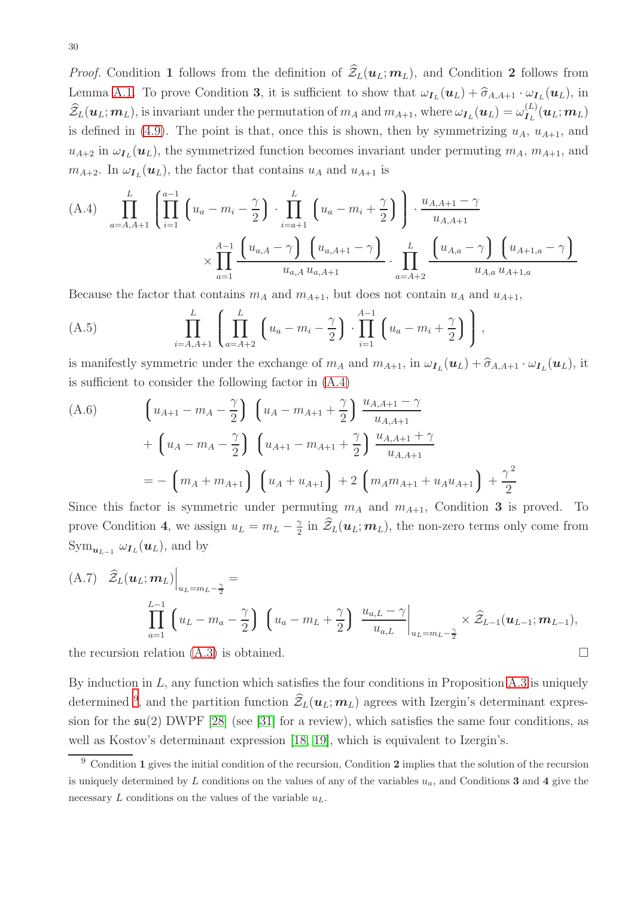*Proof.* Condition 1 follows from the definition of  $\hat{\mathcal{Z}}_L(\boldsymbol{u}_L;\boldsymbol{m}_L)$ , and Condition 2 follows from Lemma [A.1.](#page-28-4) To prove Condition 3, it is sufficient to show that  $\omega_{I_L}(\boldsymbol{u}_L) + \hat{\sigma}_{A,A+1} \cdot \omega_{I_L}(\boldsymbol{u}_L)$ , in  $\widehat{\mathcal{Z}}_L(\bm{u}_L; \bm{m}_L)$ , is invariant under the permutation of  $m_A$  and  $m_{A+1}$ , where  $\omega_{\bm{I}_L}(\bm{u}_L) = \omega_{\bm{I}_L}^{(L)}(\bm{u}_L; \bm{m}_L)$ is defined in [\(4.9\)](#page-11-3). The point is that, once this is shown, then by symmetrizing  $u_A$ ,  $u_{A+1}$ , and  $u_{A+2}$  in  $\omega_{I_L}(\mathbf{u}_L)$ , the symmetrized function becomes invariant under permuting  $m_A$ ,  $m_{A+1}$ , and  $m_{A+2}$ . In  $\omega_{I_L}(\mathbf{u}_L)$ , the factor that contains  $u_A$  and  $u_{A+1}$  is

<span id="page-29-0"></span>(A.4) 
$$
\prod_{a=A,A+1}^{L} \left( \prod_{i=1}^{a-1} \left( u_a - m_i - \frac{\gamma}{2} \right) \cdot \prod_{i=a+1}^{L} \left( u_a - m_i + \frac{\gamma}{2} \right) \right) \cdot \frac{u_{A,A+1} - \gamma}{u_{A,A+1}} \times \prod_{a=1}^{A-1} \frac{\left( u_{a,A} - \gamma \right) \left( u_{a,A+1} - \gamma \right)}{u_{a,A} u_{a,A+1}} \cdot \prod_{a=A+2}^{L} \frac{\left( u_{A,a} - \gamma \right) \left( u_{A+1,a} - \gamma \right)}{u_{A,a} u_{A+1,a}}
$$

Because the factor that contains  $m_A$  and  $m_{A+1}$ , but does not contain  $u_A$  and  $u_{A+1}$ ,

(A.5) 
$$
\prod_{i=A,A+1}^{L} \left( \prod_{a=A+2}^{L} \left( u_a - m_i - \frac{\gamma}{2} \right) \cdot \prod_{i=1}^{A-1} \left( u_a - m_i + \frac{\gamma}{2} \right) \right),
$$

is manifestly symmetric under the exchange of  $m_A$  and  $m_{A+1}$ , in  $\omega_{I_L}(\boldsymbol{u}_L) + \hat{\sigma}_{A,A+1} \cdot \omega_{I_L}(\boldsymbol{u}_L)$ , it is sufficient to consider the following factor in [\(A.4\)](#page-29-0)

(A.6) 
$$
\left(u_{A+1} - m_A - \frac{\gamma}{2}\right) \left(u_A - m_{A+1} + \frac{\gamma}{2}\right) \frac{u_{A,A+1} - \gamma}{u_{A,A+1}} + \left(u_A - m_A - \frac{\gamma}{2}\right) \left(u_{A+1} - m_{A+1} + \frac{\gamma}{2}\right) \frac{u_{A,A+1} + \gamma}{u_{A,A+1}} - \left(m_A + m_{A+1}\right) \left(u_A + u_{A+1}\right) + 2 \left(m_A m_{A+1} + u_A u_{A+1}\right) + \frac{\gamma^2}{2}
$$

Since this factor is symmetric under permuting  $m_A$  and  $m_{A+1}$ , Condition 3 is proved. To prove Condition 4, we assign  $u_L = m_L - \frac{\gamma}{2}$  $\frac{\gamma}{2}$  in  $\mathcal{Z}_L(\boldsymbol{u}_L; \boldsymbol{m}_L)$ , the non-zero terms only come from  $\operatorname{Sym}_{\boldsymbol{u}_{L-1}} \omega_{\boldsymbol{I}_L}(\boldsymbol{u}_L)$ , and by

(A.7) 
$$
\hat{Z}_L(\boldsymbol{u}_L; \boldsymbol{m}_L) \Big|_{u_L = m_L - \frac{\gamma}{2}} =
$$
  

$$
\prod_{a=1}^{L-1} \left( u_L - m_a - \frac{\gamma}{2} \right) \left( u_a - m_L + \frac{\gamma}{2} \right) \left. \frac{u_{a,L} - \gamma}{u_{a,L}} \right|_{u_L = m_L - \frac{\gamma}{2}} \times \hat{Z}_{L-1}(\boldsymbol{u}_{L-1}; \boldsymbol{m}_{L-1}),
$$

the recursion relation  $(A.3)$  is obtained.

By induction in  $L$ , any function which satisfies the four conditions in Proposition [A.3](#page-28-1) is uniquely determined <sup>[9](#page-29-1)</sup>, and the partition function  $\mathcal{Z}_L(\boldsymbol{u}_L; \boldsymbol{m}_L)$  agrees with Izergin's determinant expression for the  $\mathfrak{su}(2)$  DWPF [\[28\]](#page-34-22) (see [\[31\]](#page-35-1) for a review), which satisfies the same four conditions, as well as Kostov's determinant expression [\[18,](#page-34-12) [19\]](#page-34-13), which is equivalent to Izergin's.

<span id="page-29-1"></span> $9$  Condition 1 gives the initial condition of the recursion, Condition 2 implies that the solution of the recursion is uniquely determined by L conditions on the values of any of the variables  $u_a$ , and Conditions 3 and 4 give the necessary  $L$  conditions on the values of the variable  $u<sub>L</sub>$ .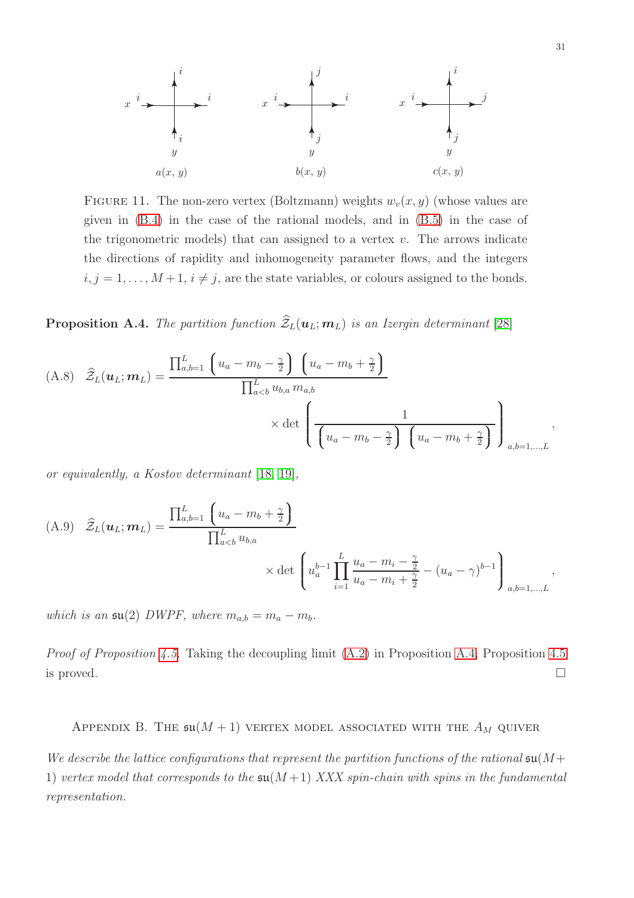<span id="page-30-2"></span>

FIGURE 11. The non-zero vertex (Boltzmann) weights  $w_v(x, y)$  (whose values are given in [\(B.4\)](#page-31-1) in the case of the rational models, and in [\(B.5\)](#page-31-2) in the case of the trigonometric models) that can assigned to a vertex  $v$ . The arrows indicate the directions of rapidity and inhomogeneity parameter flows, and the integers  $i, j = 1, \ldots, M + 1, i \neq j$ , are the state variables, or colours assigned to the bonds.

<span id="page-30-1"></span>**Proposition A.4.** The partition function  $\widehat{Z}_L(\boldsymbol{u}_L; \boldsymbol{m}_L)$  is an Izergin determinant [\[28\]](#page-34-22)

(A.8) 
$$
\hat{Z}_L(\boldsymbol{u}_L; \boldsymbol{m}_L) = \frac{\prod_{a,b=1}^L \left( u_a - m_b - \frac{\gamma}{2} \right) \left( u_a - m_b + \frac{\gamma}{2} \right)}{\prod_{a
$$

or equivalently, a Kostov determinant [\[18,](#page-34-12) [19\]](#page-34-13),

(A.9) 
$$
\hat{Z}_L(\boldsymbol{u}_L; \boldsymbol{m}_L) = \frac{\prod_{a,b=1}^L \left(u_a - m_b + \frac{\gamma}{2}\right)}{\prod_{a
$$

which is an  $\mathfrak{su}(2)$  DWPF, where  $m_{a,b} = m_a - m_b$ .

Proof of Proposition [4.5.](#page-12-0) Taking the decoupling limit [\(A.2\)](#page-28-2) in Proposition [A.4,](#page-30-1) Proposition [4.5](#page-12-0) is proved.  $\Box$ 

<span id="page-30-0"></span>APPENDIX B. THE  $\mathfrak{su}(M+1)$  vertex model associated with the  $A_M$  quiver

We describe the lattice configurations that represent the partition functions of the rational  $\mathfrak{su}(M)$ 1) vertex model that corresponds to the  $\mathfrak{su}(M+1)$  XXX spin-chain with spins in the fundamental representation.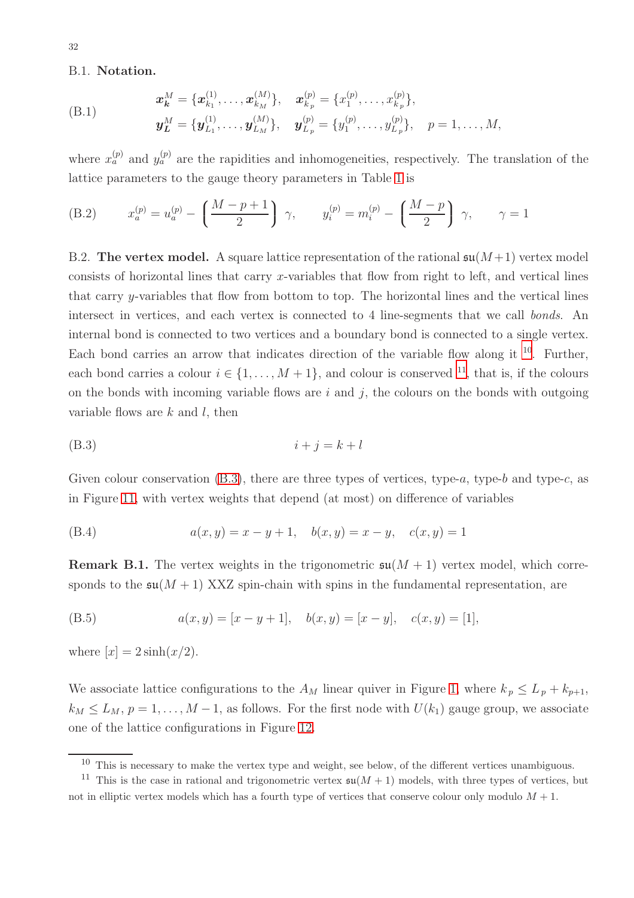## B.1. Notation.

(B.1) 
$$
\mathbf{x}_{\mathbf{k}}^{M} = \{\mathbf{x}_{k_1}^{(1)}, \ldots, \mathbf{x}_{k_M}^{(M)}\}, \quad \mathbf{x}_{k_p}^{(p)} = \{x_1^{(p)}, \ldots, x_{k_p}^{(p)}\}, \mathbf{y}_{\mathbf{L}}^{M} = \{\mathbf{y}_{L_1}^{(1)}, \ldots, \mathbf{y}_{L_M}^{(M)}\}, \quad \mathbf{y}_{L_p}^{(p)} = \{y_1^{(p)}, \ldots, y_{L_p}^{(p)}\}, \quad p = 1, \ldots, M,
$$

where  $x_a^{(p)}$  and  $y_a^{(p)}$  are the rapidities and inhomogeneities, respectively. The translation of the lattice parameters to the gauge theory parameters in Table [1](#page-5-1) is

<span id="page-31-0"></span>(B.2) 
$$
x_a^{(p)} = u_a^{(p)} - \left(\frac{M-p+1}{2}\right) \gamma
$$
,  $y_i^{(p)} = m_i^{(p)} - \left(\frac{M-p}{2}\right) \gamma$ ,  $\gamma = 1$ 

B.2. The vertex model. A square lattice representation of the rational  $\mathfrak{su}(M+1)$  vertex model consists of horizontal lines that carry x-variables that flow from right to left, and vertical lines that carry y-variables that flow from bottom to top. The horizontal lines and the vertical lines intersect in vertices, and each vertex is connected to 4 line-segments that we call bonds. An internal bond is connected to two vertices and a boundary bond is connected to a single vertex. Each bond carries an arrow that indicates direction of the variable flow along it  $^{10}$  $^{10}$  $^{10}$ . Further, each bond carries a colour  $i \in \{1, ..., M+1\}$ , and colour is conserved <sup>[11](#page-31-4)</sup>, that is, if the colours on the bonds with incoming variable flows are  $i$  and  $j$ , the colours on the bonds with outgoing variable flows are  $k$  and  $l$ , then

<span id="page-31-5"></span>
$$
(B.3) \t\t i+j=k+l
$$

Given colour conservation  $(B.3)$ , there are three types of vertices, type-a, type-b and type-c, as in Figure [11,](#page-30-2) with vertex weights that depend (at most) on difference of variables

<span id="page-31-1"></span>(B.4) 
$$
a(x, y) = x - y + 1, \quad b(x, y) = x - y, \quad c(x, y) = 1
$$

**Remark B.1.** The vertex weights in the trigonometric  $\mathfrak{su}(M + 1)$  vertex model, which corresponds to the  $\mathfrak{su}(M+1)$  XXZ spin-chain with spins in the fundamental representation, are

<span id="page-31-2"></span>(B.5) 
$$
a(x, y) = [x - y + 1], \quad b(x, y) = [x - y], \quad c(x, y) = [1],
$$

where  $[x] = 2 \sinh(x/2)$ .

We associate lattice configurations to the  $A_M$  linear quiver in Figure [1,](#page-5-0) where  $k_p \leq L_p + k_{p+1}$ ,  $k_M \leq L_M$ ,  $p = 1, \ldots, M-1$ , as follows. For the first node with  $U(k_1)$  gauge group, we associate one of the lattice configurations in Figure [12.](#page-32-1)

<span id="page-31-3"></span> $10$  This is necessary to make the vertex type and weight, see below, of the different vertices unambiguous.

<span id="page-31-4"></span><sup>&</sup>lt;sup>11</sup> This is the case in rational and trigonometric vertex  $\mathfrak{su}(M+1)$  models, with three types of vertices, but not in elliptic vertex models which has a fourth type of vertices that conserve colour only modulo  $M + 1$ .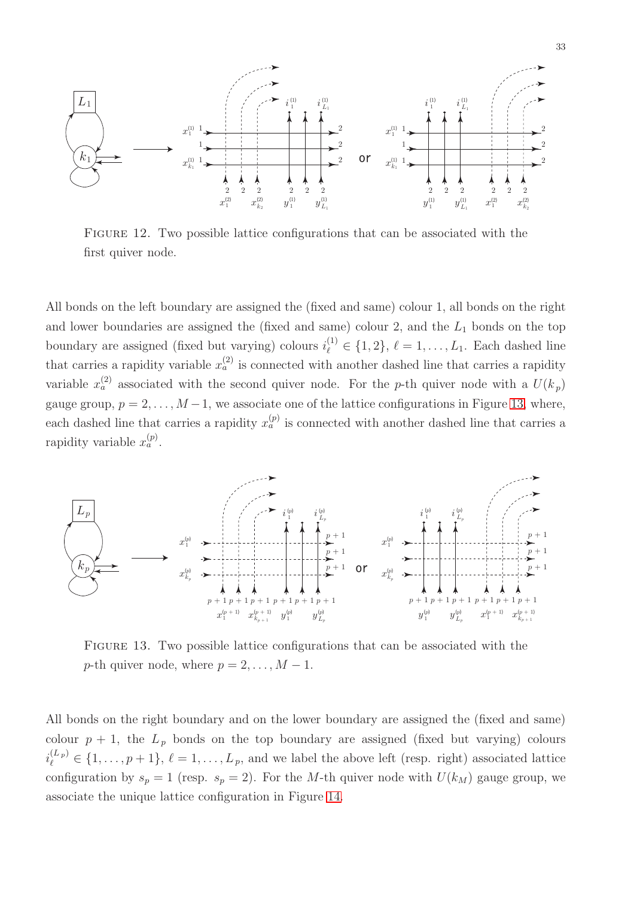<span id="page-32-1"></span>

FIGURE 12. Two possible lattice configurations that can be associated with the first quiver node.

All bonds on the left boundary are assigned the (fixed and same) colour 1, all bonds on the right and lower boundaries are assigned the (fixed and same) colour 2, and the  $L_1$  bonds on the top boundary are assigned (fixed but varying) colours  $i_{\ell}^{(1)} \in \{1,2\}, \ell = 1, \ldots, L_1$ . Each dashed line that carries a rapidity variable  $x_a^{(2)}$  is connected with another dashed line that carries a rapidity variable  $x_a^{(2)}$  associated with the second quiver node. For the p-th quiver node with a  $U(k_p)$ gauge group,  $p = 2, \ldots, M-1$ , we associate one of the lattice configurations in Figure [13,](#page-32-0) where, each dashed line that carries a rapidity  $x_a^{(p)}$  is connected with another dashed line that carries a rapidity variable  $x_a^{(p)}$ .

<span id="page-32-0"></span>

FIGURE 13. Two possible lattice configurations that can be associated with the p-th quiver node, where  $p = 2, \ldots, M - 1$ .

All bonds on the right boundary and on the lower boundary are assigned the (fixed and same) colour  $p + 1$ , the  $L_p$  bonds on the top boundary are assigned (fixed but varying) colours  $i_{\ell}^{(L_p)} \in \{1, \ldots, p+1\}, \, \ell = 1, \ldots, L_p$ , and we label the above left (resp. right) associated lattice configuration by  $s_p = 1$  (resp.  $s_p = 2$ ). For the M-th quiver node with  $U(k_M)$  gauge group, we associate the unique lattice configuration in Figure [14.](#page-33-6)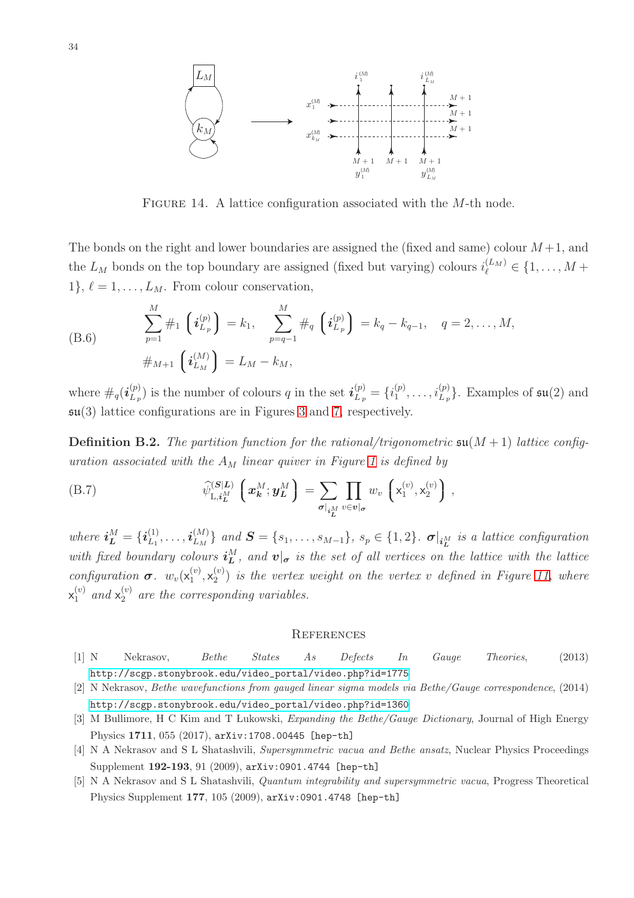<span id="page-33-6"></span>

FIGURE 14. A lattice configuration associated with the M-th node.

The bonds on the right and lower boundaries are assigned the (fixed and same) colour  $M+1$ , and the  $L_M$  bonds on the top boundary are assigned (fixed but varying) colours  $i_{\ell}^{(L_M)} \in \{1, \ldots, M +$  $1\}, \ell = 1, \ldots, L_M$ . From colour conservation,

(B.6) 
$$
\sum_{p=1}^{M} \#_1 \left( \boldsymbol{i}_{L_p}^{(p)} \right) = k_1, \quad \sum_{p=q-1}^{M} \#_q \left( \boldsymbol{i}_{L_p}^{(p)} \right) = k_q - k_{q-1}, \quad q = 2, \ldots, M,
$$

$$
\#_{M+1} \left( \boldsymbol{i}_{L_M}^{(M)} \right) = L_M - k_M,
$$

where  $\#_q(i_{L_n}^{(p)})$  $\mathcal{L}_{L_p}^{(p)}$  is the number of colours q in the set  $\mathbf{i}_{L_p}^{(p)} = \{i_1^{(p)}\}$  $\binom{p}{1}, \ldots, \binom{p}{L_p}$ . Examples of  $\mathfrak{su}(2)$  and  $\mathfrak{su}(3)$  lattice configurations are in Figures [3](#page-11-2) and [7,](#page-22-0) respectively.

**Definition B.2.** The partition function for the rational/trigonometric  $\mathfrak{su}(M+1)$  lattice configuration associated with the  $A_M$  linear quiver in Figure [1](#page-5-0) is defined by

<span id="page-33-5"></span>(B.7) 
$$
\widehat{\psi}_{\mathrm{L},i_L^M}^{(S|L)} \left( \boldsymbol{x}_k^M; \boldsymbol{y}_L^M \right) = \sum_{\sigma|_{i_L^M}} \prod_{v \in \boldsymbol{v}|_{\sigma}} w_v \left( \mathsf{x}_1^{(v)}, \mathsf{x}_2^{(v)} \right),
$$

where  $\boldsymbol{i}^M_{\boldsymbol{L}} = \{\boldsymbol{i}^{(1)}_{L_1}$  $\overset{(1)}{\iota_1},\ldots,\overset{(M)}{\iota_M}$  $\{\mathcal{S}_{L_M}\}\$ and  $\mathcal{S} = \{s_1, \ldots, s_{M-1}\}\text{, } s_p \in \{1,2\}\text{. }$   $\sigma|_{i_L^M}$  is a lattice configuration with fixed boundary colours  $\mathbf{i}_L^M$ , and  $\mathbf{v}|_{\sigma}$  is the set of all vertices on the lattice with the lattice configuration  $\boldsymbol{\sigma}$ .  $w_v(\mathsf{x}_1^{(v)})$  $\mathsf{X}_1^{(v)}, \mathsf{X}_2^{(v)}$  $\binom{v}{2}$  is the vertex weight on the vertex v defined in Figure [11,](#page-30-2) where  $\mathsf{x}_{1}^{\left(v\right)}$  and  $\mathsf{x}_{2}^{\left(v\right)}$  are the corresponding variables.

#### **REFERENCES**

- <span id="page-33-1"></span><span id="page-33-0"></span>[1] N Nekrasov, Bethe States As Defects In Gauge Theories, (2013) [http://scgp.stonybrook.edu/video\\_portal/video.php?id=1775](http://scgp.stonybrook.edu/video_portal/video.php?id=1775)
- <span id="page-33-2"></span>[2] N Nekrasov, Bethe wavefunctions from gauged linear sigma models via Bethe/Gauge correspondence, (2014) [http://scgp.stonybrook.edu/video\\_portal/video.php?id=1360](http://scgp.stonybrook.edu/video_portal/video.php?id=1360)
- <span id="page-33-3"></span>[3] M Bullimore, H C Kim and T Lukowski, Expanding the Bethe/Gauge Dictionary, Journal of High Energy Physics 1711, 055 (2017), arXiv:1708.00445 [hep-th]
- <span id="page-33-4"></span>[4] N A Nekrasov and S L Shatashvili, Supersymmetric vacua and Bethe ansatz, Nuclear Physics Proceedings Supplement 192-193, 91 (2009), arXiv:0901.4744 [hep-th]
- [5] N A Nekrasov and S L Shatashvili, Quantum integrability and supersymmetric vacua, Progress Theoretical Physics Supplement 177, 105 (2009), arXiv:0901.4748 [hep-th]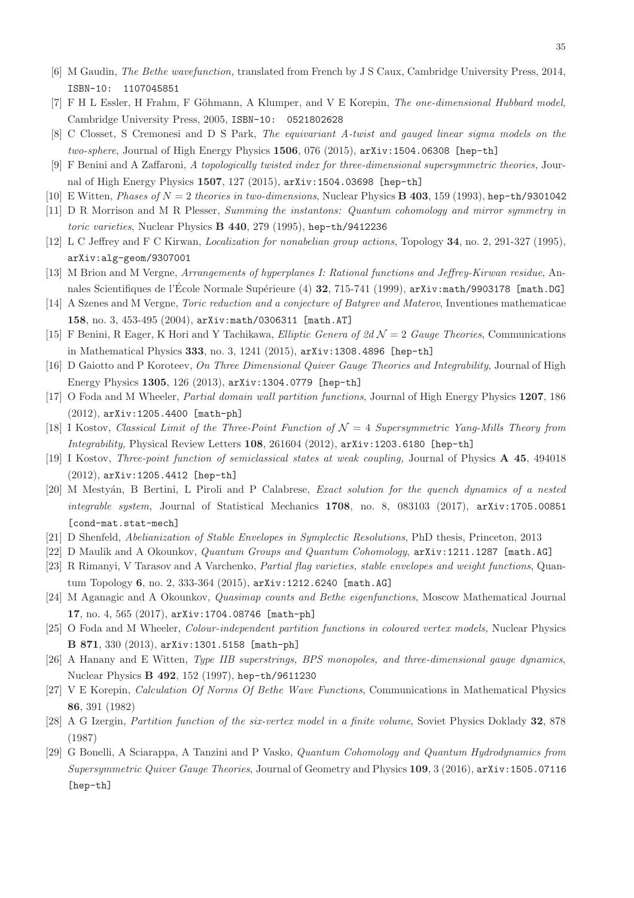- <span id="page-34-1"></span><span id="page-34-0"></span>[6] M Gaudin, The Bethe wavefunction, translated from French by J S Caux, Cambridge University Press, 2014, ISBN-10: 1107045851
- <span id="page-34-2"></span>[7] F H L Essler, H Frahm, F Göhmann, A Klumper, and V E Korepin, The one-dimensional Hubbard model, Cambridge University Press, 2005, ISBN-10: 0521802628
- <span id="page-34-3"></span>[8] C Closset, S Cremonesi and D S Park, The equivariant A-twist and gauged linear sigma models on the two-sphere, Journal of High Energy Physics 1506, 076 (2015), arXiv:1504.06308 [hep-th]
- <span id="page-34-4"></span>[9] F Benini and A Zaffaroni, A topologically twisted index for three-dimensional supersymmetric theories, Journal of High Energy Physics 1507, 127 (2015), arXiv:1504.03698 [hep-th]
- <span id="page-34-5"></span>[10] E Witten, *Phases of*  $N = 2$  theories in two-dimensions, Nuclear Physics **B** 403, 159 (1993), hep-th/9301042
- <span id="page-34-6"></span>[11] D R Morrison and M R Plesser, Summing the instantons: Quantum cohomology and mirror symmetry in toric varieties, Nuclear Physics B 440, 279 (1995), hep-th/9412236
- <span id="page-34-7"></span>[12] L C Jeffrey and F C Kirwan, Localization for nonabelian group actions, Topology 34, no. 2, 291-327 (1995), arXiv:alg-geom/9307001
- <span id="page-34-8"></span>[13] M Brion and M Vergne, Arrangements of hyperplanes I: Rational functions and Jeffrey-Kirwan residue, Annales Scientifiques de l'École Normale Supérieure (4) 32, 715-741 (1999), arXiv:math/9903178 [math.DG]
- <span id="page-34-9"></span>[14] A Szenes and M Vergne, Toric reduction and a conjecture of Batyrev and Materov, Inventiones mathematicae 158, no. 3, 453-495 (2004), arXiv:math/0306311 [math.AT]
- <span id="page-34-10"></span>[15] F Benini, R Eager, K Hori and Y Tachikawa, *Elliptic Genera of 2d*  $\mathcal{N}=2$  *Gauge Theories*, Communications in Mathematical Physics 333, no. 3, 1241 (2015), arXiv:1308.4896 [hep-th]
- <span id="page-34-11"></span>[16] D Gaiotto and P Koroteev, On Three Dimensional Quiver Gauge Theories and Integrability, Journal of High Energy Physics 1305, 126 (2013), arXiv:1304.0779 [hep-th]
- <span id="page-34-12"></span>[17] O Foda and M Wheeler, Partial domain wall partition functions, Journal of High Energy Physics 1207, 186 (2012), arXiv:1205.4400 [math-ph]
- <span id="page-34-13"></span>[18] I Kostov, Classical Limit of the Three-Point Function of  $\mathcal{N}=4$  Supersymmetric Yang-Mills Theory from Integrability, Physical Review Letters 108, 261604 (2012), arXiv:1203.6180 [hep-th]
- <span id="page-34-14"></span>[19] I Kostov, Three-point function of semiclassical states at weak coupling, Journal of Physics A 45, 494018 (2012), arXiv:1205.4412 [hep-th]
- [20] M Mestyán, B Bertini, L Piroli and P Calabrese, *Exact solution for the quench dynamics of a nested* integrable system, Journal of Statistical Mechanics  $1708$ , no. 8, 083103 (2017),  $arXiv:1705.00851$ [cond-mat.stat-mech]
- <span id="page-34-16"></span><span id="page-34-15"></span>[21] D Shenfeld, Abelianization of Stable Envelopes in Symplectic Resolutions, PhD thesis, Princeton, 2013
- <span id="page-34-17"></span>[22] D Maulik and A Okounkov, Quantum Groups and Quantum Cohomology, arXiv:1211.1287 [math.AG]
- <span id="page-34-18"></span>[23] R Rimanyi, V Tarasov and A Varchenko, Partial flag varieties, stable envelopes and weight functions, Quantum Topology 6, no. 2, 333-364 (2015), arXiv:1212.6240 [math.AG]
- <span id="page-34-19"></span>[24] M Aganagic and A Okounkov, Quasimap counts and Bethe eigenfunctions, Moscow Mathematical Journal 17, no. 4, 565 (2017), arXiv:1704.08746 [math-ph]
- <span id="page-34-20"></span>[25] O Foda and M Wheeler, Colour-independent partition functions in coloured vertex models, Nuclear Physics B 871, 330 (2013), arXiv:1301.5158 [math-ph]
- <span id="page-34-21"></span>[26] A Hanany and E Witten, Type IIB superstrings, BPS monopoles, and three-dimensional gauge dynamics, Nuclear Physics B 492, 152 (1997), hep-th/9611230
- <span id="page-34-22"></span>[27] V E Korepin, Calculation Of Norms Of Bethe Wave Functions, Communications in Mathematical Physics 86, 391 (1982)
- <span id="page-34-23"></span>[28] A G Izergin, Partition function of the six-vertex model in a finite volume, Soviet Physics Doklady 32, 878 (1987)
- [29] G Bonelli, A Sciarappa, A Tanzini and P Vasko, Quantum Cohomology and Quantum Hydrodynamics from Supersymmetric Quiver Gauge Theories, Journal of Geometry and Physics 109, 3 (2016), arXiv:1505.07116 [hep-th]